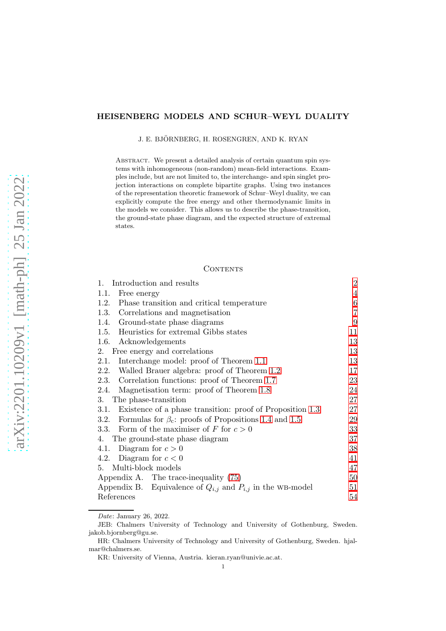# HEISENBERG MODELS AND SCHUR–WEYL DUALITY

J. E. BJÖRNBERG, H. ROSENGREN, AND K. RYAN

ABSTRACT. We present a detailed analysis of certain quantum spin systems with inhomogeneous (non-random) mean-field interactions. Examples include, but are not limited to, the interchange- and spin singlet projection interactions on complete bipartite graphs. Using two instances of the representation theoretic framework of Schur–Weyl duality, we can explicitly compute the free energy and other thermodynamic limits in the models we consider. This allows us to describe the phase-transition, the ground-state phase diagram, and the expected structure of extremal states.

### **CONTENTS**

| Introduction and results<br>1.                                      | $\overline{2}$ |
|---------------------------------------------------------------------|----------------|
| 1.1.<br>Free energy                                                 | 4              |
| 1.2.<br>Phase transition and critical temperature                   | 6              |
| 1.3.<br>Correlations and magnetisation                              | $\overline{7}$ |
| Ground-state phase diagrams<br>1.4.                                 | 9              |
| 1.5. Heuristics for extremal Gibbs states                           | 11             |
| 1.6. Acknowledgements                                               | 13             |
| Free energy and correlations<br>2.                                  | 13             |
| Interchange model: proof of Theorem 1.1<br>2.1.                     | 13             |
| 2.2.<br>Walled Brauer algebra: proof of Theorem 1.2                 | 17             |
| Correlation functions: proof of Theorem 1.7<br>2.3.                 | 23             |
| Magnetisation term: proof of Theorem 1.8<br>2.4.                    | 24             |
| 3.<br>The phase-transition                                          | 27             |
| Existence of a phase transition: proof of Proposition 1.3<br>3.1.   | 27             |
| Formulas for $\beta_c$ : proofs of Propositions 1.4 and 1.5<br>3.2. | 29             |
| Form of the maximiser of F for $c > 0$<br>3.3.                      | 33             |
| 4. The ground-state phase diagram                                   | 37             |
| 4.1. Diagram for $c > 0$                                            | 38             |
| Diagram for $c < 0$<br>4.2.                                         | 41             |
| 5. Multi-block models                                               | 47             |
| Appendix A. The trace-inequality $(75)$                             | 50             |
| Appendix B. Equivalence of $Q_{i,j}$ and $P_{i,j}$ in the WB-model  | 51             |
| References                                                          | 54             |

*Date*: January 26, 2022.

JEB: Chalmers University of Technology and University of Gothenburg, Sweden. jakob.bjornberg@gu.se.

HR: Chalmers University of Technology and University of Gothenburg, Sweden. hjalmar@chalmers.se.

KR: University of Vienna, Austria. kieran.ryan@univie.ac.at.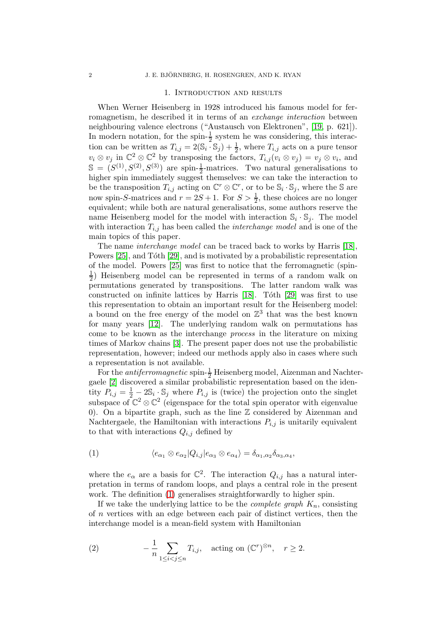#### 1. Introduction and results

<span id="page-1-0"></span>When Werner Heisenberg in 1928 introduced his famous model for ferromagnetism, he described it in terms of an *exchange interaction* between neighbouring valence electrons ("Austausch von Elektronen", [\[19,](#page-53-1) p. 621]). In modern notation, for the spin- $\frac{1}{2}$  system he was considering, this interaction can be written as  $T_{i,j} = 2(\mathbb{S}_i \cdot \mathbb{S}_j) + \frac{1}{2}$ , where  $T_{i,j}$  acts on a pure tensor  $v_i \otimes v_j$  in  $\mathbb{C}^2 \otimes \mathbb{C}^2$  by transposing the factors,  $T_{i,j}(v_i \otimes v_j) = v_j \otimes v_i$ , and  $\mathbb{S} = (S^{(1)}, S^{(2)}, S^{(3)})$  are spin- $\frac{1}{2}$ -matrices. Two natural generalisations to higher spin immediately suggest themselves: we can take the interaction to be the transposition  $T_{i,j}$  acting on  $\mathbb{C}^r \otimes \mathbb{C}^r$ , or to be  $\mathbb{S}_i \cdot \mathbb{S}_j$ , where the  $\mathbb{S}$  are now spin-S-matrices and  $r = 2S + 1$ . For  $S > \frac{1}{2}$ , these choices are no longer equivalent; while both are natural generalisations, some authors reserve the name Heisenberg model for the model with interaction  $\mathbb{S}_i \cdot \mathbb{S}_j$ . The model with interaction  $T_{i,j}$  has been called the *interchange model* and is one of the main topics of this paper.

The name interchange model can be traced back to works by Harris [\[18\]](#page-53-2), Powers [\[25\]](#page-53-3), and Tôth [\[29\]](#page-54-0), and is motivated by a probabilistic representation of the model. Powers [\[25\]](#page-53-3) was first to notice that the ferromagnetic (spin-1  $\frac{1}{2}$ ) Heisenberg model can be represented in terms of a random walk on permutations generated by transpositions. The latter random walk was constructed on infinite lattices by Harris  $[18]$ . Tóth  $[29]$  was first to use this representation to obtain an important result for the Heisenberg model: a bound on the free energy of the model on  $\mathbb{Z}^3$  that was the best known for many years [\[12\]](#page-53-4). The underlying random walk on permutations has come to be known as the interchange process in the literature on mixing times of Markov chains [\[3\]](#page-53-5). The present paper does not use the probabilistic representation, however; indeed our methods apply also in cases where such a representation is not available.

For the *antiferromagnetic* spin- $\frac{1}{2}$  Heisenberg model, Aizenman and Nachtergaele [\[2\]](#page-53-6) discovered a similar probabilistic representation based on the identity  $P_{i,j} = \frac{1}{2} - 2\mathbb{S}_i \cdot \mathbb{S}_j$  where  $P_{i,j}$  is (twice) the projection onto the singlet subspace of  $\mathbb{C}^2 \otimes \mathbb{C}^2$  (eigenspace for the total spin operator with eigenvalue 0). On a bipartite graph, such as the line  $\mathbb Z$  considered by Aizenman and Nachtergaele, the Hamiltonian with interactions  $P_{i,j}$  is unitarily equivalent to that with interactions  $Q_{i,j}$  defined by

<span id="page-1-1"></span>(1) 
$$
\langle e_{\alpha_1} \otimes e_{\alpha_2} | Q_{i,j} | e_{\alpha_3} \otimes e_{\alpha_4} \rangle = \delta_{\alpha_1, \alpha_2} \delta_{\alpha_3, \alpha_4},
$$

where the  $e_{\alpha}$  are a basis for  $\mathbb{C}^2$ . The interaction  $Q_{i,j}$  has a natural interpretation in terms of random loops, and plays a central role in the present work. The definition [\(1\)](#page-1-1) generalises straightforwardly to higher spin.

If we take the underlying lattice to be the *complete graph*  $K_n$ , consisting of n vertices with an edge between each pair of distinct vertices, then the interchange model is a mean-field system with Hamiltonian

<span id="page-1-2"></span>(2) 
$$
-\frac{1}{n}\sum_{1\leq i
$$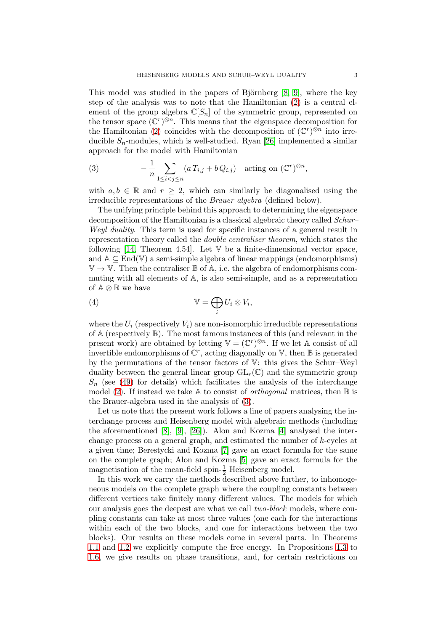This model was studied in the papers of Björnberg  $[8, 9]$  $[8, 9]$ , where the key step of the analysis was to note that the Hamiltonian [\(2\)](#page-1-2) is a central element of the group algebra  $\mathbb{C}[S_n]$  of the symmetric group, represented on the tensor space  $(\mathbb{C}^r)^{\otimes n}$ . This means that the eigenspace decomposition for the Hamiltonian [\(2\)](#page-1-2) coincides with the decomposition of  $(\mathbb{C}^r)^{\otimes n}$  into irreducible  $S_n$ -modules, which is well-studied. Ryan [\[26\]](#page-54-1) implemented a similar approach for the model with Hamiltonian

<span id="page-2-0"></span>(3) 
$$
-\frac{1}{n}\sum_{1\leq i
$$

with  $a, b \in \mathbb{R}$  and  $r \geq 2$ , which can similarly be diagonalised using the irreducible representations of the Brauer algebra (defined below).

The unifying principle behind this approach to determining the eigenspace decomposition of the Hamiltonian is a classical algebraic theory called *Schur-*Weyl duality. This term is used for specific instances of a general result in representation theory called the double centraliser theorem, which states the following [\[14,](#page-53-9) Theorem 4.54]. Let  $V$  be a finite-dimensional vector space, and  $A \subseteq End(V)$  a semi-simple algebra of linear mappings (endomorphisms)  $\mathbb{V} \to \mathbb{V}$ . Then the centraliser  $\mathbb{B}$  of  $\mathbb{A}$ , i.e. the algebra of endomorphisms commuting with all elements of A, is also semi-simple, and as a representation of  $\mathbb{A} \otimes \mathbb{B}$  we have

(4) 
$$
\mathbb{V} = \bigoplus_i U_i \otimes V_i,
$$

where the  $U_i$  (respectively  $V_i$ ) are non-isomorphic irreducible representations of  $A$  (respectively  $B$ ). The most famous instances of this (and relevant in the present work) are obtained by letting  $\mathbb{V} = (\mathbb{C}^r)^{\otimes n}$ . If we let A consist of all invertible endomorphisms of  $\mathbb{C}^r$ , acting diagonally on  $\mathbb{V}$ , then  $\mathbb{B}$  is generated by the permutations of the tensor factors of V: this gives the Schur–Weyl duality between the general linear group  $GL_r(\mathbb{C})$  and the symmetric group  $S_n$  (see [\(49\)](#page-13-0) for details) which facilitates the analysis of the interchange model [\(2\)](#page-1-2). If instead we take A to consist of *orthogonal* matrices, then  $\mathbb B$  is the Brauer-algebra used in the analysis of [\(3\)](#page-2-0).

Let us note that the present work follows a line of papers analysing the interchange process and Heisenberg model with algebraic methods (including the aforementioned [\[8\]](#page-53-7), [\[9\]](#page-53-8), [\[26\]](#page-54-1)). Alon and Kozma [\[4\]](#page-53-10) analysed the interchange process on a general graph, and estimated the number of  $k$ -cycles at a given time; Berestycki and Kozma [\[7\]](#page-53-11) gave an exact formula for the same on the complete graph; Alon and Kozma [\[5\]](#page-53-12) gave an exact formula for the magnetisation of the mean-field spin- $\frac{1}{2}$  Heisenberg model.

In this work we carry the methods described above further, to inhomogeneous models on the complete graph where the coupling constants between different vertices take finitely many different values. The models for which our analysis goes the deepest are what we call two-block models, where coupling constants can take at most three values (one each for the interactions within each of the two blocks, and one for interactions between the two blocks). Our results on these models come in several parts. In Theorems [1.1](#page-3-1) and [1.2](#page-4-0) we explicitly compute the free energy. In Propositions [1.3](#page-5-1) to [1.6,](#page-6-3) we give results on phase transitions, and, for certain restrictions on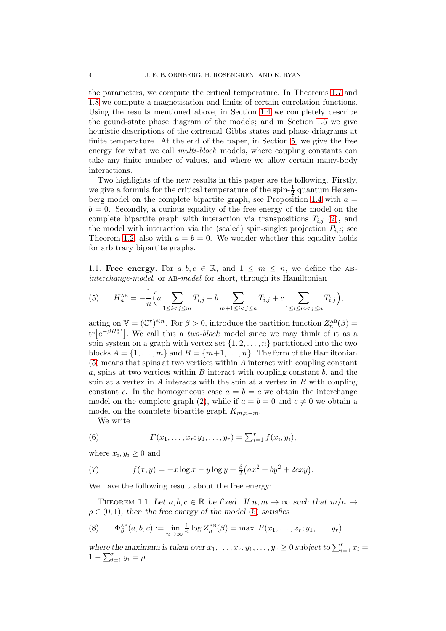the parameters, we compute the critical temperature. In Theorems [1.7](#page-6-1) and [1.8](#page-7-0) we compute a magnetisation and limits of certain correlation functions. Using the results mentioned above, in Section [1.4](#page-8-0) we completely describe the gound-state phase diagram of the models; and in Section [1.5](#page-10-0) we give heuristic descriptions of the extremal Gibbs states and phase driagrams at finite temperature. At the end of the paper, in Section [5,](#page-46-0) we give the free energy for what we call multi-block models, where coupling constants can take any finite number of values, and where we allow certain many-body interactions.

Two highlights of the new results in this paper are the following. Firstly, we give a formula for the critical temperature of the spin- $\frac{1}{2}$  quantum Heisen-berg model on the complete bipartite graph; see Proposition [1.4](#page-5-2) with  $a =$  $b = 0$ . Secondly, a curious equality of the free energy of the model on the complete bipartite graph with interaction via transpositions  $T_{i,j}$  [\(2\)](#page-1-2), and the model with interaction via the (scaled) spin-singlet projection  $P_{i,j}$ ; see Theorem [1.2,](#page-4-0) also with  $a = b = 0$ . We wonder whether this equality holds for arbitrary bipartite graphs.

<span id="page-3-0"></span>1.1. Free energy. For  $a, b, c \in \mathbb{R}$ , and  $1 \leq m \leq n$ , we define the ABinterchange-model, or AB-model for short, through its Hamiltonian

<span id="page-3-2"></span>(5) 
$$
H_n^{\text{AB}} = -\frac{1}{n} \left( a \sum_{1 \le i < j \le m} T_{i,j} + b \sum_{m+1 \le i < j \le n} T_{i,j} + c \sum_{1 \le i \le m < j \le n} T_{i,j} \right),
$$

acting on  $\mathbb{V} = (\mathbb{C}^r)^{\otimes n}$ . For  $\beta > 0$ , introduce the partition function  $Z_n^{\text{AB}}(\beta) =$  $\text{tr}\left[e^{-\beta H_n^{\text{AB}}}\right]$ . We call this a *two-block* model since we may think of it as a spin system on a graph with vertex set  $\{1, 2, \ldots, n\}$  partitioned into the two blocks  $A = \{1, \ldots, m\}$  and  $B = \{m+1, \ldots, n\}$ . The form of the Hamiltonian [\(5\)](#page-3-2) means that spins at two vertices within A interact with coupling constant  $a$ , spins at two vertices within  $B$  interact with coupling constant  $b$ , and the spin at a vertex in  $\tilde{A}$  interacts with the spin at a vertex in  $\tilde{B}$  with coupling constant c. In the homogeneous case  $a = b = c$  we obtain the interchange model on the complete graph [\(2\)](#page-1-2), while if  $a = b = 0$  and  $c \neq 0$  we obtain a model on the complete bipartite graph  $K_{m,n-m}$ .

<span id="page-3-3"></span>We write

(6) 
$$
F(x_1, ..., x_r; y_1, ..., y_r) = \sum_{i=1}^r f(x_i, y_i),
$$

where  $x_i, y_i \geq 0$  and

(7) 
$$
f(x,y) = -x \log x - y \log y + \frac{\beta}{2} (ax^2 + by^2 + 2cxy).
$$

We have the following result about the free energy:

<span id="page-3-1"></span>THEOREM 1.1. Let  $a, b, c \in \mathbb{R}$  be fixed. If  $n, m \to \infty$  such that  $m/n \to$  $\rho \in (0, 1)$ , then the free energy of the model [\(5\)](#page-3-2) satisfies

(8) 
$$
\Phi_{\beta}^{\text{AB}}(a,b,c) := \lim_{n \to \infty} \frac{1}{n} \log Z_n^{\text{AB}}(\beta) = \max F(x_1,\ldots,x_r;y_1,\ldots,y_r)
$$

where the maximum is taken over  $x_1, \ldots, x_r, y_1, \ldots, y_r \geq 0$  subject to  $\sum_{i=1}^r x_i =$  $1 - \sum_{i=1}^{r} y_i = \rho.$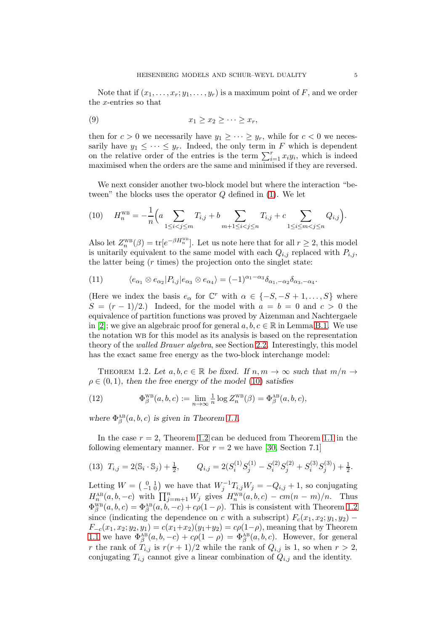Note that if  $(x_1, \ldots, x_r; y_1, \ldots, y_r)$  is a maximum point of F, and we order the x-entries so that

<span id="page-4-2"></span>
$$
(9) \t\t\t x_1 \geq x_2 \geq \cdots \geq x_r,
$$

then for  $c > 0$  we necessarily have  $y_1 \geq \cdots \geq y_r$ , while for  $c < 0$  we necessarily have  $y_1 \leq \cdots \leq y_r$ . Indeed, the only term in F which is dependent on the relative order of the entries is the term  $\sum_{i=1}^{r} x_i y_i$ , which is indeed maximised when the orders are the same and minimised if they are reversed.

We next consider another two-block model but where the interaction "between" the blocks uses the operator  $Q$  defined in  $(1)$ . We let

<span id="page-4-1"></span>(10) 
$$
H_n^{\text{WB}} = -\frac{1}{n} \left( a \sum_{1 \le i < j \le m} T_{i,j} + b \sum_{m+1 \le i < j \le n} T_{i,j} + c \sum_{1 \le i \le m < j \le n} Q_{i,j} \right).
$$

Also let  $Z_n^{\text{WB}}(\beta) = \text{tr}[e^{-\beta H_n^{\text{WB}}}]$ . Let us note here that for all  $r \geq 2$ , this model is unitarily equivalent to the same model with each  $Q_{i,j}$  replaced with  $P_{i,j}$ , the latter being  $(r \times)$  the projection onto the singlet state:

<span id="page-4-3"></span>(11) 
$$
\langle e_{\alpha_1} \otimes e_{\alpha_2} | P_{i,j} | e_{\alpha_3} \otimes e_{\alpha_4} \rangle = (-1)^{\alpha_1 - \alpha_3} \delta_{\alpha_1, -\alpha_2} \delta_{\alpha_3, -\alpha_4}.
$$

(Here we index the basis  $e_{\alpha}$  for  $\mathbb{C}^r$  with  $\alpha \in \{-S, -S+1, \ldots, S\}$  where  $S = (r-1)/2$ .) Indeed, for the model with  $a = b = 0$  and  $c > 0$  the equivalence of partition functions was proved by Aizenman and Nachtergaele in [\[2\]](#page-53-6); we give an algebraic proof for general  $a, b, c \in \mathbb{R}$  in Lemma [B.1.](#page-51-0) We use the notation WB for this model as its analysis is based on the representation theory of the walled Brauer algebra, see Section [2.2.](#page-16-0) Interestingly, this model has the exact same free energy as the two-block interchange model:

<span id="page-4-0"></span>THEOREM 1.2. Let  $a, b, c \in \mathbb{R}$  be fixed. If  $n, m \to \infty$  such that  $m/n \to$  $\rho \in (0, 1)$ , then the free energy of the model [\(10\)](#page-4-1) satisfies

(12) 
$$
\Phi_{\beta}^{\text{WB}}(a,b,c) := \lim_{n \to \infty} \frac{1}{n} \log Z_n^{\text{WB}}(\beta) = \Phi_{\beta}^{\text{AB}}(a,b,c),
$$

where  $\Phi_{\beta}^{\text{AB}}(a, b, c)$  is given in Theorem [1.1.](#page-3-1)

In the case  $r = 2$ , Theorem [1.2](#page-4-0) can be deduced from Theorem [1.1](#page-3-1) in the following elementary manner. For  $r = 2$  we have [\[30,](#page-54-2) Section 7.1]

$$
(13) \ \ T_{i,j} = 2(\mathbb{S}_i \cdot \mathbb{S}_j) + \frac{1}{2}, \qquad Q_{i,j} = 2(S_i^{(1)}S_j^{(1)} - S_i^{(2)}S_j^{(2)} + S_i^{(3)}S_j^{(3)}) + \frac{1}{2}.
$$

Letting  $W = \begin{pmatrix} 0 & 1 \\ -1 & 0 \end{pmatrix}$  we have that  $W_j^{-1}T_{i,j}W_j = -Q_{i,j} + 1$ , so conjugating  $H_n^{\text{AB}}(a, b, -c)$  with  $\prod_{j=m+1}^n W_j$  gives  $H_n^{\text{WB}}(a, b, c) - cm(n - m)/n$ . Thus  $\Phi_{\beta}^{\text{WB}}(a,b,c) = \Phi_{\beta}^{\text{AB}}(a,b,-c) + c\rho(1-\rho)$ . This is consistent with Theorem [1.2](#page-4-0) since (indicating the dependence on c with a subscript)  $F_c(x_1, x_2; y_1, y_2)$  –  $F_{-c}(x_1, x_2; y_2, y_1) = c(x_1+x_2)(y_1+y_2) = c\rho(1-\rho)$ , meaning that by Theorem [1.1](#page-3-1) we have  $\Phi_{\beta}^{\text{AB}}(a, b, -c) + c\rho(1-\rho) = \Phi_{\beta}^{\text{AB}}(a, b, c)$ . However, for general r the rank of  $T_{i,j}$  is  $r(r+1)/2$  while the rank of  $Q_{i,j}$  is 1, so when  $r > 2$ , conjugating  $T_{i,j}$  cannot give a linear combination of  $Q_{i,j}$  and the identity.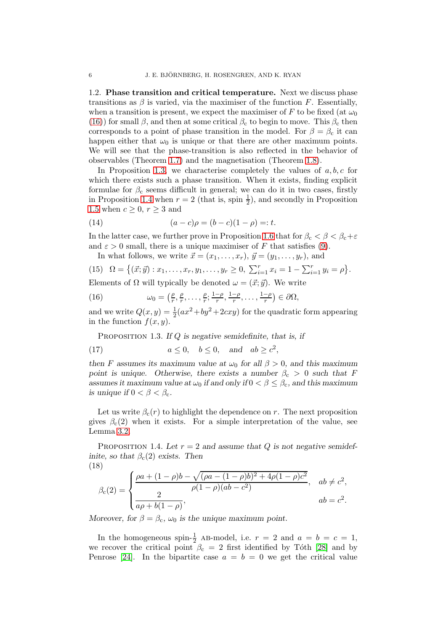<span id="page-5-0"></span>1.2. Phase transition and critical temperature. Next we discuss phase transitions as  $\beta$  is varied, via the maximiser of the function F. Essentially, when a transition is present, we expect the maximiser of F to be fixed (at  $\omega_0$ ) [\(16\)](#page-5-3)) for small  $\beta$ , and then at some critical  $\beta_c$  to begin to move. This  $\beta_c$  then corresponds to a point of phase transition in the model. For  $\beta = \beta_c$  it can happen either that  $\omega_0$  is unique or that there are other maximum points. We will see that the phase-transition is also reflected in the behavior of observables (Theorem [1.7\)](#page-6-1) and the magnetisation (Theorem [1.8\)](#page-7-0).

In Proposition [1.3,](#page-5-1) we characterise completely the values of  $a, b, c$  for which there exists such a phase transition. When it exists, finding explicit formulae for  $\beta_c$  seems difficult in general; we can do it in two cases, firstly in Proposition [1.4](#page-5-2) when  $r = 2$  (that is, spin  $\frac{1}{2}$ ), and secondly in Proposition [1.5](#page-6-2) when  $c \geq 0$ ,  $r \geq 3$  and

<span id="page-5-4"></span>(14) 
$$
(a-c)\rho = (b-c)(1-\rho) =: t.
$$

In the latter case, we further prove in Proposition [1.6](#page-6-3) that for  $\beta_c < \beta < \beta_c + \varepsilon$ and  $\varepsilon > 0$  small, there is a unique maximiser of F that satisfies [\(9\)](#page-4-2).

<span id="page-5-6"></span>In what follows, we write  $\vec{x} = (x_1, \ldots, x_r), \vec{y} = (y_1, \ldots, y_r)$ , and

(15) 
$$
\Omega = \{(\vec{x}; \vec{y}) : x_1, \dots, x_r, y_1, \dots, y_r \ge 0, \sum_{i=1}^r x_i = 1 - \sum_{i=1}^r y_i = \rho\}.
$$

Elements of  $\Omega$  will typically be denoted  $\omega = (\vec{x}; \vec{y})$ . We write

<span id="page-5-3"></span>(16) 
$$
\omega_0 = \left(\frac{\rho}{r}, \frac{\rho}{r}, \dots, \frac{\rho}{r}; \frac{1-\rho}{r}, \frac{1-\rho}{r}, \dots, \frac{1-\rho}{r}\right) \in \partial\Omega,
$$

and we write  $Q(x, y) = \frac{1}{2}(ax^2 + by^2 + 2cxy)$  for the quadratic form appearing in the function  $f(x, y)$ .

<span id="page-5-1"></span>PROPOSITION 1.3. If  $Q$  is negative semidefinite, that is, if

(17) 
$$
a \le 0
$$
,  $b \le 0$ , and  $ab \ge c^2$ ,

then F assumes its maximum value at  $\omega_0$  for all  $\beta > 0$ , and this maximum point is unique. Otherwise, there exists a number  $\beta_c > 0$  such that F assumes it maximum value at  $\omega_0$  if and only if  $0 < \beta \leq \beta_c$ , and this maximum is unique if  $0 < \beta < \beta_c$ .

Let us write  $\beta_c(r)$  to highlight the dependence on r. The next proposition gives  $\beta_c(2)$  when it exists. For a simple interpretation of the value, see Lemma [3.2.](#page-28-1)

<span id="page-5-2"></span>PROPOSITION 1.4. Let  $r = 2$  and assume that Q is not negative semidefinite, so that  $\beta_c(2)$  exists. Then (18)

<span id="page-5-5"></span>
$$
\beta_c(2) = \begin{cases} \frac{\rho a + (1 - \rho)b - \sqrt{(\rho a - (1 - \rho)b)^2 + 4\rho(1 - \rho)c^2}}{\rho(1 - \rho)(ab - c^2)}, & ab \neq c^2, \\ \frac{2}{a\rho + b(1 - \rho)}, & ab = c^2. \end{cases}
$$

Moreover, for  $\beta = \beta_c$ ,  $\omega_0$  is the unique maximum point.

In the homogeneous spin- $\frac{1}{2}$  AB-model, i.e.  $r = 2$  and  $a = b = c = 1$ , we recover the critical point  $\beta_c = 2$  first identified by Tóth [\[28\]](#page-54-3) and by Penrose [\[24\]](#page-53-13). In the bipartite case  $a = b = 0$  we get the critical value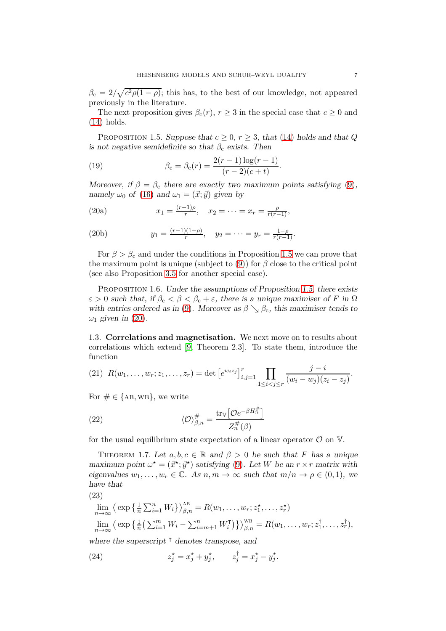$\beta_c = 2/\sqrt{c^2 \rho (1 - \rho)}$ ; this has, to the best of our knowledge, not appeared previously in the literature.

The next proposition gives  $\beta_c(r)$ ,  $r \geq 3$  in the special case that  $c \geq 0$  and [\(14\)](#page-5-4) holds.

<span id="page-6-2"></span>PROPOSITION 1.5. Suppose that  $c \geq 0$ ,  $r \geq 3$ , that [\(14\)](#page-5-4) holds and that Q is not negative semidefinite so that  $\beta_c$  exists. Then

<span id="page-6-8"></span>(19) 
$$
\beta_{\rm c} = \beta_{\rm c}(r) = \frac{2(r-1)\log(r-1)}{(r-2)(c+t)}.
$$

Moreover, if  $\beta = \beta_c$  there are exactly two maximum points satisfying [\(9\)](#page-4-2), namely  $\omega_0$  of [\(16\)](#page-5-3) and  $\omega_1 = (\vec{x}; \vec{y})$  given by

<span id="page-6-7"></span><span id="page-6-4"></span>(20a) 
$$
x_1 = \frac{(r-1)\rho}{r}, \quad x_2 = \cdots = x_r = \frac{\rho}{r(r-1)},
$$

(20b) 
$$
y_1 = \frac{(r-1)(1-\rho)}{r}, \quad y_2 = \cdots = y_r = \frac{1-\rho}{r(r-1)}.
$$

For  $\beta > \beta_c$  and under the conditions in Proposition [1.5](#page-6-2) we can prove that the maximum point is unique (subject to [\(9\)](#page-4-2)) for  $\beta$  close to the critical point (see also Proposition [3.5](#page-33-0) for another special case).

<span id="page-6-3"></span>Proposition 1.6. Under the assumptions of Proposition [1.5,](#page-6-2) there exists  $\varepsilon > 0$  such that, if  $\beta_c < \beta < \beta_c + \varepsilon$ , there is a unique maximiser of F in  $\Omega$ with entries ordered as in [\(9\)](#page-4-2). Moreover as  $\beta \searrow \beta_c$ , this maximiser tends to  $\omega_1$  given in [\(20\)](#page-6-4).

<span id="page-6-0"></span>1.3. Correlations and magnetisation. We next move on to results about correlations which extend [\[9,](#page-53-8) Theorem 2.3]. To state them, introduce the function

(21) 
$$
R(w_1, ..., w_r; z_1, ..., z_r) = \det [e^{w_i z_j}]_{i,j=1}^r \prod_{1 \leq i < j \leq r} \frac{j-i}{(w_i - w_j)(z_i - z_j)}.
$$

1

For  $\# \in \{AB, WB\}$ , we write

(22) 
$$
\langle \mathcal{O} \rangle_{\beta,n}^{\#} = \frac{\text{tr}_{\mathbb{V}} \left[ \mathcal{O} e^{-\beta H_n^{\#}} \right]}{Z_n^{\#}(\beta)}
$$

for the usual equilibrium state expectation of a linear operator  $\mathcal O$  on  $\mathbb V$ .

<span id="page-6-1"></span>THEOREM 1.7. Let  $a, b, c \in \mathbb{R}$  and  $\beta > 0$  be such that F has a unique maximum point  $\omega^* = (\vec{x}^*, \vec{y}^*)$  satisfying [\(9\)](#page-4-2). Let W be an  $r \times r$  matrix with eigenvalues  $w_1, \ldots, w_r \in \mathbb{C}$ . As  $n, m \to \infty$  such that  $m/n \to \rho \in (0, 1)$ , we have that

$$
(23)
$$

<span id="page-6-6"></span>
$$
\lim_{n \to \infty} \left\langle \exp\left\{ \frac{1}{n} \sum_{i=1}^n W_i \right\} \right\rangle_{\beta,n}^{\text{AB}} = R(w_1, \dots, w_r; z_1^{\star}, \dots, z_r^{\star})
$$
\n
$$
\lim_{n \to \infty} \left\langle \exp\left\{ \frac{1}{n} \left( \sum_{i=1}^m W_i - \sum_{i=m+1}^n W_i^{\mathsf{T}} \right) \right\} \right\rangle_{\beta,n}^{\text{WB}} = R(w_1, \dots, w_r; z_1^{\dagger}, \dots, z_r^{\dagger}),
$$

where the superscript <sup>⊺</sup> denotes transpose, and

<span id="page-6-5"></span>(24) 
$$
z_j^* = x_j^* + y_j^*, \qquad z_j^{\dagger} = x_j^* - y_j^*.
$$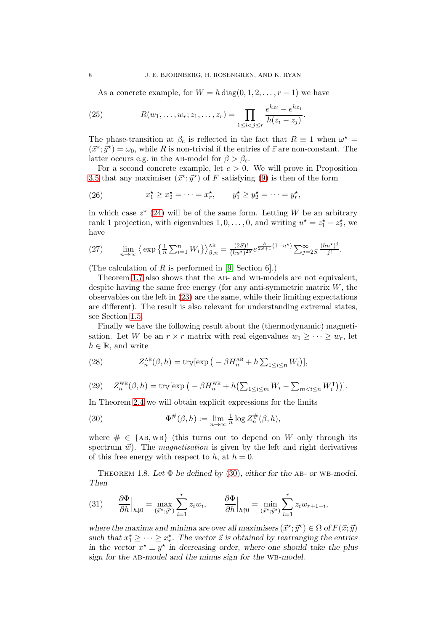<span id="page-7-2"></span>As a concrete example, for  $W = h \text{ diag}(0, 1, 2, \ldots, r - 1)$  we have

(25) 
$$
R(w_1, ..., w_r; z_1, ..., z_r) = \prod_{1 \leq i < j \leq r} \frac{e^{hz_i} - e^{hz_j}}{h(z_i - z_j)}.
$$

The phase-transition at  $\beta_c$  is reflected in the fact that  $R \equiv 1$  when  $\omega^* =$  $(\vec{x}^*, \vec{y}^*) = \omega_0$ , while R is non-trivial if the entries of  $\vec{z}$  are non-constant. The latter occurs e.g. in the AB-model for  $\beta > \beta_c$ .

For a second concrete example, let  $c > 0$ . We will prove in Proposition [3.5](#page-33-0) that any maximiser  $(\vec{x}^*, \vec{y}^*)$  of F satisfying [\(9\)](#page-4-2) is then of the form

(26) 
$$
x_1^* \ge x_2^* = \cdots = x_r^*, \qquad y_1^* \ge y_2^* = \cdots = y_r^*,
$$

in which case  $z^*$  [\(24\)](#page-6-5) will be of the same form. Letting W be an arbitrary rank 1 projection, with eigenvalues  $1, 0, \ldots, 0$ , and writing  $u^* = z_1^* - z_2^*$ , we have

(27) 
$$
\lim_{n \to \infty} \left\langle \exp\left\{\frac{1}{n} \sum_{i=1}^n W_i\right\} \right\rangle_{\beta,n}^{AB} = \frac{(2S)!}{(hu^*)^{2S}} e^{\frac{h}{2S+1}(1-u^*)} \sum_{j=2S}^{\infty} \frac{(hu^*)^j}{j!}.
$$

(The calculation of  $R$  is performed in [\[9,](#page-53-8) Section 6].)

Theorem [1.7](#page-6-1) also shows that the AB- and WB-models are not equivalent, despite having the same free energy (for any anti-symmetric matrix  $W$ , the observables on the left in [\(23\)](#page-6-6) are the same, while their limiting expectations are different). The result is also relevant for understanding extremal states, see Section [1.5.](#page-10-0)

Finally we have the following result about the (thermodynamic) magnetisation. Let W be an  $r \times r$  matrix with real eigenvalues  $w_1 \geq \cdots \geq w_r$ , let  $h \in \mathbb{R}$ , and write

<span id="page-7-3"></span>(28) 
$$
Z_n^{\text{AB}}(\beta, h) = \text{tr}_{\mathbb{V}}[\exp\big(-\beta H_n^{\text{AB}} + h\sum_{1 \leq i \leq n} W_i\big)],
$$

<span id="page-7-4"></span>(29) 
$$
Z_n^{\text{WB}}(\beta, h) = \text{tr}_{\mathbb{V}}[\exp\left(-\beta H_n^{\text{WB}} + h\left(\sum_{1 \leq i \leq m} W_i - \sum_{m < i \leq n} W_i^{\text{T}}\right)\right)].
$$

In Theorem [2.4](#page-23-1) we will obtain explicit expressions for the limits

<span id="page-7-1"></span>(30) 
$$
\Phi^{\#}(\beta, h) := \lim_{n \to \infty} \frac{1}{n} \log Z_n^{\#}(\beta, h),
$$

where  $\# \in \{AB, WB\}$  (this turns out to depend on W only through its spectrum  $\vec{w}$ ). The *magnetisation* is given by the left and right derivatives of this free energy with respect to h, at  $h = 0$ .

<span id="page-7-0"></span>THEOREM 1.8. Let  $\Phi$  be defined by [\(30\)](#page-7-1), either for the AB- or WB-model. Then

(31) 
$$
\frac{\partial \Phi}{\partial h}\Big|_{h\downarrow 0} = \max_{(\vec{x}^*, \vec{y}^*)} \sum_{i=1}^r z_i w_i, \qquad \frac{\partial \Phi}{\partial h}\Big|_{h\uparrow 0} = \min_{(\vec{x}^*, \vec{y}^*)} \sum_{i=1}^r z_i w_{r+1-i},
$$

where the maxima and minima are over all maximisers  $(\vec{x}^*, \vec{y}^*) \in \Omega$  of  $F(\vec{x}; \vec{y})$ such that  $x_1^* \geq \cdots \geq x_r^*$ . The vector  $\vec{z}$  is obtained by rearranging the entries in the vector  $x^* \pm y^*$  in decreasing order, where one should take the plus sign for the AB-model and the minus sign for the WB-model.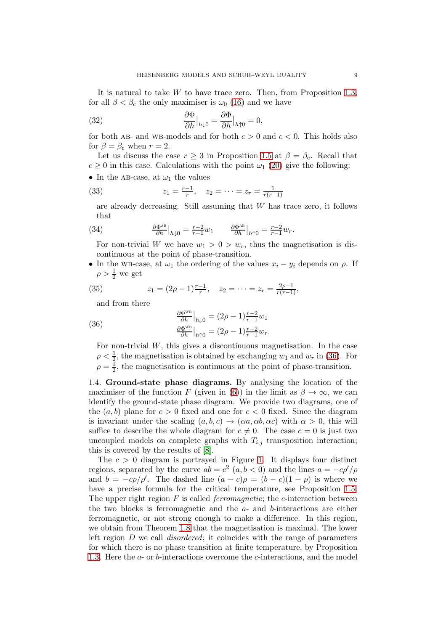It is natural to take  $W$  to have trace zero. Then, from Proposition [1.3,](#page-5-1) for all  $\beta < \beta_c$  the only maximiser is  $\omega_0$  [\(16\)](#page-5-3) and we have

(32) 
$$
\frac{\partial \Phi}{\partial h}\big|_{h \downarrow 0} = \frac{\partial \Phi}{\partial h}\big|_{h \uparrow 0} = 0,
$$

for both AB- and WB-models and for both  $c > 0$  and  $c < 0$ . This holds also for  $\beta = \beta_c$  when  $r = 2$ .

Let us discuss the case  $r \geq 3$  in Proposition [1.5](#page-6-2) at  $\beta = \beta_c$ . Recall that  $c \geq 0$  in this case. Calculations with the point  $\omega_1$  [\(20\)](#page-6-4) give the following:

• In the AB-case, at  $\omega_1$  the values

(33) 
$$
z_1 = \frac{r-1}{r}, \quad z_2 = \dots = z_r = \frac{1}{r(r-1)}
$$

are already decreasing. Still assuming that W has trace zero, it follows that

(34) 
$$
\frac{\partial \Phi^{\text{AB}}}{\partial h}\big|_{h\downarrow 0} = \frac{r-2}{r-1}w_1 \qquad \frac{\partial \Phi^{\text{AB}}}{\partial h}\big|_{h\uparrow 0} = \frac{r-2}{r-1}w_r.
$$

For non-trivial W we have  $w_1 > 0 > w_r$ , thus the magnetisation is discontinuous at the point of phase-transition.

• In the wB-case, at  $\omega_1$  the ordering of the values  $x_i - y_i$  depends on  $\rho$ . If  $\rho > \frac{1}{2}$  we get

(35) 
$$
z_1 = (2\rho - 1)\frac{r-1}{r}, \quad z_2 = \cdots = z_r = \frac{2\rho - 1}{r(r-1)},
$$

and from there

<span id="page-8-1"></span>(36) 
$$
\frac{\partial \Phi^{\text{WB}}}{\partial h}\Big|_{h\downarrow 0} = (2\rho - 1)\frac{r-2}{r-1}w_1
$$

$$
\frac{\partial \Phi^{\text{WB}}}{\partial h}\Big|_{h\uparrow 0} = (2\rho - 1)\frac{r-2}{r-1}w_r.
$$

For non-trivial W, this gives a discontinuous magnetisation. In the case  $\rho < \frac{1}{2}$ , the magnetisation is obtained by exchanging  $w_1$  and  $w_r$  in [\(36\)](#page-8-1). For  $\rho = \frac{1}{2}$ , the magnetisation is continuous at the point of phase-transition.

<span id="page-8-0"></span>1.4. Ground-state phase diagrams. By analysing the location of the maximiser of the function F (given in [\(6\)](#page-3-3)) in the limit as  $\beta \to \infty$ , we can identify the ground-state phase diagram. We provide two diagrams, one of the  $(a, b)$  plane for  $c > 0$  fixed and one for  $c < 0$  fixed. Since the diagram is invariant under the scaling  $(a, b, c) \rightarrow (\alpha a, \alpha b, \alpha c)$  with  $\alpha > 0$ , this will suffice to describe the whole diagram for  $c \neq 0$ . The case  $c = 0$  is just two uncoupled models on complete graphs with  $T_{i,j}$  transposition interaction; this is covered by the results of [\[8\]](#page-53-7).

The  $c > 0$  diagram is portrayed in Figure [1.](#page-9-0) It displays four distinct regions, separated by the curve  $ab = c^2$   $(a, b < 0)$  and the lines  $a = -c\rho'/\rho$ and  $b = -c\rho/\rho'$ . The dashed line  $(a - c)\rho = (b - c)(1 - \rho)$  is where we have a precise formula for the critical temperature, see Proposition [1.5.](#page-6-2) The upper right region  $F$  is called *ferromagnetic*; the *c*-interaction between the two blocks is ferromagnetic and the  $a$ - and  $b$ -interactions are either ferromagnetic, or not strong enough to make a difference. In this region, we obtain from Theorem [1.8](#page-7-0) that the magnetisation is maximal. The lower left region  $D$  we call *disordered*; it coincides with the range of parameters for which there is no phase transition at finite temperature, by Proposition [1.3.](#page-5-1) Here the a- or b-interactions overcome the c-interactions, and the model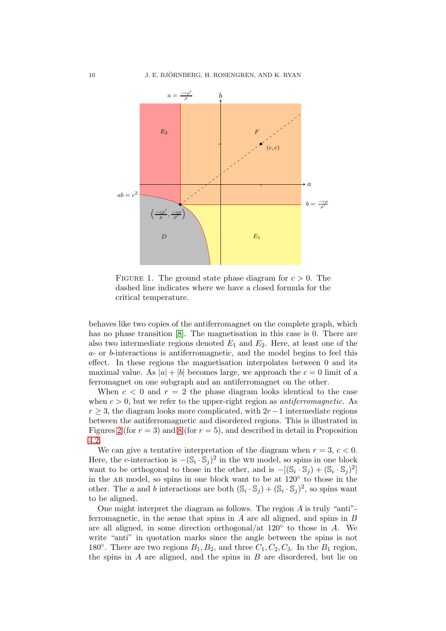<span id="page-9-0"></span>

FIGURE 1. The ground state phase diagram for  $c > 0$ . The dashed line indicates where we have a closed formula for the critical temperature.

behaves like two copies of the antiferromagnet on the complete graph, which has no phase transition [\[8\]](#page-53-7). The magnetisation in this case is 0. There are also two intermediate regions denoted  $E_1$  and  $E_2$ . Here, at least one of the a- or b-interactions is antiferromagnetic, and the model begins to feel this effect. In these regions the magnetisation interpolates between 0 and its maximal value. As  $|a| + |b|$  becomes large, we approach the  $c = 0$  limit of a ferromagnet on one subgraph and an antiferromagnet on the other.

When  $c < 0$  and  $r = 2$  the phase diagram looks identical to the case when  $c > 0$ , but we refer to the upper-right region as *antiferromagnetic*. As  $r \geq 3$ , the diagram looks more complicated, with 2r – 1 intermediate regions between the antiferromagnetic and disordered regions. This is illustrated in Figures [2](#page-10-1) (for  $r = 3$ ) and [8](#page-42-0) (for  $r = 5$ ), and described in detail in Proposition [4.2.](#page-41-0)

We can give a tentative interpretation of the diagram when  $r = 3, c < 0$ . Here, the c-interaction is  $-(\mathbb{S}_i \cdot \mathbb{S}_j)^2$  in the WB model, so spins in one block want to be orthogonal to those in the other, and is  $-[(\mathbb{S}_i \cdot \mathbb{S}_j) + (\mathbb{S}_i \cdot \mathbb{S}_j)^2]$ in the ab model, so spins in one block want to be at 120◦ to those in the other. The a and b interactions are both  $(\mathbb{S}_i \cdot \mathbb{S}_j) + (\mathbb{S}_i \cdot \mathbb{S}_j)^2$ , so spins want to be aligned.

One might interpret the diagram as follows. The region  $A$  is truly "anti"ferromagnetic, in the sense that spins in  $A$  are all aligned, and spins in  $B$ are all aligned, in some direction orthogonal/at 120◦ to those in A. We write "anti" in quotation marks since the angle between the spins is not 180 $\degree$ . There are two regions  $B_1, B_2$ , and three  $C_1, C_2, C_3$ . In the  $B_1$  region, the spins in  $A$  are aligned, and the spins in  $B$  are disordered, but lie on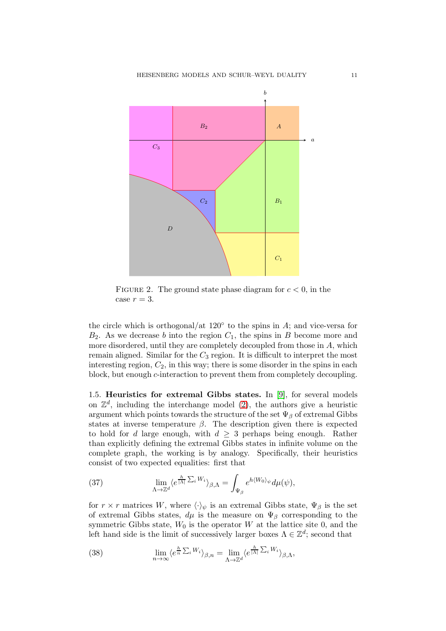<span id="page-10-1"></span>

FIGURE 2. The ground state phase diagram for  $c < 0$ , in the case  $r = 3$ .

the circle which is orthogonal/at  $120^{\circ}$  to the spins in A; and vice-versa for  $B_2$ . As we decrease b into the region  $C_1$ , the spins in B become more and more disordered, until they are completely decoupled from those in  $A$ , which remain aligned. Similar for the  $C_3$  region. It is difficult to interpret the most interesting region,  $C_2$ , in this way; there is some disorder in the spins in each block, but enough c-interaction to prevent them from completely decoupling.

<span id="page-10-0"></span>1.5. Heuristics for extremal Gibbs states. In [\[9\]](#page-53-8), for several models on  $\mathbb{Z}^d$ , including the interchange model [\(2\)](#page-1-2), the authors give a heuristic argument which points towards the structure of the set  $\Psi_\beta$  of extremal Gibbs states at inverse temperature  $\beta$ . The description given there is expected to hold for d large enough, with  $d \geq 3$  perhaps being enough. Rather than explicitly defining the extremal Gibbs states in infinite volume on the complete graph, the working is by analogy. Specifically, their heuristics consist of two expected equalities: first that

<span id="page-10-3"></span>(37) 
$$
\lim_{\Lambda \to \mathbb{Z}^d} \langle e^{\frac{h}{|\Lambda|} \sum_i W_i} \rangle_{\beta,\Lambda} = \int_{\Psi_\beta} e^{h \langle W_0 \rangle_{\psi}} d\mu(\psi),
$$

for  $r \times r$  matrices W, where  $\langle \cdot \rangle_{\psi}$  is an extremal Gibbs state,  $\Psi_{\beta}$  is the set of extremal Gibbs states,  $d\mu$  is the measure on  $\Psi_\beta$  corresponding to the symmetric Gibbs state,  $W_0$  is the operator W at the lattice site 0, and the left hand side is the limit of successively larger boxes  $\Lambda \in \mathbb{Z}^d$ ; second that

<span id="page-10-2"></span>(38) 
$$
\lim_{n \to \infty} \langle e^{\frac{h}{n} \sum_{i} W_i} \rangle_{\beta, n} = \lim_{\Lambda \to \mathbb{Z}^d} \langle e^{\frac{h}{|\Lambda|} \sum_{i} W_i} \rangle_{\beta, \Lambda},
$$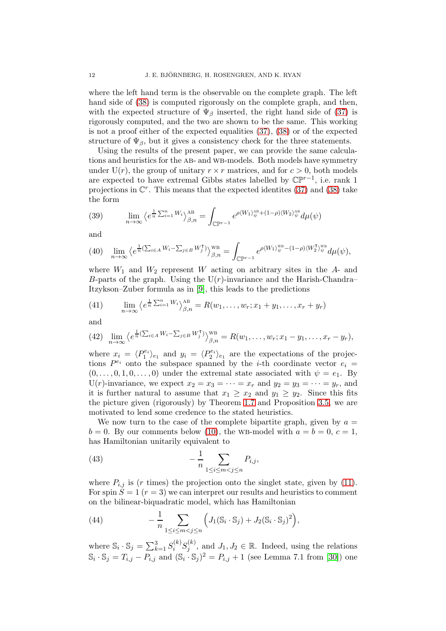where the left hand term is the observable on the complete graph. The left hand side of [\(38\)](#page-10-2) is computed rigorously on the complete graph, and then, with the expected structure of  $\Psi_{\beta}$  inserted, the right hand side of [\(37\)](#page-10-3) is rigorously computed, and the two are shown to be the same. This working is not a proof either of the expected equalities [\(37\)](#page-10-3), [\(38\)](#page-10-2) or of the expected structure of  $\Psi_{\beta}$ , but it gives a consistency check for the three statements.

Using the results of the present paper, we can provide the same calculations and heuristics for the AB- and WB-models. Both models have symmetry under U(r), the group of unitary  $r \times r$  matrices, and for  $c > 0$ , both models are expected to have extremal Gibbs states labelled by  $\mathbb{CP}^{r-1}$ , i.e. rank 1 projections in  $\mathbb{C}^r$ . This means that the expected identites [\(37\)](#page-10-3) and [\(38\)](#page-10-2) take the form

(39) 
$$
\lim_{n \to \infty} \left\langle e^{\frac{1}{n} \sum_{i=1}^n W_i} \right\rangle_{\beta,n}^{AB} = \int_{\mathbb{CP}^{r-1}} e^{\rho \langle W_1 \rangle_{\psi}^{AB} + (1-\rho) \langle W_2 \rangle_{\psi}^{AB}} d\mu(\psi)
$$

and

(40) 
$$
\lim_{n \to \infty} \left\langle e^{\frac{1}{n} \left( \sum_{i \in A} W_i - \sum_{j \in B} W_j^{\mathsf{T}} \right)} \right\rangle_{\beta, n}^{\text{WB}} = \int_{\mathbb{CP}^{r-1}} e^{\rho \left\langle W_1 \right\rangle_{\psi}^{\text{WB}} - (1 - \rho) \left\langle W_2^{\mathsf{T}} \right\rangle_{\psi}^{\text{WB}} } d\mu(\psi),
$$

where  $W_1$  and  $W_2$  represent W acting on arbitrary sites in the  $A$ - and B-parts of the graph. Using the  $U(r)$ -invariance and the Harish-Chandra– Itzykson–Zuber formula as in [\[9\]](#page-53-8), this leads to the predictions

(41) 
$$
\lim_{n \to \infty} \left\langle e^{\frac{1}{n} \sum_{i=1}^n W_i} \right\rangle_{\beta, n}^{AB} = R(w_1, \dots, w_r; x_1 + y_1, \dots, x_r + y_r)
$$

and

(42) 
$$
\lim_{n\to\infty}\left\langle e^{\frac{1}{n}(\sum_{i\in A}W_i-\sum_{j\in B}W_j^{\intercal})}\right\rangle_{\beta,n}^{\text{WB}}=R(w_1,\ldots,w_r;x_1-y_1,\ldots,x_r-y_r),
$$

where  $x_i = \langle P_1^{e_i} \rangle_{e_1}$  and  $y_i = \langle P_2^{e_i} \rangle_{e_1}$  are the expectations of the projections  $P^{e_i}$  onto the subspace spanned by the *i*-th coordinate vector  $e_i =$  $(0, \ldots, 0, 1, 0, \ldots, 0)$  under the extremal state associated with  $\psi = e_1$ . By U(r)-invariance, we expect  $x_2 = x_3 = \cdots = x_r$  and  $y_2 = y_3 = \cdots = y_r$ , and it is further natural to assume that  $x_1 \geq x_2$  and  $y_1 \geq y_2$ . Since this fits the picture given (rigorously) by Theorem [1.7](#page-6-1) and Proposition [3.5,](#page-33-0) we are motivated to lend some credence to the stated heuristics.

We now turn to the case of the complete bipartite graph, given by  $a =$  $b = 0$ . By our comments below [\(10\)](#page-4-1), the WB-model with  $a = b = 0, c = 1$ , has Hamiltonian unitarily equivalent to

<span id="page-11-1"></span>(43) 
$$
-\frac{1}{n}\sum_{1\leq i\leq m
$$

where  $P_{i,j}$  is (r times) the projection onto the singlet state, given by [\(11\)](#page-4-3). For spin  $S = 1$   $(r = 3)$  we can interpret our results and heuristics to comment on the bilinear-biquadratic model, which has Hamiltonian

<span id="page-11-0"></span>(44) 
$$
- \frac{1}{n} \sum_{1 \le i \le m < j \le n} \Big( J_1(\mathbb{S}_i \cdot \mathbb{S}_j) + J_2(\mathbb{S}_i \cdot \mathbb{S}_j)^2 \Big),
$$

where  $\mathbb{S}_i \cdot \mathbb{S}_j = \sum_{k=1}^3 S_i^{(k)} S_j^{(k)}$  $j^{(k)}$ , and  $J_1, J_2 \in \mathbb{R}$ . Indeed, using the relations  $\mathbb{S}_i \cdot \mathbb{S}_j = T_{i,j} - P_{i,j}$  and  $(\mathbb{S}_i \cdot \mathbb{S}_j)^2 = P_{i,j} + 1$  (see Lemma 7.1 from [\[30\]](#page-54-2)) one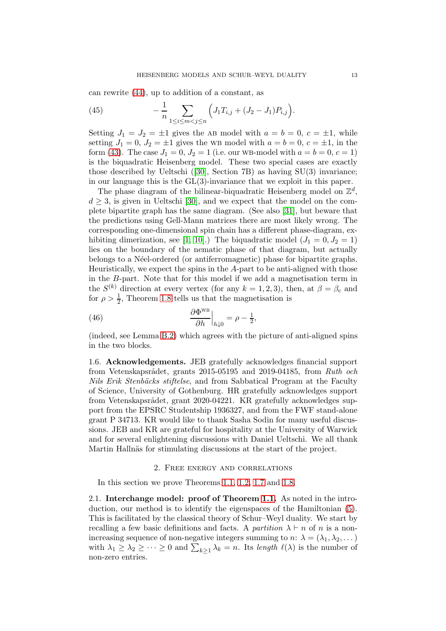can rewrite [\(44\)](#page-11-0), up to addition of a constant, as

(45) 
$$
-\frac{1}{n}\sum_{1\leq i\leq m
$$

Setting  $J_1 = J_2 = \pm 1$  gives the AB model with  $a = b = 0, c = \pm 1$ , while setting  $J_1 = 0$ ,  $J_2 = \pm 1$  gives the WB model with  $a = b = 0$ ,  $c = \pm 1$ , in the form [\(43\)](#page-11-1). The case  $J_1 = 0$ ,  $J_2 = 1$  (i.e. our WB-model with  $a = b = 0$ ,  $c = 1$ ) is the biquadratic Heisenberg model. These two special cases are exactly those described by Ueltschi([\[30\]](#page-54-2), Section 7B) as having SU(3) invariance; in our language this is the GL(3)-invariance that we exploit in this paper.

The phase diagram of the bilinear-biquadratic Heisenberg model on  $\mathbb{Z}^d$ ,  $d \geq 3$ , is given in Ueltschi [\[30\]](#page-54-2), and we expect that the model on the complete bipartite graph has the same diagram. (See also [\[31\]](#page-54-4), but beware that the predictions using Gell-Mann matrices there are most likely wrong. The corresponding one-dimensional spin chain has a different phase-diagram, ex-hibiting dimerization, see [\[1,](#page-53-14) [10\]](#page-53-15).) The biquadratic model  $(J_1 = 0, J_2 = 1)$ lies on the boundary of the nematic phase of that diagram, but actually belongs to a N´eel-ordered (or antiferromagnetic) phase for bipartite graphs. Heuristically, we expect the spins in the A-part to be anti-aligned with those in the B-part. Note that for this model if we add a magnetisation term in the  $S^{(k)}$  direction at every vertex (for any  $k = 1, 2, 3$ ), then, at  $\beta = \beta_c$  and for  $\rho > \frac{1}{2}$ , Theorem [1.8](#page-7-0) tells us that the magnetisation is

(46) 
$$
\frac{\partial \Phi^{\text{WB}}}{\partial h}\Big|_{h\downarrow 0} = \rho - \frac{1}{2},
$$

(indeed, see Lemma [B.2\)](#page-52-0) which agrees with the picture of anti-aligned spins in the two blocks.

<span id="page-12-0"></span>1.6. Acknowledgements. JEB gratefully acknowledges financial support from Vetenskapsrådet, grants 2015-05195 and 2019-04185, from Ruth och Nils Erik Stenbäcks stiftelse, and from Sabbatical Program at the Faculty of Science, University of Gothenburg. HR gratefully acknowledges support from Vetenskapsrådet, grant 2020-04221. KR gratefully acknowledges support from the EPSRC Studentship 1936327, and from the FWF stand-alone grant P 34713. KR would like to thank Sasha Sodin for many useful discussions. JEB and KR are grateful for hospitality at the University of Warwick and for several enlightening discussions with Daniel Ueltschi. We all thank Martin Hallnäs for stimulating discussions at the start of the project.

#### 2. Free energy and correlations

<span id="page-12-1"></span>In this section we prove Theorems [1.1,](#page-3-1) [1.2,](#page-4-0) [1.7](#page-6-1) and [1.8.](#page-7-0)

<span id="page-12-2"></span>2.1. Interchange model: proof of Theorem [1.1.](#page-3-1) As noted in the introduction, our method is to identify the eigenspaces of the Hamiltonian [\(5\)](#page-3-2). This is facilitated by the classical theory of Schur–Weyl duality. We start by recalling a few basic definitions and facts. A partition  $\lambda \vdash n$  of n is a nonincreasing sequence of non-negative integers summing to  $n: \lambda = (\lambda_1, \lambda_2, \dots)$ with  $\lambda_1 \geq \lambda_2 \geq \cdots \geq 0$  and  $\sum_{k\geq 1} \lambda_k = n$ . Its length  $\ell(\lambda)$  is the number of non-zero entries.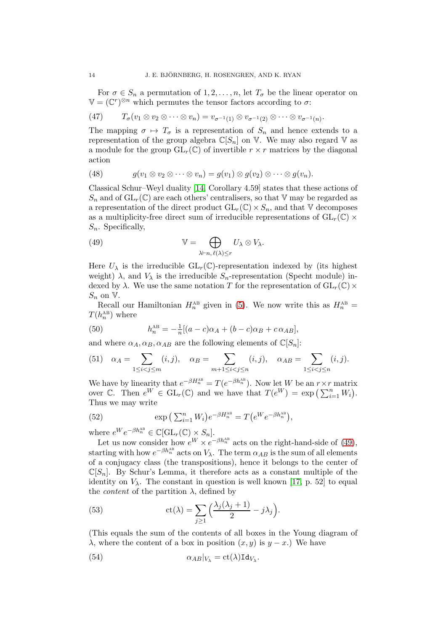For  $\sigma \in S_n$  a permutation of  $1, 2, \ldots, n$ , let  $T_{\sigma}$  be the linear operator on  $\mathbb{V} = (\mathbb{C}^r)^{\otimes n}$  which permutes the tensor factors according to  $\sigma$ :

<span id="page-13-2"></span>(47) 
$$
T_{\sigma}(v_1 \otimes v_2 \otimes \cdots \otimes v_n) = v_{\sigma^{-1}(1)} \otimes v_{\sigma^{-1}(2)} \otimes \cdots \otimes v_{\sigma^{-1}(n)}.
$$

The mapping  $\sigma \mapsto T_{\sigma}$  is a representation of  $S_n$  and hence extends to a representation of the group algebra  $\mathbb{C}[S_n]$  on V. We may also regard V as a module for the group  $GL_r(\mathbb{C})$  of invertible  $r \times r$  matrices by the diagonal action

(48) 
$$
g(v_1 \otimes v_2 \otimes \cdots \otimes v_n) = g(v_1) \otimes g(v_2) \otimes \cdots \otimes g(v_n).
$$

Classical Schur–Weyl duality [\[14,](#page-53-9) Corollary 4.59] states that these actions of  $S_n$  and of  $GL_r(\mathbb{C})$  are each others' centralisers, so that V may be regarded as a representation of the direct product  $GL_r(\mathbb{C}) \times S_n$ , and that V decomposes as a multiplicity-free direct sum of irreducible representations of  $GL_r(\mathbb{C})$  ×  $S_n$ . Specifically,

<span id="page-13-0"></span>(49) 
$$
\mathbb{V} = \bigoplus_{\lambda \vdash n, \ell(\lambda) \leq r} U_{\lambda} \otimes V_{\lambda}.
$$

Here  $U_{\lambda}$  is the irreducible  $GL_r(\mathbb{C})$ -representation indexed by (its highest weight)  $\lambda$ , and  $V_{\lambda}$  is the irreducible  $S_n$ -representation (Specht module) indexed by  $\lambda$ . We use the same notation T for the representation of  $GL_r(\mathbb{C})$  ×  $S_n$  on  $V$ .

Recall our Hamiltonian  $H_n^{\text{AB}}$  given in [\(5\)](#page-3-2). We now write this as  $H_n^{\text{AB}} =$  $T(h_n^{\text{AB}})$  where

(50) 
$$
h_n^{\text{AB}} = -\frac{1}{n} [(a-c)\alpha_A + (b-c)\alpha_B + c \alpha_{AB}],
$$

and where  $\alpha_A, \alpha_B, \alpha_{AB}$  are the following elements of  $\mathbb{C}[S_n]$ :

(51) 
$$
\alpha_A = \sum_{1 \le i < j \le m} (i, j), \quad \alpha_B = \sum_{m+1 \le i < j \le n} (i, j), \quad \alpha_{AB} = \sum_{1 \le i < j \le n} (i, j).
$$

We have by linearity that  $e^{-\beta H_n^{\text{AB}}} = T(e^{-\beta h_n^{\text{AB}}})$ . Now let W be an  $r \times r$  matrix over  $\mathbb{C}$ . Then  $e^W \in GL_r(\mathbb{C})$  and we have that  $T(e^W) = \exp\left(\sum_{i=1}^n W_i\right)$ . Thus we may write

(52) 
$$
\exp\left(\sum_{i=1}^{n} W_i\right) e^{-\beta H_n^{\text{AB}}} = T\left(e^{W} e^{-\beta h_n^{\text{AB}}}\right),
$$

where  $e^W e^{-\beta h_n^{\text{AB}}} \in \mathbb{C}[\mathrm{GL}_r(\mathbb{C}) \times S_n].$ 

Let us now consider how  $e^W \times e^{-\beta h_n^{\text{AB}}}$  acts on the right-hand-side of [\(49\)](#page-13-0), starting with how  $e^{-\beta h_n^{AB}}$  acts on  $V_\lambda$ . The term  $\alpha_{AB}$  is the sum of all elements of a conjugacy class (the transpositions), hence it belongs to the center of  $\mathbb{C}[S_n]$ . By Schur's Lemma, it therefore acts as a constant multiple of the identity on  $V_\lambda$ . The constant in question is well known [\[17,](#page-53-16) p. 52] to equal the *content* of the partition  $\lambda$ , defined by

<span id="page-13-1"></span>(53) 
$$
\operatorname{ct}(\lambda) = \sum_{j\geq 1} \left( \frac{\lambda_j(\lambda_j+1)}{2} - j\lambda_j \right).
$$

(This equals the sum of the contents of all boxes in the Young diagram of  $\lambda$ , where the content of a box in position  $(x, y)$  is  $y - x$ .) We have

(54) 
$$
\alpha_{AB}|_{V_{\lambda}} = \text{ct}(\lambda) \text{Id}_{V_{\lambda}}.
$$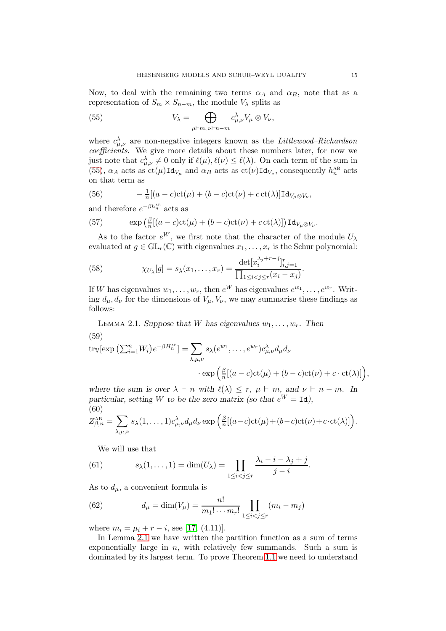Now, to deal with the remaining two terms  $\alpha_A$  and  $\alpha_B$ , note that as a representation of  $S_m \times S_{n-m}$ , the module  $V_\lambda$  splits as

<span id="page-14-0"></span>(55) 
$$
V_{\lambda} = \bigoplus_{\mu \vdash m, \nu \vdash n-m} c_{\mu,\nu}^{\lambda} V_{\mu} \otimes V_{\nu},
$$

where  $c_{\mu,\nu}^{\lambda}$  are non-negative integers known as the *Littlewood–Richardson* coefficients. We give more details about these numbers later, for now we just note that  $c^{\lambda}_{\mu,\nu} \neq 0$  only if  $\ell(\mu), \ell(\nu) \leq \ell(\lambda)$ . On each term of the sum in [\(55\)](#page-14-0),  $\alpha_A$  acts as  $ct(\mu) \text{Id}_{V_\mu}$  and  $\alpha_B$  acts as  $ct(\nu) \text{Id}_{V_\nu}$ , consequently  $h_n^{\text{AB}}$  acts on that term as

(56) 
$$
-\frac{1}{n}[(a-c)\mathrm{ct}(\mu)+(b-c)\mathrm{ct}(\nu)+c\,\mathrm{ct}(\lambda)]\mathrm{Id}_{V_{\mu}\otimes V_{\nu}},
$$

and therefore  $e^{-\beta h_n^{\text{AB}}}$  acts as

(57) 
$$
\exp\left(\frac{\beta}{n}[(a-c)\mathrm{ct}(\mu)+(b-c)\mathrm{ct}(\nu)+c\,\mathrm{ct}(\lambda)]\right)\mathrm{Id}_{V_{\mu}\otimes V_{\nu}}.
$$

As to the factor  $e^W$ , we first note that the character of the module  $U_\lambda$ evaluated at  $g \in GL_r(\mathbb{C})$  with eigenvalues  $x_1, \ldots, x_r$  is the Schur polynomial:

<span id="page-14-5"></span>(58) 
$$
\chi_{U_{\lambda}}[g] = s_{\lambda}(x_1, ..., x_r) = \frac{\det[x_i^{\lambda_j+r-j}]_{i,j=1}^r}{\prod_{1 \le i < j \le r} (x_i - x_j)}.
$$

If W has eigenvalues  $w_1, \ldots, w_r$ , then  $e^W$  has eigenvalues  $e^{w_1}, \ldots, e^{w_r}$ . Writing  $d_{\mu}, d_{\nu}$  for the dimensions of  $V_{\mu}, V_{\nu}$ , we may summarise these findings as follows:

<span id="page-14-1"></span>LEMMA 2.1. Suppose that W has eigenvalues  $w_1, \ldots, w_r$ . Then (59)

<span id="page-14-6"></span>
$$
\text{tr}_{\mathbb{V}}[\exp\left(\sum_{i=1}^{n}W_{i}\right)e^{-\beta H_{n}^{\text{AB}}}]=\sum_{\lambda,\mu,\nu}s_{\lambda}(e^{w_{1}},\ldots,e^{w_{r}})c_{\mu,\nu}^{\lambda}d_{\mu}d_{\nu}
$$

$$
\cdot \exp\left(\frac{\beta}{n}[(a-c)\text{ct}(\mu)+(b-c)\text{ct}(\nu)+c\cdot\text{ct}(\lambda)]\right),
$$

where the sum is over  $\lambda \vdash n$  with  $\ell(\lambda) \leq r$ ,  $\mu \vdash m$ , and  $\nu \vdash n - m$ . In particular, setting W to be the zero matrix (so that  $e^W = Id$ ). (60)

<span id="page-14-2"></span>
$$
Z_{\beta,n}^{\text{AB}} = \sum_{\lambda,\mu,\nu} s_{\lambda}(1,\ldots,1) c_{\mu,\nu}^{\lambda} d_{\mu} d_{\nu} \exp \left( \frac{\beta}{n} [(a-c)ct(\mu) + (b-c)ct(\nu) + c \cdot ct(\lambda)] \right).
$$

<span id="page-14-3"></span>We will use that

(61) 
$$
s_{\lambda}(1,\ldots,1)=\dim(U_{\lambda})=\prod_{1\leq i
$$

As to  $d_{\mu}$ , a convenient formula is

<span id="page-14-4"></span>(62) 
$$
d_{\mu} = \dim(V_{\mu}) = \frac{n!}{m_1! \cdots m_r!} \prod_{1 \leq i < j \leq r} (m_i - m_j)
$$

where  $m_i = \mu_i + r - i$ , see [\[17,](#page-53-16) (4.11)].

In Lemma [2.1](#page-14-1) we have written the partition function as a sum of terms exponentially large in  $n$ , with relatively few summands. Such a sum is dominated by its largest term. To prove Theorem [1.1](#page-3-1) we need to understand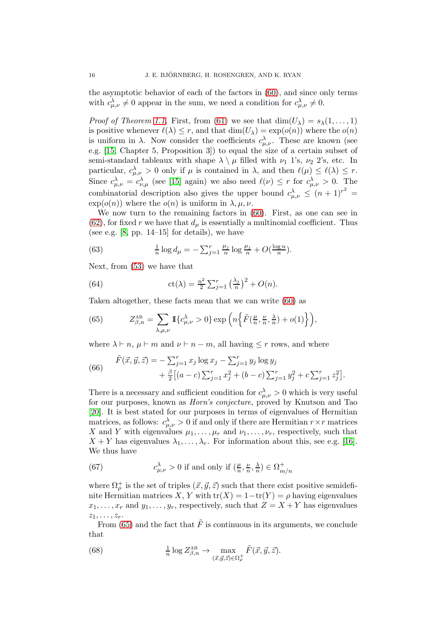the asymptotic behavior of each of the factors in [\(60\)](#page-14-2), and since only terms with  $c^{\lambda}_{\mu,\nu} \neq 0$  appear in the sum, we need a condition for  $c^{\lambda}_{\mu,\nu} \neq 0$ .

*Proof of Theorem [1.1.](#page-3-1)* First, from [\(61\)](#page-14-3) we see that  $\dim(U_\lambda) = s_\lambda(1,\ldots,1)$ is positive whenever  $\ell(\lambda) \leq r$ , and that  $\dim(U_{\lambda}) = \exp(o(n))$  where the  $o(n)$ is uniform in  $\lambda$ . Now consider the coefficients  $c^{\lambda}_{\mu,\nu}$ . These are known (see e.g. [\[15,](#page-53-17) Chapter 5, Proposition 3]) to equal the size of a certain subset of semi-standard tableaux with shape  $\lambda \setminus \mu$  filled with  $\nu_1$  1's,  $\nu_2$  2's, etc. In particular,  $c^{\lambda}_{\mu,\nu} > 0$  only if  $\mu$  is contained in  $\lambda$ , and then  $\ell(\mu) \leq \ell(\lambda) \leq r$ . Since  $c_{\mu,\nu}^{\lambda} = c_{\nu,\mu}^{\lambda}$  (see [\[15\]](#page-53-17) again) we also need  $\ell(\nu) \leq r$  for  $c_{\mu,\nu}^{\lambda} > 0$ . The combinatorial description also gives the upper bound  $c_{\mu,\nu}^{\lambda} \leq (n+1)^{r^2} =$  $\exp(o(n))$  where the  $o(n)$  is uniform in  $\lambda, \mu, \nu$ .

We now turn to the remaining factors in [\(60\)](#page-14-2). First, as one can see in  $(62)$ , for fixed r we have that  $d_{\mu}$  is essentially a multinomial coefficient. Thus (see e.g.  $[8, pp. 14-15]$  for details), we have

<span id="page-15-4"></span>(63) 
$$
\frac{1}{n}\log d_{\mu} = -\sum_{j=1}^{r} \frac{\mu_j}{n} \log \frac{\mu_j}{n} + O(\frac{\log n}{n}).
$$

Next, from [\(53\)](#page-13-1) we have that

(64) 
$$
\operatorname{ct}(\lambda) = \frac{n^2}{2} \sum_{j=1}^r \left(\frac{\lambda_j}{n}\right)^2 + O(n).
$$

Taken altogether, these facts mean that we can write [\(60\)](#page-14-2) as

<span id="page-15-0"></span>(65) 
$$
Z_{\beta,n}^{\text{AB}} = \sum_{\lambda,\mu,\nu} \mathbb{I}\left\{c_{\mu,\nu}^{\lambda} > 0\right\} \exp\left(n\left\{\tilde{F}(\frac{\mu}{n}, \frac{\nu}{n}, \frac{\lambda}{n}) + o(1)\right\}\right),
$$

where  $\lambda \vdash n, \mu \vdash m$  and  $\nu \vdash n-m$ , all having  $\leq r$  rows, and where

<span id="page-15-1"></span>(66) 
$$
\begin{aligned} \tilde{F}(\vec{x}, \vec{y}, \vec{z}) &= -\sum_{j=1}^r x_j \log x_j - \sum_{j=1}^r y_j \log y_j \\ &+ \frac{\beta}{2} \big[ (a-c) \sum_{j=1}^r x_j^2 + (b-c) \sum_{j=1}^r y_j^2 + c \sum_{j=1}^r z_j^2 \big]. \end{aligned}
$$

There is a necessary and sufficient condition for  $c^{\lambda}_{\mu,\nu} > 0$  which is very useful for our purposes, known as Horn's conjecture, proved by Knutson and Tao [\[20\]](#page-53-18). It is best stated for our purposes in terms of eigenvalues of Hermitian matrices, as follows:  $c^{\lambda}_{\mu,\nu} > 0$  if and only if there are Hermitian  $r \times r$  matrices X and Y with eigenvalues  $\mu_1, \ldots, \mu_r$  and  $\nu_1, \ldots, \nu_r$ , respectively, such that  $X + Y$  has eigenvalues  $\lambda_1, \ldots, \lambda_r$ . For information about this, see e.g. [\[16\]](#page-53-19). We thus have

<span id="page-15-2"></span>(67) 
$$
c_{\mu,\nu}^{\lambda} > 0 \text{ if and only if } \left(\frac{\mu}{n}, \frac{\nu}{n}, \frac{\lambda}{n}\right) \in \Omega_{m/n}^{+}
$$

where  $\Omega_{\rho}^{+}$  is the set of triples  $(\vec{x}, \vec{y}, \vec{z})$  such that there exist positive semidefinite Hermitian matrices X, Y with  $tr(X) = 1 - tr(Y) = \rho$  having eigenvalues  $x_1, \ldots, x_r$  and  $y_1, \ldots, y_r$ , respectively, such that  $Z = X + Y$  has eigenvalues  $z_1, \ldots, z_r$ .

From [\(65\)](#page-15-0) and the fact that  $\tilde{F}$  is continuous in its arguments, we conclude that

<span id="page-15-3"></span>(68) 
$$
\frac{1}{n}\log Z^{\text{AB}}_{\beta,n} \to \max_{(\vec{x},\vec{y},\vec{z})\in\Omega^+_{\rho}} \tilde{F}(\vec{x},\vec{y},\vec{z}).
$$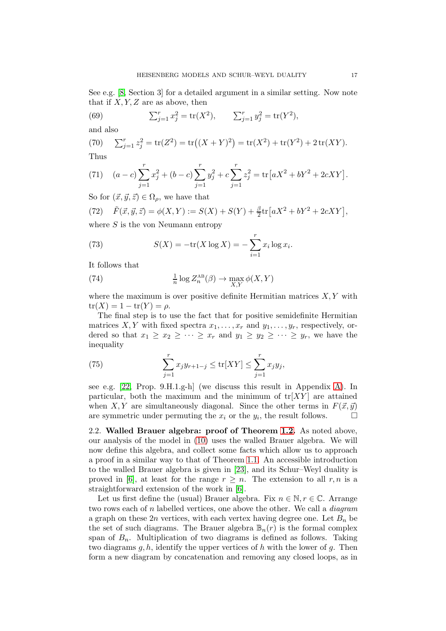See e.g. [\[8,](#page-53-7) Section 3] for a detailed argument in a similar setting. Now note that if  $X, Y, Z$  are as above, then

(69) 
$$
\sum_{j=1}^{r} x_j^2 = \text{tr}(X^2), \qquad \sum_{j=1}^{r} y_j^2 = \text{tr}(Y^2),
$$

and also

(70) 
$$
\sum_{j=1}^{r} z_j^2 = \text{tr}(Z^2) = \text{tr}((X+Y)^2) = \text{tr}(X^2) + \text{tr}(Y^2) + 2\text{tr}(XY).
$$
Thus

(71) 
$$
(a-c)\sum_{j=1}^{r} x_j^2 + (b-c)\sum_{j=1}^{r} y_j^2 + c\sum_{j=1}^{r} z_j^2 = \text{tr}\left[aX^2 + bY^2 + 2cXY\right].
$$

So for  $(\vec{x}, \vec{y}, \vec{z}) \in \Omega_{\rho}$ , we have that

<span id="page-16-2"></span>(72) 
$$
\tilde{F}(\vec{x}, \vec{y}, \vec{z}) = \phi(X, Y) := S(X) + S(Y) + \frac{\beta}{2} tr \left[ aX^2 + bY^2 + 2cXY \right],
$$

where  $S$  is the von Neumann entropy

<span id="page-16-4"></span>(73) 
$$
S(X) = -\text{tr}(X \log X) = -\sum_{i=1}^{r} x_i \log x_i.
$$

It follows that

<span id="page-16-3"></span>(74) 
$$
\frac{1}{n} \log Z_n^{\text{AB}}(\beta) \to \max_{X,Y} \phi(X,Y)
$$

where the maximum is over positive definite Hermitian matrices  $X, Y$  with  $tr(X) = 1 - tr(Y) = \rho.$ 

The final step is to use the fact that for positive semidefinite Hermitian matrices X, Y with fixed spectra  $x_1, \ldots, x_r$  and  $y_1, \ldots, y_r$ , respectively, ordered so that  $x_1 \ge x_2 \ge \cdots \ge x_r$  and  $y_1 \ge y_2 \ge \cdots \ge y_r$ , we have the inequality

<span id="page-16-1"></span>(75) 
$$
\sum_{j=1}^{r} x_j y_{r+1-j} \leq \text{tr}[XY] \leq \sum_{j=1}^{r} x_j y_j,
$$

see e.g. [\[22,](#page-53-20) Prop. 9.H.1.g-h] (we discuss this result in Appendix [A\)](#page-49-0). In particular, both the maximum and the minimum of  $tr[XY]$  are attained when X, Y are simultaneously diagonal. Since the other terms in  $F(\vec{x}, \vec{y})$ are symmetric under permuting the  $x_i$  or the  $y_i$ , the result follows.  $\Box$ 

<span id="page-16-0"></span>2.2. Walled Brauer algebra: proof of Theorem [1.2.](#page-4-0) As noted above, our analysis of the model in [\(10\)](#page-4-1) uses the walled Brauer algebra. We will now define this algebra, and collect some facts which allow us to approach a proof in a similar way to that of Theorem [1.1.](#page-3-1) An accessible introduction to the walled Brauer algebra is given in [\[23\]](#page-53-21), and its Schur–Weyl duality is proved in [\[6\]](#page-53-22), at least for the range  $r \geq n$ . The extension to all r, n is a straightforward extension of the work in [\[6\]](#page-53-22).

Let us first define the (usual) Brauer algebra. Fix  $n \in \mathbb{N}, r \in \mathbb{C}$ . Arrange two rows each of n labelled vertices, one above the other. We call a  $diagram$ a graph on these  $2n$  vertices, with each vertex having degree one. Let  $B_n$  be the set of such diagrams. The Brauer algebra  $\mathbb{B}_n(r)$  is the formal complex span of  $B_n$ . Multiplication of two diagrams is defined as follows. Taking two diagrams  $g, h$ , identify the upper vertices of h with the lower of  $g$ . Then form a new diagram by concatenation and removing any closed loops, as in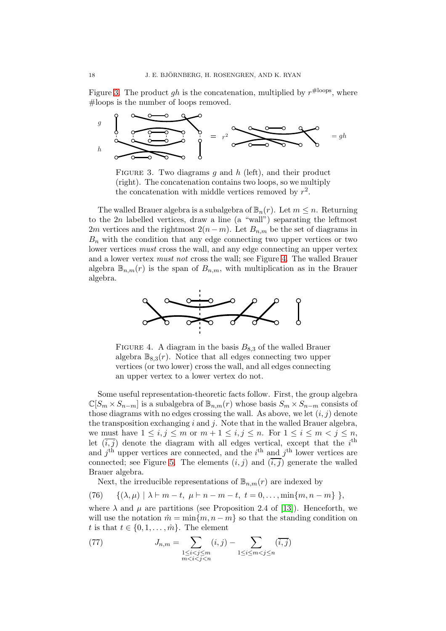Figure [3.](#page-17-0) The product gh is the concatenation, multiplied by  $r^{\text{#loops}}$ , where #loops is the number of loops removed.

<span id="page-17-0"></span>

FIGURE 3. Two diagrams  $g$  and  $h$  (left), and their product (right). The concatenation contains two loops, so we multiply the concatenation with middle vertices removed by  $r^2$ .

The walled Brauer algebra is a subalgebra of  $\mathbb{B}_n(r)$ . Let  $m \leq n$ . Returning to the  $2n$  labelled vertices, draw a line (a "wall") separating the leftmost 2m vertices and the rightmost  $2(n-m)$ . Let  $B_{n,m}$  be the set of diagrams in  $B_n$  with the condition that any edge connecting two upper vertices or two lower vertices *must* cross the wall, and any edge connecting an upper vertex and a lower vertex must not cross the wall; see Figure [4.](#page-17-1) The walled Brauer algebra  $\mathbb{B}_{n,m}(r)$  is the span of  $B_{n,m}$ , with multiplication as in the Brauer algebra.

<span id="page-17-1"></span>

FIGURE 4. A diagram in the basis  $B_{8,3}$  of the walled Brauer algebra  $\mathbb{B}_{8,3}(r)$ . Notice that all edges connecting two upper vertices (or two lower) cross the wall, and all edges connecting an upper vertex to a lower vertex do not.

Some useful representation-theoretic facts follow. First, the group algebra  $\mathbb{C}[S_m \times S_{n-m}]$  is a subalgebra of  $\mathbb{B}_{n,m}(r)$  whose basis  $S_m \times S_{n-m}$  consists of those diagrams with no edges crossing the wall. As above, we let  $(i, j)$  denote the transposition exchanging  $i$  and  $j$ . Note that in the walled Brauer algebra, we must have  $1 \le i, j \le m$  or  $m + 1 \le i, j \le n$ . For  $1 \le i \le m < j \le n$ , let  $(\overline{i}, \overline{j})$  denote the diagram with all edges vertical, except that the i<sup>th</sup> and  $j<sup>th</sup>$  upper vertices are connected, and the  $i<sup>th</sup>$  and  $j<sup>th</sup>$  lower vertices are connected; see Figure [5.](#page-18-0) The elements  $(i, j)$  and  $(\overline{i, j})$  generate the walled Brauer algebra.

Next, the irreducible representations of  $\mathbb{B}_{n,m}(r)$  are indexed by

(76) 
$$
\{(\lambda,\mu) \mid \lambda \vdash m-t, \mu \vdash n-m-t, t=0,\ldots,\min\{m,n-m\}\},
$$

where  $\lambda$  and  $\mu$  are partitions (see Proposition 2.4 of [\[13\]](#page-53-23)). Henceforth, we will use the notation  $\hat{m} = \min\{m, n - m\}$  so that the standing condition on t is that  $t \in \{0, 1, \ldots, \hat{m}\}\.$  The element

<span id="page-17-2"></span>(77) 
$$
J_{n,m} = \sum_{\substack{1 \le i < j \le m \\ m < i < j < n}} (i,j) - \sum_{\substack{1 \le i \le m < j \le n}} (\overline{i,j})
$$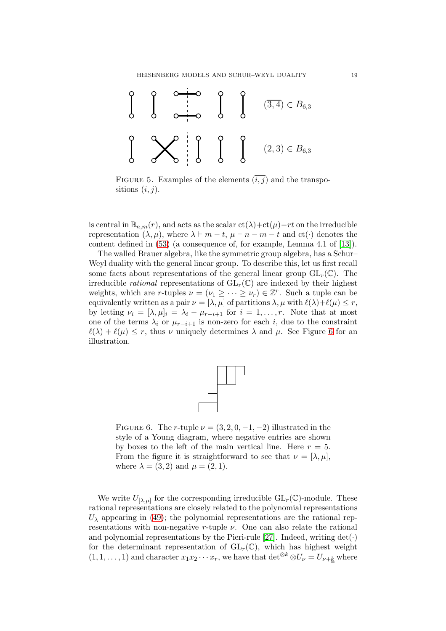<span id="page-18-0"></span>

FIGURE 5. Examples of the elements  $(i, j)$  and the transpositions  $(i, j)$ .

is central in  $\mathbb{B}_{n,m}(r)$ , and acts as the scalar  $ct(\lambda)+ct(\mu)-rt$  on the irreducible representation  $(\lambda, \mu)$ , where  $\lambda \vdash m - t$ ,  $\mu \vdash n - m - t$  and  $ct(\cdot)$  denotes the content defined in [\(53\)](#page-13-1) (a consequence of, for example, Lemma 4.1 of [\[13\]](#page-53-23)).

The walled Brauer algebra, like the symmetric group algebra, has a Schur– Weyl duality with the general linear group. To describe this, let us first recall some facts about representations of the general linear group  $GL_r(\mathbb{C})$ . The irreducible *rational* representations of  $GL_r(\mathbb{C})$  are indexed by their highest weights, which are r-tuples  $\nu = (\nu_1 \geq \cdots \geq \nu_r) \in \mathbb{Z}^r$ . Such a tuple can be equivalently written as a pair  $\nu = [\lambda, \mu]$  of partitions  $\lambda, \mu$  with  $\ell(\lambda) + \ell(\mu) \leq r$ , by letting  $\nu_i = [\lambda, \mu]_i = \lambda_i - \mu_{r-i+1}$  for  $i = 1, \ldots, r$ . Note that at most one of the terms  $\lambda_i$  or  $\mu_{r-i+1}$  is non-zero for each i, due to the constraint  $\ell(\lambda) + \ell(\mu) \leq r$ , thus  $\nu$  uniquely determines  $\lambda$  and  $\mu$ . See Figure [6](#page-18-1) for an illustration.



<span id="page-18-1"></span>FIGURE 6. The r-tuple  $\nu = (3, 2, 0, -1, -2)$  illustrated in the style of a Young diagram, where negative entries are shown by boxes to the left of the main vertical line. Here  $r = 5$ . From the figure it is straightforward to see that  $\nu = [\lambda, \mu]$ , where  $\lambda = (3, 2)$  and  $\mu = (2, 1)$ .

We write  $U_{\lbrack \lambda,\mu\rbrack}$  for the corresponding irreducible  $\mathrm{GL}_r(\mathbb{C})$ -module. These rational representations are closely related to the polynomial representations  $U_{\lambda}$  appearing in [\(49\)](#page-13-0); the polynomial representations are the rational representations with non-negative r-tuple  $\nu$ . One can also relate the rational and polynomial representations by the Pieri-rule [\[27\]](#page-54-5). Indeed, writing  $\det(\cdot)$ for the determinant representation of  $GL_r(\mathbb{C})$ , which has highest weight  $(1, 1, \ldots, 1)$  and character  $x_1x_2\cdots x_r$ , we have that det<sup>⊗k</sup> ⊗ $U_{\nu} = U_{\nu+k}$  where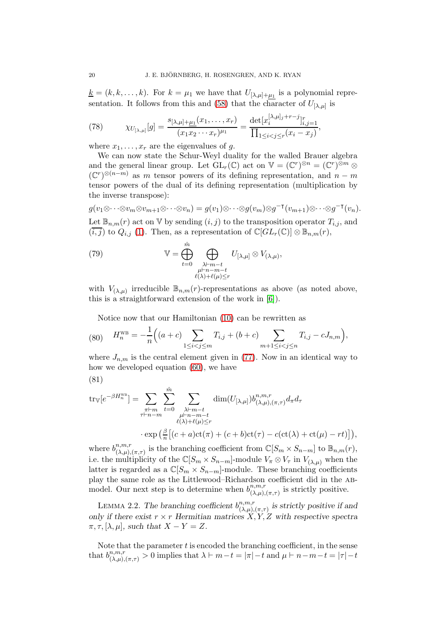$\underline{k} = (k, k, \dots, k)$ . For  $k = \mu_1$  we have that  $U_{[\lambda,\mu]+\mu_1}$  is a polynomial repre-sentation. It follows from this and [\(58\)](#page-14-5) that the character of  $U_{\lbrack \lambda,\mu \rbrack}$  is

<span id="page-19-3"></span>(78) 
$$
\chi_{U_{[\lambda,\mu]}}[g] = \frac{s_{[\lambda,\mu]+\mu_1}(x_1,\ldots,x_r)}{(x_1x_2\cdots x_r)^{\mu_1}} = \frac{\det[x_i^{[\lambda,\mu]_j+r-j}]_{i,j=1}^r}{\prod_{1\leq i < j \leq r} (x_i - x_j)},
$$

where  $x_1, \ldots, x_r$  are the eigenvalues of g.

We can now state the Schur-Weyl duality for the walled Brauer algebra and the general linear group. Let  $GL_r(\mathbb{C})$  act on  $\mathbb{V} = (\mathbb{C}^r)^{\otimes n} = (\mathbb{C}^r)^{\otimes m} \otimes$  $(\mathbb{C}^r)^{\otimes (n-m)}$  as m tensor powers of its defining representation, and  $n-m$ tensor powers of the dual of its defining representation (multiplication by the inverse transpose):

 $g(v_1 \otimes \cdots \otimes v_m \otimes v_{m+1} \otimes \cdots \otimes v_n) = g(v_1) \otimes \cdots \otimes g(v_m) \otimes g^{-\intercal}(v_{m+1}) \otimes \cdots \otimes g^{-\intercal}(v_n).$ Let  $\mathbb{B}_{n,m}(r)$  act on V by sending  $(i, j)$  to the transposition operator  $T_{i,j}$ , and  $(\overline{i}, \overline{j})$  to  $Q_{i,j}$  [\(1\)](#page-1-1). Then, as a representation of  $\mathbb{C}[GL_r(\mathbb{C})] \otimes \mathbb{B}_{n,m}(r)$ ,

<span id="page-19-1"></span>(79) 
$$
\mathbb{V} = \bigoplus_{t=0}^{\hat{m}} \bigoplus_{\substack{\lambda \vdash m-t \\ \mu \vdash n-m-t \\ \ell(\lambda)+\ell(\mu)\leq r}} U_{[\lambda,\mu]} \otimes V_{(\lambda,\mu)},
$$

with  $V_{(\lambda,\mu)}$  irreducible  $\mathbb{B}_{n,m}(r)$ -representations as above (as noted above, this is a straightforward extension of the work in [\[6\]](#page-53-22)).

Notice now that our Hamiltonian [\(10\)](#page-4-1) can be rewritten as

(80) 
$$
H_n^{\text{WB}} = -\frac{1}{n} \Big( (a+c) \sum_{1 \le i < j \le m} T_{i,j} + (b+c) \sum_{m+1 \le i < j \le n} T_{i,j} - c J_{n,m} \Big),
$$

where  $J_{n,m}$  is the central element given in [\(77\)](#page-17-2). Now in an identical way to how we developed equation [\(60\)](#page-14-2), we have

$$
(81)
$$

<span id="page-19-2"></span>
$$
\text{tr}_{\mathbb{V}}[e^{-\beta H_n^{\text{WB}}}] = \sum_{\substack{\pi \vdash m \\ \tau \vdash n-m}} \sum_{t=0}^{\hat{m}} \sum_{\substack{\lambda \vdash m-t \\ \mu \vdash n-m-t \\ \ell(\lambda)+\ell(\mu)\leq r}} \dim(U_{[\lambda,\mu]}) b_{(\lambda,\mu),(\pi,\tau)}^{n,m,r} d_{\pi} d_{\tau}
$$

$$
\cdot \exp\left(\frac{\beta}{n} \big[ (c+a)ct(\pi) + (c+b)ct(\tau) - c(ct(\lambda) + ct(\mu) - rt) \big] \right),
$$

where  $b^{n,m,r}_{(\lambda,\mu)}$  ${}^{n,m,r}_{(\lambda,\mu),(\pi,\tau)}$  is the branching coefficient from  $\mathbb{C}[S_m \times S_{n-m}]$  to  $\mathbb{B}_{n,m}(r)$ , i.e. the multiplicity of the  $\mathbb{C}[S_m \times S_{n-m}]$ -module  $V_{\pi} \otimes V_{\tau}$  in  $V_{(\lambda,\mu)}$  when the latter is regarded as a  $\mathbb{C}[S_m \times S_{n-m}]$ -module. These branching coefficients play the same role as the Littlewood–Richardson coefficient did in the abmodel. Our next step is to determine when  $b_{(\lambda,\mu)}^{n,m,r}$  $\prod_{(\lambda,\mu),(\pi,\tau)}^{n,m,r}$  is strictly positive.

<span id="page-19-0"></span>LEMMA 2.2. The branching coefficient  $b_{(\lambda,\mu)}^{n,m,r}$  $\binom{n,m,r}{(\lambda,\mu),(\pi,\tau)}$  is strictly positive if and only if there exist  $r \times r$  Hermitian matrices  $X, Y, Z$  with respective spectra  $\pi, \tau, [\lambda, \mu]$ , such that  $X - Y = Z$ .

Note that the parameter  $t$  is encoded the branching coefficient, in the sense that  $b_{(\lambda,\mu),(\pi,\tau)}^{n,m,r} > 0$  implies that  $\lambda \vdash m-t = |\pi|-t$  and  $\mu \vdash n-m-t = |\tau|-t$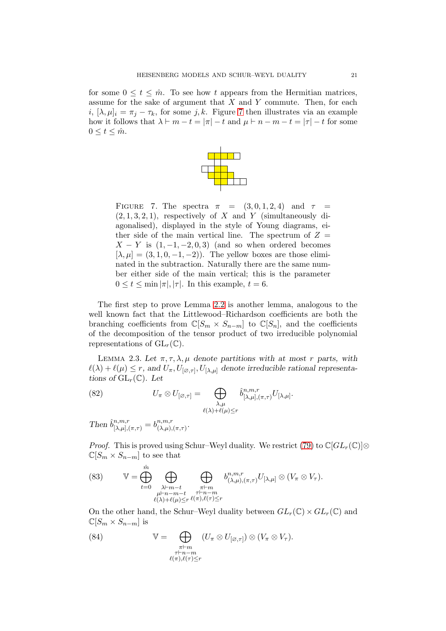<span id="page-20-0"></span>for some  $0 \le t \le \hat{m}$ . To see how t appears from the Hermitian matrices, assume for the sake of argument that  $X$  and  $Y$  commute. Then, for each i,  $[\lambda, \mu]_i = \pi_i - \tau_k$ , for some j, k. Figure [7](#page-20-0) then illustrates via an example how it follows that  $\lambda \vdash m - t = |\pi| - t$  and  $\mu \vdash n - m - t = |\tau| - t$  for some  $0 \leq t \leq \hat{m}$ .



FIGURE 7. The spectra  $\pi = (3, 0, 1, 2, 4)$  and  $\tau =$  $(2, 1, 3, 2, 1)$ , respectively of X and Y (simultaneously diagonalised), displayed in the style of Young diagrams, either side of the main vertical line. The spectrum of  $Z =$  $X - Y$  is  $(1, -1, -2, 0, 3)$  (and so when ordered becomes  $[\lambda, \mu] = (3, 1, 0, -1, -2)$ . The yellow boxes are those eliminated in the subtraction. Naturally there are the same number either side of the main vertical; this is the parameter  $0 \le t \le \min |\pi|, |\tau|$ . In this example,  $t = 6$ .

The first step to prove Lemma [2.2](#page-19-0) is another lemma, analogous to the well known fact that the Littlewood–Richardson coefficients are both the branching coefficients from  $\mathbb{C}[S_m \times S_{n-m}]$  to  $\mathbb{C}[S_n]$ , and the coefficients of the decomposition of the tensor product of two irreducible polynomial representations of  $GL_r(\mathbb{C})$ .

<span id="page-20-2"></span>LEMMA 2.3. Let  $\pi, \tau, \lambda, \mu$  denote partitions with at most r parts, with  $\ell(\lambda) + \ell(\mu) \leq r$ , and  $U_{\pi}, U_{[\varnothing, \tau]}, U_{[\lambda, \mu]}$  denote irreducible rational representations of  $GL_r(\mathbb{C})$ . Let

<span id="page-20-1"></span>(82) 
$$
U_{\pi} \otimes U_{[\varnothing,\tau]} = \bigoplus_{\substack{\lambda,\mu \\ \ell(\lambda)+\ell(\mu)\leq r}} \hat{b}^{n,m,r}_{[\lambda,\mu],(\pi,\tau)} U_{[\lambda,\mu]}.
$$

Then  $\hat{b}^{n,m,r}_{[\lambda,\mu],(\pi,\tau)} = b^{n,m,r}_{(\lambda,\mu),}$  $\alpha^{n,m,r}_{(\lambda,\mu),(\pi,\tau)}$ .

*Proof.* This is proved using Schur–Weyl duality. We restrict [\(79\)](#page-19-1) to  $\mathbb{C}[GL_r(\mathbb{C})] \otimes$  $\mathbb{C}[S_m \times S_{n-m}]$  to see that

(83) 
$$
\mathbb{V} = \bigoplus_{t=0}^{\hat{m}} \bigoplus_{\substack{\lambda \vdash m-t \\ \mu \vdash n-m-t \\ \ell(\lambda)+\ell(\mu)\leq r}} \bigoplus_{\substack{\pi \vdash m \\ \tau \vdash n-m \\ \tau \vdash n-m}} b_{(\lambda,\mu),(\pi,\tau)}^{n,m,r} U_{[\lambda,\mu]} \otimes (V_{\pi} \otimes V_{\tau}).
$$

On the other hand, the Schur–Weyl duality between  $GL_r(\mathbb{C}) \times GL_r(\mathbb{C})$  and  $\mathbb{C}[S_m \times S_{n-m}]$  is

(84) 
$$
\mathbb{V} = \bigoplus_{\substack{\pi \vdash m \\ \tau \vdash n-m \\ \ell(\pi), \ell(\tau) \leq r}} (U_{\pi} \otimes U_{[\varnothing, \tau]}) \otimes (V_{\pi} \otimes V_{\tau}).
$$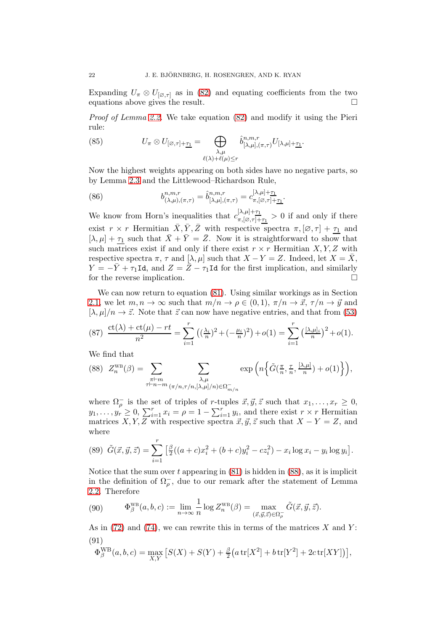Expanding  $U_{\pi} \otimes U_{[\varnothing, \tau]}$  as in [\(82\)](#page-20-1) and equating coefficients from the two equations above gives the result. equations above gives the result.

Proof of Lemma [2.2.](#page-19-0) We take equation [\(82\)](#page-20-1) and modify it using the Pieri rule:

(85) 
$$
U_{\pi} \otimes U_{[\varnothing,\tau]+\underline{\tau_1}} = \bigoplus_{\substack{\lambda,\mu \\ \ell(\lambda)+\ell(\mu)\leq r}} \hat{b}^{n,m,r}_{[\lambda,\mu],(\pi,\tau)} U_{[\lambda,\mu]+\underline{\tau_1}}.
$$

Now the highest weights appearing on both sides have no negative parts, so by Lemma [2.3](#page-20-2) and the Littlewood–Richardson Rule,

(86) 
$$
b_{(\lambda,\mu),(\pi,\tau)}^{n,m,r} = \hat{b}_{[\lambda,\mu],(\pi,\tau)}^{n,m,r} = c_{\pi,[\varnothing,\tau]+\underline{\tau_1}}^{[\lambda,\mu]+\underline{\tau_1}}.
$$

We know from Horn's inequalities that  $c_{\pi}^{[\lambda,\mu]+_{\tau_1}}$  $\frac{\Gamma^{(\lambda,\mu+\frac{1}{2})}}{\pi,[\varnothing,\tau]+\tau_1}>0$  if and only if there exist  $r \times r$  Hermitian  $\overline{X}, \overline{Y}, \overline{Z}$  with respective spectra  $\pi, [\varnothing, \tau] + \tau_1$  and  $[\lambda, \mu] + \underline{\tau_1}$  such that  $\bar{X} + \bar{Y} = \bar{Z}$ . Now it is straightforward to show that such matrices exist if and only if there exist  $r \times r$  Hermitian  $X, Y, Z$  with respective spectra  $\pi$ ,  $\tau$  and  $[\lambda, \mu]$  such that  $X - Y = Z$ . Indeed, let  $X = \overline{X}$ ,  $Y = -\bar{Y} + \tau_1 \text{Id}$ , and  $Z = \bar{Z} - \tau_1 \text{Id}$  for the first implication, and similarly for the reverse implication. for the reverse implication.

We can now return to equation [\(81\)](#page-19-2). Using similar workings as in Section [2.1,](#page-12-2) we let  $m, n \to \infty$  such that  $m/n \to \rho \in (0, 1), \pi/n \to \vec{x}, \tau/n \to \vec{y}$  and  $[\lambda, \mu]/n \to \vec{z}$ . Note that  $\vec{z}$  can now have negative entries, and that from [\(53\)](#page-13-1)

$$
(87) \frac{\text{ct}(\lambda) + \text{ct}(\mu) - rt}{n^2} = \sum_{i=1}^r \left( \left( \frac{\lambda_i}{n} \right)^2 + \left( -\frac{\mu_i}{n} \right)^2 \right) + o(1) = \sum_{i=1}^r \left( \frac{(\lambda_i \mu)_{i}}{n} \right)^2 + o(1).
$$

We find that

<span id="page-21-0"></span>
$$
(88)\ \ Z_n^{\text{WB}}(\beta) = \sum_{\substack{\pi \vdash m \\ \tau \vdash n-m}} \sum_{\substack{\lambda,\mu \\ (\pi/n,\tau/n,[\lambda,\mu]/n) \in \Omega_{m/n}^-}} \exp\left(n\Big\{\tilde{G}(\frac{\pi}{n},\frac{\tau}{n},\frac{[\lambda,\mu]}{n}) + o(1)\Big\}\right),
$$

where  $\Omega_{\rho}^{-}$  is the set of triples of r-tuples  $\vec{x}, \vec{y}, \vec{z}$  such that  $x_1, \ldots, x_r \geq 0$ ,  $y_1, \ldots, y_r \geq 0, \sum_{i=1}^r x_i = \rho = 1 - \sum_{i=1}^r y_i$ , and there exist  $r \times r$  Hermitian matrices X, Y, Z with respective spectra  $\vec{x}, \vec{y}, \vec{z}$  such that  $X - Y = Z$ , and where

<span id="page-21-1"></span>(89) 
$$
\tilde{G}(\vec{x}, \vec{y}, \vec{z}) = \sum_{i=1}^{r} \left[ \frac{\beta}{2} ((a+c)x_i^2 + (b+c)y_i^2 - cz_i^2) - x_i \log x_i - y_i \log y_i \right].
$$

Notice that the sum over  $t$  appearing in  $(81)$  is hidden in  $(88)$ , as it is implicit in the definition of  $\Omega_{\rho}^-$ , due to our remark after the statement of Lemma [2.2.](#page-19-0) Therefore

(90) 
$$
\Phi_{\beta}^{\text{WB}}(a,b,c) := \lim_{n \to \infty} \frac{1}{n} \log Z_n^{\text{WB}}(\beta) = \max_{(\vec{x}, \vec{y}, \vec{z}) \in \Omega_{\rho}^-} \tilde{G}(\vec{x}, \vec{y}, \vec{z}).
$$

As in [\(72\)](#page-16-2) and [\(74\)](#page-16-3), we can rewrite this in terms of the matrices  $X$  and  $Y$ : (91)

<span id="page-21-2"></span>
$$
\Phi_{\beta}^{\text{WB}}(a, b, c) = \max_{X,Y} \left[ S(X) + S(Y) + \frac{\beta}{2} \left( a \operatorname{tr}[X^2] + b \operatorname{tr}[Y^2] + 2c \operatorname{tr}[XY] \right) \right],
$$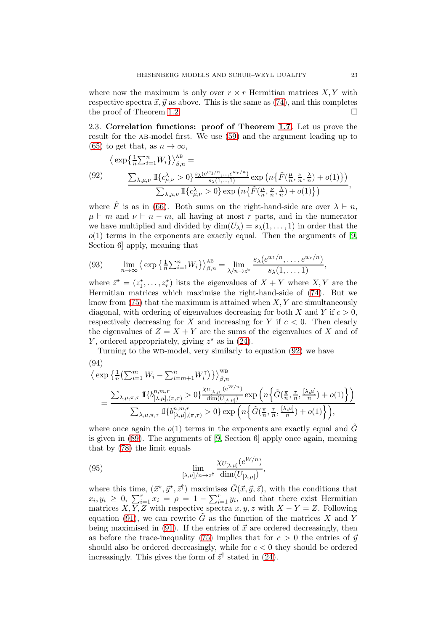where now the maximum is only over  $r \times r$  Hermitian matrices  $X, Y$  with respective spectra  $\vec{x}, \vec{y}$  as above. This is the same as [\(74\)](#page-16-3), and this completes the proof of Theorem [1.2.](#page-4-0)

<span id="page-22-0"></span>2.3. Correlation functions: proof of Theorem [1.7.](#page-6-1) Let us prove the result for the ab-model first. We use [\(59\)](#page-14-6) and the argument leading up to [\(65\)](#page-15-0) to get that, as  $n \to \infty$ ,

<span id="page-22-1"></span>(92) 
$$
\langle \exp\left\{\frac{1}{n}\sum_{i=1}^{n}W_i\right\}\rangle_{\beta,n}^{AB} =
$$

$$
\frac{\sum_{\lambda,\mu,\nu} \mathbb{I}\left\{c_{\mu,\nu}^{\lambda} > 0\right\}\frac{s_{\lambda}(e^{w_{1}/n},...,e^{w_{r}/n})}{s_{\lambda}(1,...,1)} \exp\left(n\left\{\tilde{F}(\frac{\mu}{n},\frac{\nu}{n},\frac{\lambda}{n}) + o(1)\right\}\right)}{\sum_{\lambda,\mu,\nu} \mathbb{I}\left\{c_{\mu,\nu}^{\lambda} > 0\right\} \exp\left(n\left\{\tilde{F}(\frac{\mu}{n},\frac{\nu}{n},\frac{\lambda}{n}) + o(1)\right\}\right)},
$$

where  $\tilde{F}$  is as in [\(66\)](#page-15-1). Both sums on the right-hand-side are over  $\lambda \vdash n$ ,  $\mu \vdash m$  and  $\nu \vdash n-m$ , all having at most r parts, and in the numerator we have multiplied and divided by  $\dim(U_\lambda) = s_\lambda(1,\ldots,1)$  in order that the  $o(1)$  terms in the exponents are exactly equal. Then the arguments of [\[9,](#page-53-8) Section 6] apply, meaning that

(93) 
$$
\lim_{n \to \infty} \left\{ \exp \left\{ \frac{1}{n} \sum_{i=1}^n W_i \right\} \right\}_{\beta,n}^{\text{AB}} = \lim_{\lambda/n \to \bar{z}^*} \frac{s_{\lambda}(e^{w_1/n}, \dots, e^{w_r/n})}{s_{\lambda}(1, \dots, 1)},
$$

where  $\vec{z}^* = (z_1^*, \ldots, z_r^*)$  lists the eigenvalues of  $X + Y$  where  $X, Y$  are the Hermitian matrices which maximise the right-hand-side of [\(74\)](#page-16-3). But we know from  $(75)$  that the maximum is attained when X, Y are simultaneously diagonal, with ordering of eigenvalues decreasing for both X and Y if  $c > 0$ , respectively decreasing for X and increasing for Y if  $c < 0$ . Then clearly the eigenvalues of  $Z = X + Y$  are the sums of the eigenvalues of X and of Y, ordered appropriately, giving  $z^*$  as in [\(24\)](#page-6-5).

Turning to the wb-model, very similarly to equation [\(92\)](#page-22-1) we have

(94)  
\n
$$
\langle \exp \left\{ \frac{1}{n} \left( \sum_{i=1}^{m} W_i - \sum_{i=m+1}^{n} W_i^{\mathsf{T}} \right) \right\} \rangle_{\beta,n}^{\text{WB}}
$$
\n
$$
= \frac{\sum_{\lambda,\mu,\pi,\tau} \mathbb{I} \left\{ b_{[\lambda,\mu],(\pi,\tau)}^{n,m,r} > 0 \right\} \frac{\chi_{U_{[\lambda,\mu]}}(e^{W/n})}{\dim(U_{[\lambda,\mu]})} \exp \left( n \left\{ \tilde{G}(\frac{\pi}{n}, \frac{\tau}{n}, \frac{[\lambda,\mu]}{n}) + o(1) \right\} \right)}{\sum_{\lambda,\mu,\pi,\tau} \mathbb{I} \left\{ b_{[\lambda,\mu],(\pi,\tau)}^{n,m,r} > 0 \right\} \exp \left( n \left\{ \tilde{G}(\frac{\pi}{n}, \frac{\tau}{n}, \frac{[\lambda,\mu]}{n}) + o(1) \right\} \right)},
$$

where once again the  $o(1)$  terms in the exponents are exactly equal and  $\tilde{G}$ is given in [\(89\)](#page-21-1). The arguments of [\[9,](#page-53-8) Section 6] apply once again, meaning that by [\(78\)](#page-19-3) the limit equals

(95) 
$$
\lim_{[\lambda,\mu]/n\to z^{\dagger}}\frac{\chi_{U_{[\lambda,\mu]}}(e^{W/n})}{\dim(U_{[\lambda,\mu]})},
$$

where this time,  $(\vec{x}^*, \vec{y}^*, \vec{z}^{\dagger})$  maximises  $\tilde{G}(\vec{x}, \vec{y}, \vec{z})$ , with the conditions that  $x_i, y_i \geq 0, \sum_{i=1}^r x_i = \rho = 1 - \sum_{i=1}^r y_i$  and that there exist Hermitian matrices  $X, Y, Z$  with respective spectra  $x, y, z$  with  $X - Y = Z$ . Following equation [\(91\)](#page-21-2), we can rewrite  $\tilde{G}$  as the function of the matrices X and Y being maximised in [\(91\)](#page-21-2). If the entries of  $\vec{x}$  are ordered decreasingly, then as before the trace-inequality [\(75\)](#page-16-1) implies that for  $c > 0$  the entries of  $\vec{y}$ should also be ordered decreasingly, while for  $c < 0$  they should be ordered increasingly. This gives the form of  $\vec{z}^{\dagger}$  stated in [\(24\)](#page-6-5).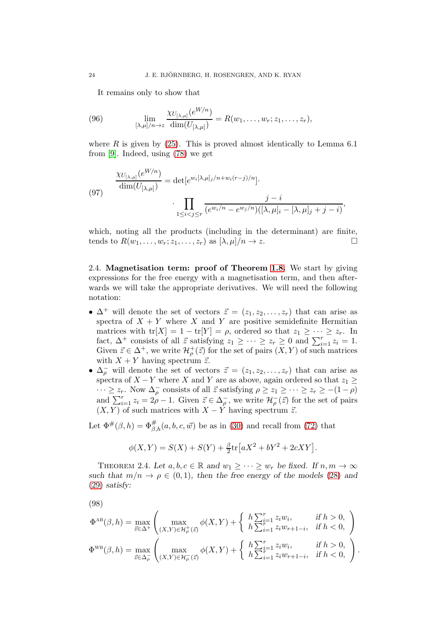It remains only to show that

(96) 
$$
\lim_{[\lambda,\mu]/n \to z} \frac{\chi_{U_{[\lambda,\mu]}}(e^{W/n})}{\dim(U_{[\lambda,\mu]})} = R(w_1, \ldots, w_r; z_1, \ldots, z_r),
$$

where  $R$  is given by [\(25\)](#page-7-2). This is proved almost identically to Lemma 6.1 from [\[9\]](#page-53-8). Indeed, using [\(78\)](#page-19-3) we get

(97) 
$$
\frac{\chi_{U_{[\lambda,\mu]}}(e^{W/n})}{\dim(U_{[\lambda,\mu]})} = \det[e^{w_i[\lambda,\mu]_j/n + w_i(r-j)/n}].
$$
\n
$$
\cdot \prod_{1 \leq i < j \leq r} \frac{j-i}{(e^{w_i/n} - e^{w_j/n})([\lambda,\mu]_i - [\lambda,\mu]_j + j - i)},
$$

which, noting all the products (including in the determinant) are finite, tends to  $R(w_1, \ldots, w_r; z_1, \ldots, z_r)$  as  $[\lambda, \mu]/n \to z$ .

<span id="page-23-0"></span>2.4. Magnetisation term: proof of Theorem [1.8.](#page-7-0) We start by giving expressions for the free energy with a magnetisation term, and then afterwards we will take the appropriate derivatives. We will need the following notation:

- $\Delta^+$  will denote the set of vectors  $\vec{z} = (z_1, z_2, \ldots, z_r)$  that can arise as spectra of  $X + Y$  where X and Y are positive semidefinite Hermitian matrices with tr[X] = 1 – tr[Y] =  $\rho$ , ordered so that  $z_1 \geq \cdots \geq z_r$ . In fact,  $\Delta^+$  consists of all  $\vec{z}$  satisfying  $z_1 \geq \cdots \geq z_r \geq 0$  and  $\sum_{i=1}^r z_i = 1$ . Given  $\vec{z} \in \Delta^+$ , we write  $\mathcal{H}^+_{\rho}(\vec{z})$  for the set of pairs  $(X, Y)$  of such matrices with  $X + Y$  having spectrum  $\vec{z}$ .
- $\Delta_{\rho}^-$  will denote the set of vectors  $\vec{z} = (z_1, z_2, \ldots, z_r)$  that can arise as spectra of  $X - Y$  where X and Y are as above, again ordered so that  $z_1 \geq$  $\cdots \geq z_r$ . Now  $\Delta_{\rho}^-$  consists of all  $\vec{z}$  satisfying  $\rho \geq z_1 \geq \cdots \geq z_r \geq -(1-\rho)$ and  $\sum_{i=1}^{r} z_i = 2\rho - 1$ . Given  $\vec{z} \in \Delta_{\rho}^-$ , we write  $\mathcal{H}_{\rho}^-(\vec{z})$  for the set of pairs  $(X, Y)$  of such matrices with  $X - Y$  having spectrum  $\vec{z}$ .

Let  $\Phi^{\#}(\beta, h) = \Phi^{\#}_{\beta, h}(a, b, c, \vec{w})$  be as in [\(30\)](#page-7-1) and recall from [\(72\)](#page-16-2) that

$$
\phi(X,Y) = S(X) + S(Y) + \frac{\beta}{2} \text{tr} \big[ aX^2 + bY^2 + 2cXY \big].
$$

<span id="page-23-1"></span>THEOREM 2.4. Let  $a, b, c \in \mathbb{R}$  and  $w_1 \geq \cdots \geq w_r$  be fixed. If  $n, m \to \infty$ such that  $m/n \to \rho \in (0,1)$ , then the free energy of the models [\(28\)](#page-7-3) and [\(29\)](#page-7-4) satisfy:

(98)

<span id="page-23-2"></span>
$$
\Phi^{\text{AB}}(\beta, h) = \max_{\vec{z} \in \Delta^{+}} \left( \max_{(X, Y) \in \mathcal{H}_{\rho}^{+}(\vec{z})} \phi(X, Y) + \begin{cases} h \sum_{i=1}^{r} z_{i} w_{i}, & \text{if } h > 0, \\ h \sum_{i=1}^{r} z_{i} w_{r+1-i}, & \text{if } h < 0, \end{cases} \right)
$$
  

$$
\Phi^{\text{WB}}(\beta, h) = \max_{\vec{z} \in \Delta_{\rho}^{-}} \left( \max_{(X, Y) \in \mathcal{H}_{\rho}^{-}(\vec{z})} \phi(X, Y) + \begin{cases} h \sum_{i=1}^{r} z_{i} w_{i}, & \text{if } h > 0, \\ h \sum_{i=1}^{r} z_{i} w_{r+1-i}, & \text{if } h < 0, \end{cases} \right).
$$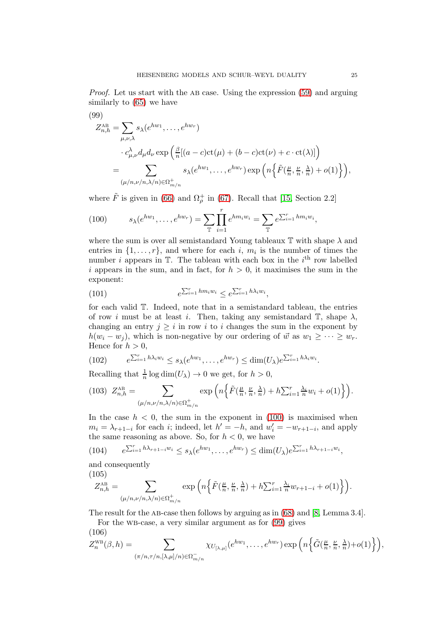Proof. Let us start with the AB case. Using the expression [\(59\)](#page-14-6) and arguing similarly to [\(65\)](#page-15-0) we have

<span id="page-24-1"></span>(99)  
\n
$$
Z_{n,h}^{\text{AB}} = \sum_{\mu,\nu,\lambda} s_{\lambda}(e^{hw_1}, \dots, e^{hw_r})
$$
\n
$$
\cdot c_{\mu,\nu}^{\lambda} d_{\mu} d_{\nu} \exp \left( \frac{\beta}{n} [(a-c) \text{ct}(\mu) + (b-c) \text{ct}(\nu) + c \cdot \text{ct}(\lambda)] \right)
$$
\n
$$
= \sum_{(\mu/n,\nu/n,\lambda/n) \in \Omega_{m/n}^+} s_{\lambda}(e^{hw_1}, \dots, e^{hw_r}) \exp \left( n \left\{ \tilde{F}(\frac{\mu}{n}, \frac{\nu}{n}, \frac{\lambda}{n}) + o(1) \right\} \right),
$$

where  $\tilde{F}$  is given in [\(66\)](#page-15-1) and  $\Omega_{\rho}^{+}$  in [\(67\)](#page-15-2). Recall that [\[15,](#page-53-17) Section 2.2]

<span id="page-24-0"></span>(100) 
$$
s_{\lambda}(e^{hw_1}, \ldots, e^{hw_r}) = \sum_{\mathbb{T}} \prod_{i=1}^r e^{hm_i w_i} = \sum_{\mathbb{T}} e^{\sum_{i=1}^r h m_i w_i},
$$

where the sum is over all semistandard Young tableaux  $\mathbb T$  with shape  $\lambda$  and entries in  $\{1, \ldots, r\}$ , and where for each i,  $m_i$  is the number of times the number *i* appears in  $\mathbb{T}$ . The tableau with each box in the *i*<sup>th</sup> row labelled i appears in the sum, and in fact, for  $h > 0$ , it maximises the sum in the exponent:

(101) 
$$
e^{\sum_{i=1}^r h m_i w_i} \leq e^{\sum_{i=1}^r h \lambda_i w_i},
$$

for each valid T. Indeed, note that in a semistandard tableau, the entries of row i must be at least i. Then, taking any semistandard  $\mathbb{T}$ , shape  $\lambda$ , changing an entry  $j \geq i$  in row i to i changes the sum in the exponent by  $h(w_i - w_j)$ , which is non-negative by our ordering of  $\vec{w}$  as  $w_1 \geq \cdots \geq w_r$ . Hence for  $h > 0$ ,

<span id="page-24-2"></span>(102) 
$$
e^{\sum_{i=1}^r h\lambda_i w_i} \leq s_{\lambda}(e^{hw_1}, \ldots, e^{hw_r}) \leq \dim(U_{\lambda})e^{\sum_{i=1}^r h\lambda_i w_i}.
$$

Recalling that  $\frac{1}{n} \log \dim(U_\lambda) \to 0$  we get, for  $h > 0$ ,

$$
(103)\ \ Z_{n,h}^{\text{AB}} = \sum_{(\mu/n,\nu/n,\lambda/n)\in\Omega_{m/n}^+} \exp\left(n\left\{\tilde{F}(\frac{\mu}{n},\frac{\nu}{n},\frac{\lambda}{n}) + h\sum_{i=1}^r \frac{\lambda_i}{n}w_i + o(1)\right\}\right).
$$

In the case  $h < 0$ , the sum in the exponent in [\(100\)](#page-24-0) is maximised when  $m_i = \lambda_{r+1-i}$  for each *i*; indeed, let  $h' = -h$ , and  $w'_i = -w_{r+1-i}$ , and apply the same reasoning as above. So, for  $h < 0$ , we have

<span id="page-24-3"></span>
$$
(104) \qquad e^{\sum_{i=1}^r h\lambda_{r+1-i}w_i} \leq s_\lambda(e^{hw_1},\ldots,e^{hw_r}) \leq \dim(U_\lambda)e^{\sum_{i=1}^r h\lambda_{r+1-i}w_i},
$$

and consequently

(105)

$$
Z_{n,h}^{\mathrm{AB}}=\sum_{(\mu/n,\nu/n,\lambda/n)\in\Omega_{m/n}^+}\exp\Big(n\Big\{\tilde{F}(\tfrac{\mu}{n},\tfrac{\nu}{n},\tfrac{\lambda}{n})+h\textstyle{\sum_{i=1}^r}\tfrac{\lambda_i}{n}w_{r+1-i}+o(1)\Big\}\Big).
$$

The result for the AB-case then follows by arguing as in  $(68)$  and  $[8, \text{Lemma } 3.4].$ 

For the wb-case, a very similar argument as for [\(99\)](#page-24-1) gives  $(106)$ 

$$
Z_n^{\text{WB}}(\beta,h) = \sum_{(\pi/n,\tau/n,[\lambda,\mu]/n) \in \Omega_{m/n}^-} \chi_{U_{[\lambda,\mu]}}(e^{hw_1},\ldots,e^{hw_r}) \exp\left(n\left\{\tilde{G}(\frac{\mu}{n},\frac{\nu}{n},\frac{\lambda}{n})+o(1)\right\}\right),
$$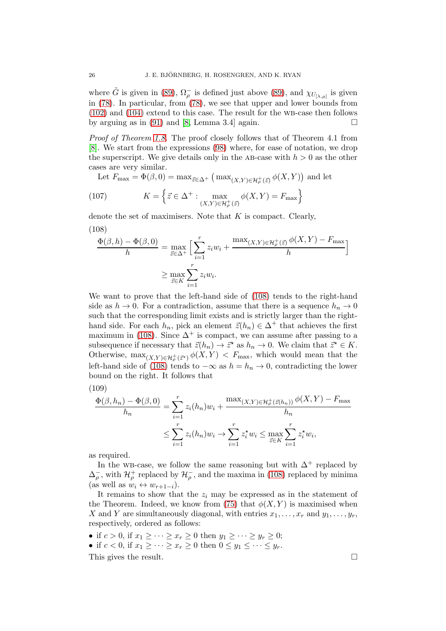where  $\tilde{G}$  is given in [\(89\)](#page-21-1),  $\Omega_{\rho}^-$  is defined just above (89), and  $\chi_{U_{[\lambda,\mu]}}$  is given in [\(78\)](#page-19-3). In particular, from [\(78\)](#page-19-3), we see that upper and lower bounds from  $(102)$  and  $(104)$  extend to this case. The result for the WB-case then follows by arguing as in [\(91\)](#page-21-2) and [\[8,](#page-53-7) Lemma 3.4] again.  $\square$ 

Proof of Theorem [1.8.](#page-7-0) The proof closely follows that of Theorem 4.1 from [\[8\]](#page-53-7). We start from the expressions [\(98\)](#page-23-2) where, for ease of notation, we drop the superscript. We give details only in the AB-case with  $h > 0$  as the other cases are very similar.

Let  $F_{\text{max}} = \Phi(\beta, 0) = \max_{\vec{z} \in \Delta^+} \left( \max_{(X, Y) \in \mathcal{H}_\rho^+(\vec{z})} \phi(X, Y) \right)$  and let

(107) 
$$
K = \left\{ \vec{z} \in \Delta^+ : \max_{(X,Y) \in \mathcal{H}_\rho^+(\vec{z})} \phi(X,Y) = F_{\text{max}} \right\}
$$

denote the set of maximisers. Note that  $K$  is compact. Clearly, (108)

<span id="page-25-0"></span>
$$
\frac{\Phi(\beta, h) - \Phi(\beta, 0)}{h} = \max_{\vec{z} \in \Delta^+} \Big[ \sum_{i=1}^r z_i w_i + \frac{\max_{(X, Y) \in \mathcal{H}^+_\rho(\vec{z})} \phi(X, Y) - F_{\text{max}}}{h} \Big]
$$

$$
\geq \max_{\vec{z} \in K} \sum_{i=1}^r z_i w_i.
$$

We want to prove that the left-hand side of [\(108\)](#page-25-0) tends to the right-hand side as  $h \to 0$ . For a contradiction, assume that there is a sequence  $h_n \to 0$ such that the corresponding limit exists and is strictly larger than the righthand side. For each  $h_n$ , pick an element  $\vec{z}(h_n) \in \Delta^+$  that achieves the first maximum in [\(108\)](#page-25-0). Since  $\Delta^+$  is compact, we can assume after passing to a subsequence if necessary that  $\vec{z}(h_n) \to \vec{z}^*$  as  $h_n \to 0$ . We claim that  $\vec{z}^* \in K$ . Otherwise,  $\max_{(X,Y)\in\mathcal{H}^+_p(\vec{z}^*)}\phi(X,Y) < F_{\text{max}}$ , which would mean that the left-hand side of [\(108\)](#page-25-0) tends to  $-\infty$  as  $h = h_n \to 0$ , contradicting the lower bound on the right. It follows that

$$
(109)
$$

$$
\frac{\Phi(\beta, h_n) - \Phi(\beta, 0)}{h_n} = \sum_{i=1}^r z_i(h_n)w_i + \frac{\max_{(X, Y) \in \mathcal{H}_\rho^+(z(h_n))} \phi(X, Y) - F_{\text{max}}}{h_n}
$$
  

$$
\leq \sum_{i=1}^r z_i(h_n)w_i \to \sum_{i=1}^r z_i^* w_i \leq \max_{\vec{z} \in K} \sum_{i=1}^r z_i^* w_i,
$$

as required.

In the wB-case, we follow the same reasoning but with  $\Delta^+$  replaced by  $\Delta_{\rho}^-$ , with  $\mathcal{H}_{\rho}^+$  replaced by  $\mathcal{H}_{\rho}^-$ , and the maxima in [\(108\)](#page-25-0) replaced by minima (as well as  $w_i \leftrightarrow w_{r+1-i}$ ).

It remains to show that the  $z_i$  may be expressed as in the statement of the Theorem. Indeed, we know from [\(75\)](#page-16-1) that  $\phi(X, Y)$  is maximised when X and Y are simultaneously diagonal, with entries  $x_1, \ldots, x_r$  and  $y_1, \ldots, y_r$ , respectively, ordered as follows:

• if  $c > 0$ , if  $x_1 \geq \cdots \geq x_r \geq 0$  then  $y_1 \geq \cdots \geq y_r \geq 0$ ;

• if  $c < 0$ , if  $x_1 \geq \cdots \geq x_r \geq 0$  then  $0 \leq y_1 \leq \cdots \leq y_r$ .

This gives the result.  $\square$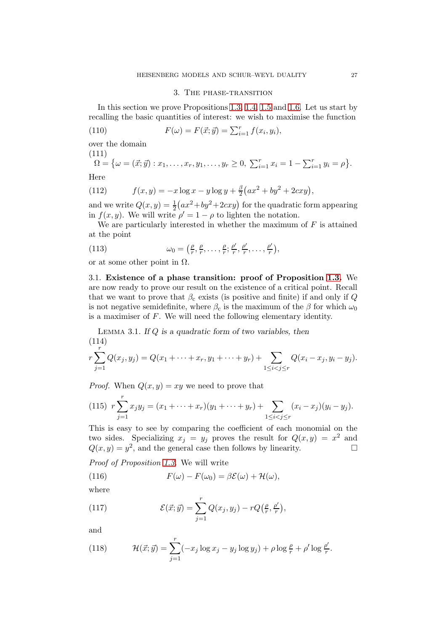## 3. The phase-transition

<span id="page-26-0"></span>In this section we prove Propositions [1.3,](#page-5-1) [1.4,](#page-5-2) [1.5](#page-6-2) and [1.6.](#page-6-3) Let us start by recalling the basic quantities of interest: we wish to maximise the function

(110) 
$$
F(\omega) = F(\vec{x}; \vec{y}) = \sum_{i=1}^{r} f(x_i, y_i),
$$

over the domain

(111)  
\n
$$
\Omega = \{ \omega = (\vec{x}; \vec{y}) : x_1, \dots, x_r, y_1, \dots, y_r \ge 0, \ \sum_{i=1}^r x_i = 1 - \sum_{i=1}^r y_i = \rho \}.
$$

Here

(112) 
$$
f(x,y) = -x \log x - y \log y + \frac{\beta}{2} (ax^2 + by^2 + 2cxy),
$$

and we write  $Q(x, y) = \frac{1}{2}(ax^2 + by^2 + 2cxy)$  for the quadratic form appearing in  $f(x, y)$ . We will write  $\rho' = 1 - \rho$  to lighten the notation.

We are particularly interested in whether the maximum of  $F$  is attained at the point

(113) 
$$
\omega_0 = \left(\frac{\rho}{r}, \frac{\rho}{r}, \dots, \frac{\rho}{r}; \frac{\rho'}{r}, \frac{\rho'}{r}, \dots, \frac{\rho'}{r}\right),
$$

<span id="page-26-1"></span>or at some other point in  $\Omega$ .

3.1. Existence of a phase transition: proof of Proposition [1.3.](#page-5-1) We are now ready to prove our result on the existence of a critical point. Recall that we want to prove that  $\beta_c$  exists (is positive and finite) if and only if Q is not negative semidefinite, where  $\beta_c$  is the maximum of the  $\beta$  for which  $\omega_0$ is a maximiser of F. We will need the following elementary identity.

<span id="page-26-2"></span>LEMMA 3.1. If Q is a quadratic form of two variables, then  
\n
$$
(114)
$$
\n
$$
r \sum_{j=1}^{r} Q(x_j, y_j) = Q(x_1 + \dots + x_r, y_1 + \dots + y_r) + \sum_{1 \leq i < j \leq r} Q(x_i - x_j, y_i - y_j).
$$

*Proof.* When  $Q(x, y) = xy$  we need to prove that

(115) 
$$
r \sum_{j=1}^{r} x_j y_j = (x_1 + \dots + x_r)(y_1 + \dots + y_r) + \sum_{1 \leq i < j \leq r} (x_i - x_j)(y_i - y_j).
$$

This is easy to see by comparing the coefficient of each monomial on the two sides. Specializing  $x_j = y_j$  proves the result for  $Q(x, y) = x^2$  and  $Q(x, y) = y^2$ , and the general case then follows by linearity.

Proof of Proposition [1.3.](#page-5-1) We will write

<span id="page-26-4"></span>(116) 
$$
F(\omega) - F(\omega_0) = \beta \mathcal{E}(\omega) + \mathcal{H}(\omega),
$$

where

(117) 
$$
\mathcal{E}(\vec{x};\vec{y}) = \sum_{j=1}^r Q(x_j,y_j) - rQ\left(\frac{\rho}{r},\frac{\rho'}{r}\right),
$$

and

<span id="page-26-3"></span>(118) 
$$
\mathcal{H}(\vec{x}; \vec{y}) = \sum_{j=1}^r (-x_j \log x_j - y_j \log y_j) + \rho \log \frac{\rho}{r} + \rho' \log \frac{\rho'}{r}.
$$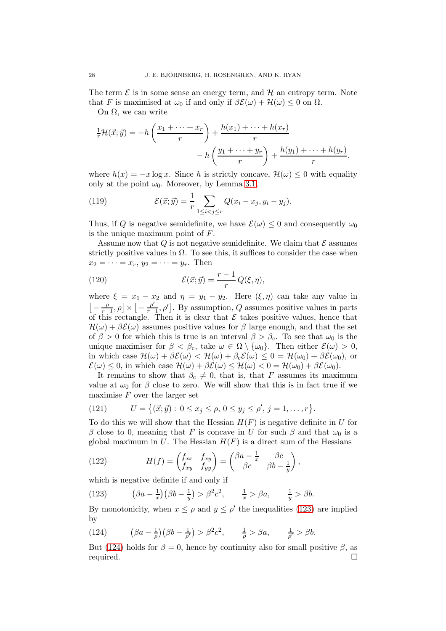The term  $\mathcal E$  is in some sense an energy term, and  $\mathcal H$  an entropy term. Note that F is maximised at  $\omega_0$  if and only if  $\beta \mathcal{E}(\omega) + \mathcal{H}(\omega) \leq 0$  on  $\Omega$ .

On  $Ω$ , we can write

$$
\frac{1}{r}\mathcal{H}(\vec{x};\vec{y}) = -h\left(\frac{x_1 + \dots + x_r}{r}\right) + \frac{h(x_1) + \dots + h(x_r)}{r}
$$

$$
-h\left(\frac{y_1 + \dots + y_r}{r}\right) + \frac{h(y_1) + \dots + h(y_r)}{r},
$$

where  $h(x) = -x \log x$ . Since h is strictly concave,  $\mathcal{H}(\omega) \leq 0$  with equality only at the point  $\omega_0$ . Moreover, by Lemma [3.1,](#page-26-2)

<span id="page-27-4"></span>(119) 
$$
\mathcal{E}(\vec{x}; \vec{y}) = \frac{1}{r} \sum_{1 \leq i < j \leq r} Q(x_i - x_j, y_i - y_j).
$$

Thus, if Q is negative semidefinite, we have  $\mathcal{E}(\omega) \leq 0$  and consequently  $\omega_0$ is the unique maximum point of F.

Assume now that Q is not negative semidefinite. We claim that  $\mathcal E$  assumes strictly positive values in  $\Omega$ . To see this, it suffices to consider the case when  $x_2=\cdots=x_r, y_2=\cdots=y_r.$  Then

<span id="page-27-3"></span>(120) 
$$
\mathcal{E}(\vec{x};\vec{y}) = \frac{r-1}{r}Q(\xi,\eta),
$$

where  $\xi = x_1 - x_2$  and  $\eta = y_1 - y_2$ . Here  $(\xi, \eta)$  can take any value in  $\left[-\frac{\rho}{r}\right]$  $\left[\frac{\rho}{r-1}, \rho\right] \times \left[-\frac{\rho'}{r-1}\right]$  $\left[\frac{\rho'}{r-1}, \rho'\right]$ . By assumption, Q assumes positive values in parts of this rectangle. Then it is clear that  $\mathcal E$  takes positive values, hence that  $\mathcal{H}(\omega) + \beta \mathcal{E}(\omega)$  assumes positive values for  $\beta$  large enough, and that the set of  $\beta > 0$  for which this is true is an interval  $\beta > \beta_c$ . To see that  $\omega_0$  is the unique maximiser for  $\beta < \beta_c$ , take  $\omega \in \Omega \setminus \{\omega_0\}$ . Then either  $\mathcal{E}(\omega) > 0$ , in which case  $\mathcal{H}(\omega) + \beta \mathcal{E}(\omega) < \mathcal{H}(\omega) + \beta_c \mathcal{E}(\omega) \leq 0 = \mathcal{H}(\omega_0) + \beta \mathcal{E}(\omega_0)$ , or  $\mathcal{E}(\omega) \leq 0$ , in which case  $\mathcal{H}(\omega) + \beta \mathcal{E}(\omega) \leq \mathcal{H}(\omega) < 0 = \mathcal{H}(\omega_0) + \beta \mathcal{E}(\omega_0)$ .

It remains to show that  $\beta_c \neq 0$ , that is, that F assumes its maximum value at  $\omega_0$  for  $\beta$  close to zero. We will show that this is in fact true if we maximise  $F$  over the larger set

(121) 
$$
U = \{(\vec{x}; \vec{y}) : 0 \le x_j \le \rho, 0 \le y_j \le \rho', j = 1, ..., r\}.
$$

To do this we will show that the Hessian  $H(F)$  is negative definite in U for β close to 0, meaning that F is concave in U for such β and that  $ω_0$  is a global maximum in  $U$ . The Hessian  $H(F)$  is a direct sum of the Hessians

<span id="page-27-2"></span>(122) 
$$
H(f) = \begin{pmatrix} f_{xx} & f_{xy} \\ f_{xy} & f_{yy} \end{pmatrix} = \begin{pmatrix} \beta a - \frac{1}{x} & \beta c \\ \beta c & \beta b - \frac{1}{y} \end{pmatrix},
$$

which is negative definite if and only if

<span id="page-27-0"></span>(123) 
$$
\left(\beta a - \frac{1}{x}\right)\left(\beta b - \frac{1}{y}\right) > \beta^2 c^2, \quad \frac{1}{x} > \beta a, \quad \frac{1}{y} > \beta b.
$$

By monotonicity, when  $x \le \rho$  and  $y \le \rho'$  the inequalities [\(123\)](#page-27-0) are implied by

<span id="page-27-1"></span>(124) 
$$
(\beta a - \frac{1}{\rho})(\beta b - \frac{1}{\rho'}) > \beta^2 c^2, \qquad \frac{1}{\rho} > \beta a, \qquad \frac{1}{\rho'} > \beta b.
$$

But [\(124\)](#page-27-1) holds for  $\beta = 0$ , hence by continuity also for small positive  $\beta$ , as required.  $\Box$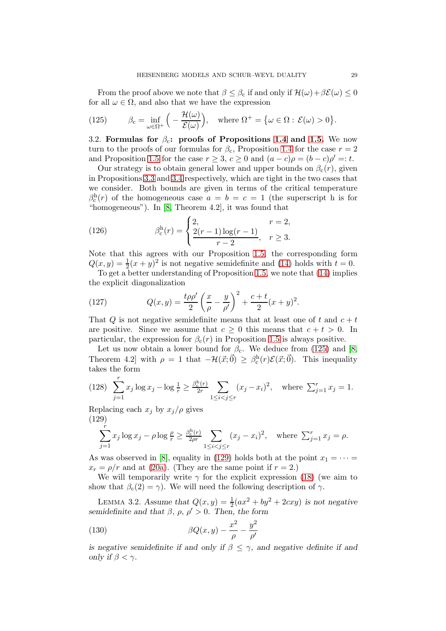From the proof above we note that  $\beta \leq \beta_c$  if and only if  $\mathcal{H}(\omega) + \beta \mathcal{E}(\omega) \leq 0$ for all  $\omega \in \Omega$ , and also that we have the expression

<span id="page-28-2"></span>(125) 
$$
\beta_{\mathrm{c}} = \inf_{\omega \in \Omega^{+}} \left( -\frac{\mathcal{H}(\omega)}{\mathcal{E}(\omega)} \right), \quad \text{where } \Omega^{+} = \{ \omega \in \Omega : \mathcal{E}(\omega) > 0 \}.
$$

<span id="page-28-0"></span>3.2. Formulas for  $\beta_c$ : proofs of Propositions [1.4](#page-5-2) and [1.5.](#page-6-2) We now turn to the proofs of our formulas for  $\beta_c$ , Proposition [1.4](#page-5-2) for the case  $r = 2$ and Proposition [1.5](#page-6-2) for the case  $r \geq 3$ ,  $c \geq 0$  and  $(a-c)\rho = (b-c)\rho' = t$ .

Our strategy is to obtain general lower and upper bounds on  $\beta_c(r)$ , given in Propositions [3.3](#page-29-0) and [3.4](#page-30-0) respectively, which are tight in the two cases that we consider. Both bounds are given in terms of the critical temperature  $\beta_c^h(r)$  of the homogeneous case  $a = b = c = 1$  (the superscript h is for "homogeneous"). In [\[8,](#page-53-7) Theorem 4.2], it was found that

(126) 
$$
\beta_c^{\text{h}}(r) = \begin{cases} 2, & r = 2, \\ \frac{2(r-1)\log(r-1)}{r-2}, & r \ge 3. \end{cases}
$$

Note that this agrees with our Proposition [1.5;](#page-6-2) the corresponding form  $Q(x, y) = \frac{1}{2}(x + y)^2$  is not negative semidefinite and [\(14\)](#page-5-4) holds with  $t = 0$ . To get a better understanding of Proposition [1.5,](#page-6-2) we note that [\(14\)](#page-5-4) implies

the explicit diagonalization

<span id="page-28-5"></span>(127) 
$$
Q(x,y) = \frac{t\rho\rho'}{2} \left(\frac{x}{\rho} - \frac{y}{\rho'}\right)^2 + \frac{c+t}{2} (x+y)^2.
$$

That Q is not negative semidefinite means that at least one of t and  $c + t$ are positive. Since we assume that  $c \geq 0$  this means that  $c + t > 0$ . In particular, the expression for  $\beta_c(r)$  in Proposition [1.5](#page-6-2) is always positive.

Let us now obtain a lower bound for  $\beta_c$ . We deduce from [\(125\)](#page-28-2) and [\[8,](#page-53-7) Theorem 4.2] with  $\rho = 1$  that  $-\mathcal{H}(\vec{x}; \vec{0}) \geq \beta_c^{\text{h}}(r) \mathcal{E}(\vec{x}; \vec{0})$ . This inequality takes the form

(128) 
$$
\sum_{j=1}^{r} x_j \log x_j - \log \frac{1}{r} \ge \frac{\beta_c^{\text{h}}(r)}{2r} \sum_{1 \le i < j \le r} (x_j - x_i)^2, \quad \text{where } \sum_{j=1}^{r} x_j = 1.
$$

Replacing each  $x_j$  by  $x_j/\rho$  gives (129)

<span id="page-28-3"></span>
$$
\sum_{j=1}^{r} x_j \log x_j - \rho \log \frac{\rho}{r} \ge \frac{\beta_c^{\mathsf{h}}(r)}{2\rho r} \sum_{1 \le i < j \le r} (x_j - x_i)^2, \quad \text{where } \sum_{j=1}^{r} x_j = \rho.
$$

As was observed in [\[8\]](#page-53-7), equality in [\(129\)](#page-28-3) holds both at the point  $x_1 = \cdots =$  $x_r = \rho/r$  and at [\(20a\)](#page-6-7). (They are the same point if  $r = 2$ .)

We will temporarily write  $\gamma$  for the explicit expression [\(18\)](#page-5-5) (we aim to show that  $\beta_c(2) = \gamma$ . We will need the following description of  $\gamma$ .

<span id="page-28-1"></span>LEMMA 3.2. Assume that  $Q(x, y) = \frac{1}{2}(ax^2 + by^2 + 2cxy)$  is not negative semidefinite and that  $\beta$ ,  $\rho$ ,  $\rho' > 0$ . Then, the form

<span id="page-28-4"></span>(130) 
$$
\beta Q(x, y) - \frac{x^2}{\rho} - \frac{y^2}{\rho'}
$$

is negative semidefinite if and only if  $\beta \leq \gamma$ , and negative definite if and only if  $\beta < \gamma$ .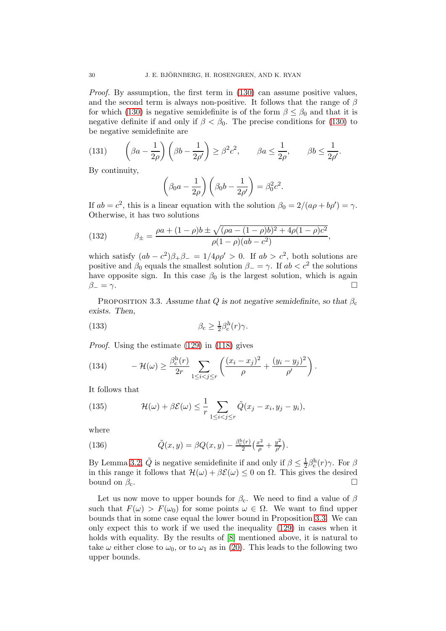Proof. By assumption, the first term in [\(130\)](#page-28-4) can assume positive values, and the second term is always non-positive. It follows that the range of  $\beta$ for which [\(130\)](#page-28-4) is negative semidefinite is of the form  $\beta \leq \beta_0$  and that it is negative definite if and only if  $\beta < \beta_0$ . The precise conditions for [\(130\)](#page-28-4) to be negative semidefinite are

(131) 
$$
\left(\beta a - \frac{1}{2\rho}\right) \left(\beta b - \frac{1}{2\rho'}\right) \ge \beta^2 c^2, \qquad \beta a \le \frac{1}{2\rho}, \qquad \beta b \le \frac{1}{2\rho'}.
$$

By continuity,

$$
\left(\beta_0 a - \frac{1}{2\rho}\right) \left(\beta_0 b - \frac{1}{2\rho'}\right) = \beta_0^2 c^2.
$$

If  $ab = c^2$ , this is a linear equation with the solution  $\beta_0 = 2/(a\rho + b\rho') = \gamma$ . Otherwise, it has two solutions

,

(132) 
$$
\beta_{\pm} = \frac{\rho a + (1 - \rho)b \pm \sqrt{(\rho a - (1 - \rho)b)^2 + 4\rho(1 - \rho)c^2}}{\rho(1 - \rho)(ab - c^2)}
$$

which satisfy  $(ab - c^2)\beta_+\beta_- = 1/4\rho\rho' > 0$ . If  $ab > c^2$ , both solutions are positive and  $\beta_0$  equals the smallest solution  $\beta_-=\gamma$ . If  $ab < c^2$  the solutions have opposite sign. In this case  $\beta_0$  is the largest solution, which is again  $\beta_-=\gamma.$ 

<span id="page-29-0"></span>PROPOSITION 3.3. Assume that Q is not negative semidefinite, so that  $\beta_c$ exists. Then,

<span id="page-29-1"></span>(133) 
$$
\beta_c \geq \frac{1}{2}\beta_c^h(r)\gamma.
$$

Proof. Using the estimate [\(129\)](#page-28-3) in [\(118\)](#page-26-3) gives

<span id="page-29-3"></span>(134) 
$$
-\mathcal{H}(\omega) \ge \frac{\beta_c^h(r)}{2r} \sum_{1 \le i < j \le r} \left( \frac{(x_i - x_j)^2}{\rho} + \frac{(y_i - y_j)^2}{\rho'} \right).
$$

It follows that

<span id="page-29-2"></span>(135) 
$$
\mathcal{H}(\omega) + \beta \mathcal{E}(\omega) \leq \frac{1}{r} \sum_{1 \leq i < j \leq r} \tilde{Q}(x_j - x_i, y_j - y_i),
$$

where

(136) 
$$
\tilde{Q}(x,y) = \beta Q(x,y) - \frac{\beta_c^{\rm h}(r)}{2} \left( \frac{x^2}{\rho} + \frac{y^2}{\rho'} \right).
$$

By Lemma [3.2,](#page-28-1)  $\tilde{Q}$  is negative semidefinite if and only if  $\beta \leq \frac{1}{2}$  $\frac{1}{2}$ β<sup>h</sup><sub>c</sub>(r)γ. For β in this range it follows that  $\mathcal{H}(\omega) + \beta \mathcal{E}(\omega) \leq 0$  on  $\Omega$ . This gives the desired bound on  $\beta_c$ . bound on  $\beta_c$ .

Let us now move to upper bounds for  $\beta_c$ . We need to find a value of  $\beta$ such that  $F(\omega) > F(\omega_0)$  for some points  $\omega \in \Omega$ . We want to find upper bounds that in some case equal the lower bound in Proposition [3.3.](#page-29-0) We can only expect this to work if we used the inequality [\(129\)](#page-28-3) in cases when it holds with equality. By the results of  $[8]$  mentioned above, it is natural to take  $\omega$  either close to  $\omega_0$ , or to  $\omega_1$  as in [\(20\)](#page-6-4). This leads to the following two upper bounds.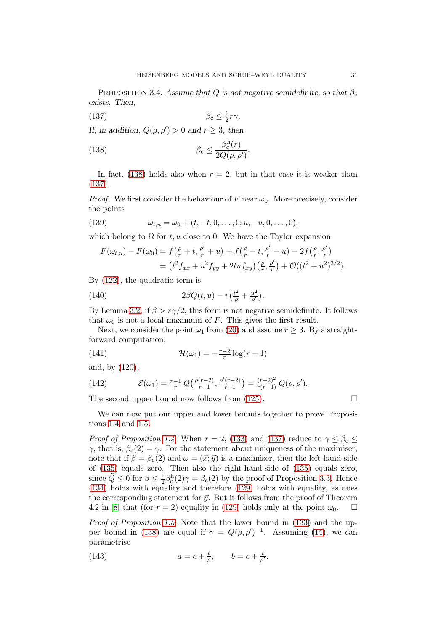<span id="page-30-0"></span>PROPOSITION 3.4. Assume that Q is not negative semidefinite, so that  $\beta_c$ exists. Then,

<span id="page-30-2"></span>
$$
\beta_{\rm c} \le \frac{1}{2}r\gamma.
$$

If, in addition,  $Q(\rho, \rho') > 0$  and  $r \geq 3$ , then

<span id="page-30-1"></span>(138) 
$$
\beta_{\rm c} \leq \frac{\beta_{\rm c}^h(r)}{2Q(\rho, \rho')}.
$$

In fact, [\(138\)](#page-30-1) holds also when  $r = 2$ , but in that case it is weaker than [\(137\)](#page-30-2).

*Proof.* We first consider the behaviour of F near  $\omega_0$ . More precisely, consider the points

(139) 
$$
\omega_{t,u} = \omega_0 + (t, -t, 0, \dots, 0; u, -u, 0, \dots, 0),
$$

which belong to  $\Omega$  for t, u close to 0. We have the Taylor expansion

$$
F(\omega_{t,u}) - F(\omega_0) = f(\frac{\rho}{r} + t, \frac{\rho'}{r} + u) + f(\frac{\rho}{r} - t, \frac{\rho'}{r} - u) - 2f(\frac{\rho}{r}, \frac{\rho'}{r})
$$
  
=  $(t^2 f_{xx} + u^2 f_{yy} + 2tu f_{xy})(\frac{\rho}{r}, \frac{\rho'}{r}) + \mathcal{O}((t^2 + u^2)^{3/2}).$ 

By [\(122\)](#page-27-2), the quadratic term is

(140) 
$$
2\beta Q(t, u) - r\left(\frac{t^2}{\rho} + \frac{u^2}{\rho'}\right).
$$

By Lemma [3.2,](#page-28-1) if  $\beta > r\gamma/2$ , this form is not negative semidefinite. It follows that  $\omega_0$  is not a local maximum of F. This gives the first result.

Next, we consider the point  $\omega_1$  from [\(20\)](#page-6-4) and assume  $r \geq 3$ . By a straightforward computation,

<span id="page-30-3"></span>(141) 
$$
\mathcal{H}(\omega_1) = -\frac{r-2}{r}\log(r-1)
$$

and, by [\(120\)](#page-27-3),

<span id="page-30-4"></span>(142) 
$$
\mathcal{E}(\omega_1) = \frac{r-1}{r} Q\left(\frac{\rho(r-2)}{r-1}, \frac{\rho'(r-2)}{r-1}\right) = \frac{(r-2)^2}{r(r-1)} Q(\rho, \rho').
$$

The second upper bound now follows from  $(125)$ .

We can now put our upper and lower bounds together to prove Propositions [1.4](#page-5-2) and [1.5.](#page-6-2)

*Proof of Proposition [1.4.](#page-5-2)* When  $r = 2$ , [\(133\)](#page-29-1) and [\(137\)](#page-30-2) reduce to  $\gamma \leq \beta_c \leq$ γ, that is,  $β<sub>c</sub>(2) = γ$ . For the statement about uniqueness of the maximiser, note that if  $\beta = \beta_c(2)$  and  $\omega = (\vec{x}; \vec{y})$  is a maximiser, then the left-hand-side of [\(135\)](#page-29-2) equals zero. Then also the right-hand-side of [\(135\)](#page-29-2) equals zero, since  $\tilde{Q} \leq 0$  for  $\beta \leq \frac{1}{2}$  $\frac{1}{2}\beta_c^h(2)\gamma = \beta_c(2)$  by the proof of Proposition [3.3.](#page-29-0) Hence [\(134\)](#page-29-3) holds with equality and therefore [\(129\)](#page-28-3) holds with equality, as does the corresponding statement for  $\vec{y}$ . But it follows from the proof of Theorem 4.2 in [\[8\]](#page-53-7) that (for  $r = 2$ ) equality in [\(129\)](#page-28-3) holds only at the point  $\omega_0$ .  $\Box$ 

Proof of Proposition [1.5.](#page-6-2) Note that the lower bound in [\(133\)](#page-29-1) and the up-per bound in [\(138\)](#page-30-1) are equal if  $\gamma = Q(\rho, \rho')^{-1}$ . Assuming [\(14\)](#page-5-4), we can parametrise

(143) 
$$
a = c + \frac{t}{\rho}, \qquad b = c + \frac{t}{\rho'}.
$$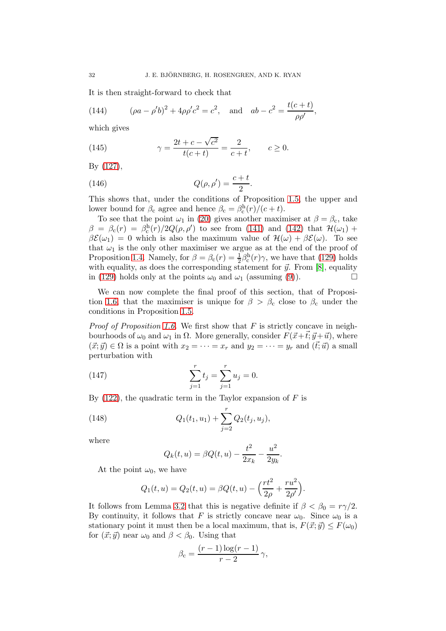It is then straight-forward to check that

(144) 
$$
(\rho a - \rho' b)^2 + 4\rho \rho' c^2 = c^2, \text{ and } ab - c^2 = \frac{t(c+t)}{\rho \rho'},
$$

which gives

(145) 
$$
\gamma = \frac{2t + c - \sqrt{c^2}}{t(c + t)} = \frac{2}{c + t}, \qquad c \ge 0.
$$

By [\(127\)](#page-28-5),

<span id="page-31-2"></span>(146) 
$$
Q(\rho, \rho') = \frac{c+t}{2}.
$$

This shows that, under the conditions of Proposition [1.5,](#page-6-2) the upper and lower bound for  $\beta_c$  agree and hence  $\beta_c = \beta_c^h(r)/(c + t)$ .

To see that the point  $\omega_1$  in [\(20\)](#page-6-4) gives another maximiser at  $\beta = \beta_c$ , take  $\beta = \beta_c(r) = \beta_c^h(r)/2Q(\rho, \rho')$  to see from [\(141\)](#page-30-3) and [\(142\)](#page-30-4) that  $\mathcal{H}(\omega_1)$  +  $\beta \mathcal{E}(\omega_1) = 0$  which is also the maximum value of  $\mathcal{H}(\omega) + \beta \mathcal{E}(\omega)$ . To see that  $\omega_1$  is the only other maximiser we argue as at the end of the proof of Proposition [1.4.](#page-5-2) Namely, for  $\beta = \beta_c(r) = \frac{1}{2}\beta_c^h(r)\gamma$ , we have that [\(129\)](#page-28-3) holds with equality, as does the corresponding statement for  $\vec{y}$ . From [\[8\]](#page-53-7), equality in [\(129\)](#page-28-3) holds only at the points  $\omega_0$  and  $\omega_1$  (assuming [\(9\)](#page-4-2)).

We can now complete the final proof of this section, that of Proposi-tion [1.6,](#page-6-3) that the maximiser is unique for  $\beta > \beta_c$  close to  $\beta_c$  under the conditions in Proposition [1.5.](#page-6-2)

*Proof of Proposition [1.6.](#page-6-3)* We first show that  $F$  is strictly concave in neighbourhoods of  $\omega_0$  and  $\omega_1$  in  $\Omega$ . More generally, consider  $F(\vec{x}+\vec{t}; \vec{y}+\vec{u})$ , where  $(\vec{x}; \vec{y}) \in \Omega$  is a point with  $x_2 = \cdots = x_r$  and  $y_2 = \cdots = y_r$  and  $(\vec{t}; \vec{u})$  a small perturbation with

(147) 
$$
\sum_{j=1}^{r} t_j = \sum_{j=1}^{r} u_j = 0.
$$

By  $(122)$ , the quadratic term in the Taylor expansion of F is

(148) 
$$
Q_1(t_1, u_1) + \sum_{j=2}^r Q_2(t_j, u_j),
$$

where

<span id="page-31-1"></span><span id="page-31-0"></span>
$$
Q_k(t, u) = \beta Q(t, u) - \frac{t^2}{2x_k} - \frac{u^2}{2y_k}.
$$

At the point  $\omega_0$ , we have

$$
Q_1(t, u) = Q_2(t, u) = \beta Q(t, u) - \left(\frac{rt^2}{2\rho} + \frac{ru^2}{2\rho'}\right).
$$

It follows from Lemma [3.2](#page-28-1) that this is negative definite if  $\beta < \beta_0 = r\gamma/2$ . By continuity, it follows that F is strictly concave near  $\omega_0$ . Since  $\omega_0$  is a stationary point it must then be a local maximum, that is,  $F(\vec{x}; \vec{y}) \leq F(\omega_0)$ for  $(\vec{x}; \vec{y})$  near  $\omega_0$  and  $\beta < \beta_0$ . Using that

$$
\beta_{\rm c} = \frac{(r-1)\log(r-1)}{r-2}\,\gamma,
$$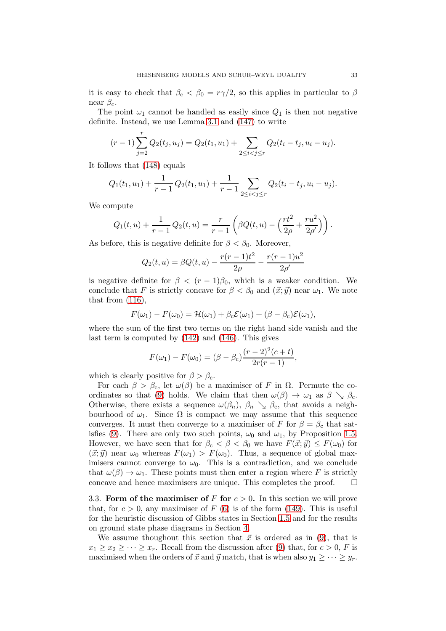it is easy to check that  $\beta_c < \beta_0 = r\gamma/2$ , so this applies in particular to  $\beta$ near  $\beta_c$ .

The point  $\omega_1$  cannot be handled as easily since  $Q_1$  is then not negative definite. Instead, we use Lemma [3.1](#page-26-2) and [\(147\)](#page-31-0) to write

$$
(r-1)\sum_{j=2}^r Q_2(t_j, u_j) = Q_2(t_1, u_1) + \sum_{2 \leq i < j \leq r} Q_2(t_i - t_j, u_i - u_j).
$$

It follows that [\(148\)](#page-31-1) equals

$$
Q_1(t_1, u_1) + \frac{1}{r-1} Q_2(t_1, u_1) + \frac{1}{r-1} \sum_{2 \leq i < j \leq r} Q_2(t_i - t_j, u_i - u_j).
$$

We compute

$$
Q_1(t, u) + \frac{1}{r-1} Q_2(t, u) = \frac{r}{r-1} \left( \beta Q(t, u) - \left( \frac{rt^2}{2\rho} + \frac{ru^2}{2\rho'} \right) \right).
$$

As before, this is negative definite for  $\beta < \beta_0$ . Moreover,

$$
Q_2(t, u) = \beta Q(t, u) - \frac{r(r - 1)t^2}{2\rho} - \frac{r(r - 1)u^2}{2\rho'}
$$

is negative definite for  $\beta < (r-1)\beta_0$ , which is a weaker condition. We conclude that F is strictly concave for  $\beta < \beta_0$  and  $(\vec{x}; \vec{y})$  near  $\omega_1$ . We note that from  $(116)$ ,

$$
F(\omega_1) - F(\omega_0) = \mathcal{H}(\omega_1) + \beta_c \mathcal{E}(\omega_1) + (\beta - \beta_c) \mathcal{E}(\omega_1),
$$

where the sum of the first two terms on the right hand side vanish and the last term is computed by [\(142\)](#page-30-4) and [\(146\)](#page-31-2). This gives

$$
F(\omega_1) - F(\omega_0) = (\beta - \beta_c) \frac{(r-2)^2(c+t)}{2r(r-1)},
$$

which is clearly positive for  $\beta > \beta_c$ .

For each  $\beta > \beta_c$ , let  $\omega(\beta)$  be a maximiser of F in  $\Omega$ . Permute the co-ordinates so that [\(9\)](#page-4-2) holds. We claim that then  $\omega(\beta) \to \omega_1$  as  $\beta \searrow \beta_c$ . Otherwise, there exists a sequence  $\omega(\beta_n)$ ,  $\beta_n \searrow \beta_c$ , that avoids a neighbourhood of  $\omega_1$ . Since  $\Omega$  is compact we may assume that this sequence converges. It must then converge to a maximiser of F for  $\beta = \beta_c$  that sat-isfies [\(9\)](#page-4-2). There are only two such points,  $\omega_0$  and  $\omega_1$ , by Proposition [1.5.](#page-6-2) However, we have seen that for  $\beta_c < \beta < \beta_0$  we have  $F(\vec{x}; \vec{y}) \leq F(\omega_0)$  for  $(\vec{x}; \vec{y})$  near  $\omega_0$  whereas  $F(\omega_1) > F(\omega_0)$ . Thus, a sequence of global maximisers cannot converge to  $\omega_0$ . This is a contradiction, and we conclude that  $\omega(\beta) \to \omega_1$ . These points must then enter a region where F is strictly concave and hence maximisers are unique. This completes the proof.  $\square$ concave and hence maximisers are unique. This completes the proof.

<span id="page-32-0"></span>3.3. Form of the maximiser of F for  $c > 0$ . In this section we will prove that, for  $c > 0$ , any maximiser of F [\(6\)](#page-3-3) is of the form [\(149\)](#page-33-1). This is useful for the heuristic discussion of Gibbs states in Section [1.5](#page-10-0) and for the results on ground state phase diagrams in Section [4.](#page-36-0)

We assume thoughout this section that  $\vec{x}$  is ordered as in [\(9\)](#page-4-2), that is  $x_1 \geq x_2 \geq \cdots \geq x_r$ . Recall from the discussion after [\(9\)](#page-4-2) that, for  $c > 0$ , F is maximised when the orders of  $\vec{x}$  and  $\vec{y}$  match, that is when also  $y_1 \geq \cdots \geq y_r$ .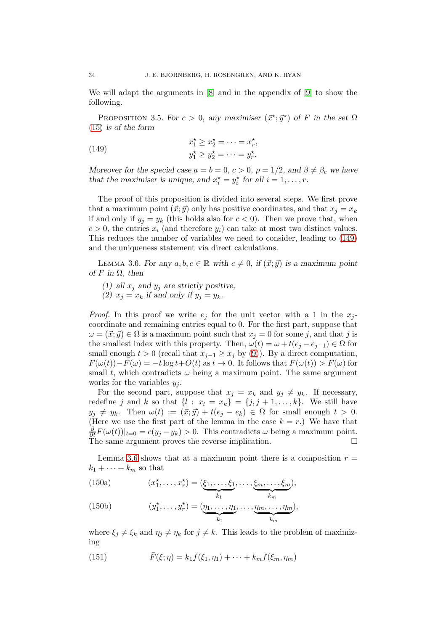We will adapt the arguments in [\[8\]](#page-53-7) and in the appendix of [\[9\]](#page-53-8) to show the following.

<span id="page-33-0"></span>PROPOSITION 3.5. For  $c > 0$ , any maximiser  $(\vec{x}^*, \vec{y}^*)$  of F in the set  $\Omega$ [\(15\)](#page-5-6) is of the form

<span id="page-33-1"></span>(149) 
$$
x_1^{\star} \ge x_2^{\star} = \cdots = x_r^{\star},
$$

$$
y_1^{\star} \ge y_2^{\star} = \cdots = y_r^{\star}.
$$

Moreover for the special case  $a = b = 0, c > 0, \rho = 1/2$ , and  $\beta \neq \beta_c$  we have that the maximiser is unique, and  $x_i^* = y_i^*$  for all  $i = 1, ..., r$ .

The proof of this proposition is divided into several steps. We first prove that a maximum point  $(\vec{x}; \vec{y})$  only has positive coordinates, and that  $x_i = x_k$ if and only if  $y_j = y_k$  (this holds also for  $c < 0$ ). Then we prove that, when  $c > 0$ , the entries  $x_i$  (and therefore  $y_i$ ) can take at most two distinct values. This reduces the number of variables we need to consider, leading to [\(149\)](#page-33-1) and the uniqueness statement via direct calculations.

<span id="page-33-2"></span>LEMMA 3.6. For any  $a, b, c \in \mathbb{R}$  with  $c \neq 0$ , if  $(\vec{x}; \vec{y})$  is a maximum point of F in  $\Omega$ , then

- (1) all  $x_j$  and  $y_j$  are strictly positive,
- (2)  $x_i = x_k$  if and only if  $y_i = y_k$ .

*Proof.* In this proof we write  $e_j$  for the unit vector with a 1 in the  $x_j$ coordinate and remaining entries equal to 0. For the first part, suppose that  $\omega = (\vec{x}; \vec{y}) \in \Omega$  is a maximum point such that  $x_j = 0$  for some j, and that j is the smallest index with this property. Then,  $\omega(t) = \omega + t(e_i - e_{i-1}) \in \Omega$  for small enough  $t > 0$  (recall that  $x_{i-1} \geq x_i$  by [\(9\)](#page-4-2)). By a direct computation,  $F(\omega(t)) - F(\omega) = -t \log t + O(t)$  as  $t \to 0$ . It follows that  $F(\omega(t)) > F(\omega)$  for small t, which contradicts  $\omega$  being a maximum point. The same argument works for the variables  $y_i$ .

For the second part, suppose that  $x_j = x_k$  and  $y_j \neq y_k$ . If necessary, redefine j and k so that  $\{l : x_l = x_k\} = \{j, j + 1, \ldots, k\}$ . We still have  $y_j \neq y_k$ . Then  $\omega(t) := (\vec{x}; \vec{y}) + t(e_j - e_k) \in \Omega$  for small enough  $t > 0$ . (Here we use the first part of the lemma in the case  $k = r$ .) We have that  $\frac{\partial}{\partial t}F(\omega(t))|_{t=0} = c(y_j - y_k) > 0.$  This contradicts  $\omega$  being a maximum point. The same argument proves the reverse implication.  $\square$ 

<span id="page-33-3"></span>Lemma [3.6](#page-33-2) shows that at a maximum point there is a composition  $r =$  $k_1 + \cdots + k_m$  so that

(150a) 
$$
(x_1^*, \ldots, x_r^*) = (\underbrace{\xi_1, \ldots, \xi_1}_{k_1}, \ldots, \underbrace{\xi_m, \ldots, \xi_m}_{k_m}),
$$

(150b) 
$$
(y_1^{\star}, \ldots, y_r^{\star}) = (\underbrace{\eta_1, \ldots, \eta_1}_{k_1}, \ldots, \underbrace{\eta_m, \ldots, \eta_m}_{k_m}),
$$

where  $\xi_j \neq \xi_k$  and  $\eta_j \neq \eta_k$  for  $j \neq k$ . This leads to the problem of maximizing

(151)  $\bar{F}(\xi; \eta) = k_1 f(\xi_1, \eta_1) + \cdots + k_m f(\xi_m, \eta_m)$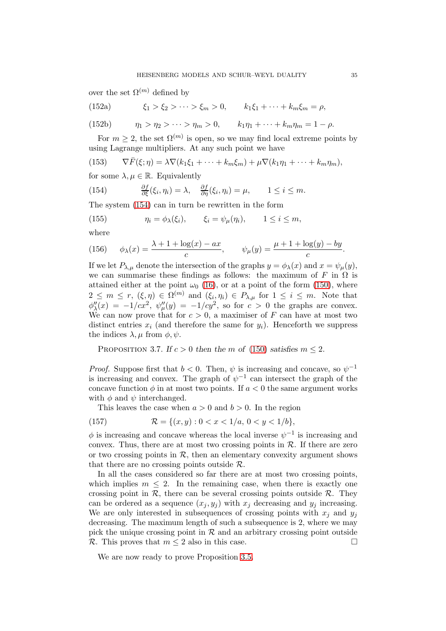over the set  $\Omega^{(m)}$  defined by

(152a) 
$$
\xi_1 > \xi_2 > \cdots > \xi_m > 0, \qquad k_1 \xi_1 + \cdots + k_m \xi_m = \rho,
$$

(152b) 
$$
\eta_1 > \eta_2 > \cdots > \eta_m > 0, \qquad k_1 \eta_1 + \cdots + k_m \eta_m = 1 - \rho.
$$

For  $m \geq 2$ , the set  $\Omega^{(m)}$  is open, so we may find local extreme points by using Lagrange multipliers. At any such point we have

(153) 
$$
\nabla \bar{F}(\xi;\eta) = \lambda \nabla (k_1 \xi_1 + \dots + k_m \xi_m) + \mu \nabla (k_1 \eta_1 + \dots + k_m \eta_m),
$$

for some  $\lambda, \mu \in \mathbb{R}$ . Equivalently

<span id="page-34-0"></span>(154) 
$$
\frac{\partial f}{\partial \xi}(\xi_i, \eta_i) = \lambda, \quad \frac{\partial f}{\partial \eta}(\xi_i, \eta_i) = \mu, \quad 1 \leq i \leq m.
$$

The system [\(154\)](#page-34-0) can in turn be rewritten in the form

<span id="page-34-2"></span>(155) 
$$
\eta_i = \phi_\lambda(\xi_i), \qquad \xi_i = \psi_\mu(\eta_i), \qquad 1 \leq i \leq m,
$$

where

(156) 
$$
\phi_{\lambda}(x) = \frac{\lambda + 1 + \log(x) - ax}{c}, \qquad \psi_{\mu}(y) = \frac{\mu + 1 + \log(y) - by}{c}.
$$

If we let  $P_{\lambda,\mu}$  denote the intersection of the graphs  $y = \phi_{\lambda}(x)$  and  $x = \psi_{\mu}(y)$ , we can summarise these findings as follows: the maximum of F in  $\Omega$  is attained either at the point  $\omega_0$  [\(16\)](#page-5-3), or at a point of the form [\(150\)](#page-33-3), where  $2 \leq m \leq r$ ,  $(\xi, \eta) \in \Omega^{(m)}$  and  $(\xi_i, \eta_i) \in P_{\lambda,\mu}$  for  $1 \leq i \leq m$ . Note that  $\phi''_{\lambda}(x) = -1/cx^2, \ \psi''_{\mu}(y) = -1/cy^2$ , so for  $c > 0$  the graphs are convex. We can now prove that for  $c > 0$ , a maximiser of F can have at most two distinct entries  $x_i$  (and therefore the same for  $y_i$ ). Henceforth we suppress the indices  $\lambda, \mu$  from  $\phi, \psi$ .

<span id="page-34-1"></span>PROPOSITION 3.7. If  $c > 0$  then the m of [\(150\)](#page-33-3) satisfies  $m \leq 2$ .

*Proof.* Suppose first that  $b < 0$ . Then,  $\psi$  is increasing and concave, so  $\psi^{-1}$ is increasing and convex. The graph of  $\psi^{-1}$  can intersect the graph of the concave function  $\phi$  in at most two points. If  $a < 0$  the same argument works with  $\phi$  and  $\psi$  interchanged.

This leaves the case when  $a > 0$  and  $b > 0$ . In the region

(157) 
$$
\mathcal{R} = \{(x, y) : 0 < x < 1/a, \, 0 < y < 1/b\},
$$

 $\phi$  is increasing and concave whereas the local inverse  $\psi^{-1}$  is increasing and convex. Thus, there are at most two crossing points in  $R$ . If there are zero or two crossing points in  $R$ , then an elementary convexity argument shows that there are no crossing points outside  $\mathcal{R}$ .

In all the cases considered so far there are at most two crossing points, which implies  $m \leq 2$ . In the remaining case, when there is exactly one crossing point in  $\mathcal{R}$ , there can be several crossing points outside  $\mathcal{R}$ . They can be ordered as a sequence  $(x_j, y_j)$  with  $x_j$  decreasing and  $y_j$  increasing. We are only interested in subsequences of crossing points with  $x_i$  and  $y_j$ decreasing. The maximum length of such a subsequence is 2, where we may pick the unique crossing point in  $R$  and an arbitrary crossing point outside  $R$ . This proves that  $m \leq 2$  also in this case R. This proves that  $m \leq 2$  also in this case.

We are now ready to prove Proposition [3.5.](#page-33-0)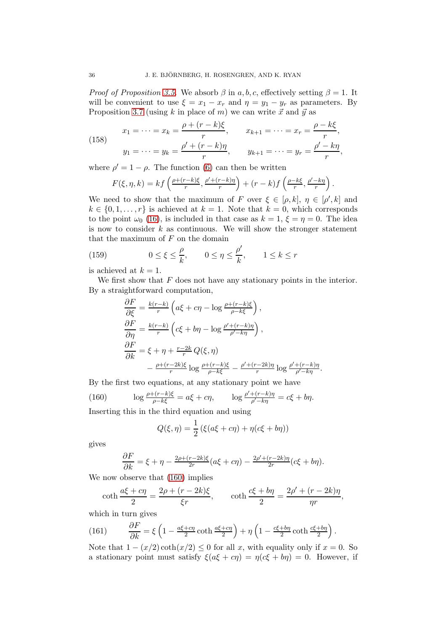*Proof of Proposition [3.5.](#page-33-0)* We absorb  $\beta$  in a, b, c, effectively setting  $\beta = 1$ . It will be convenient to use  $\xi = x_1 - x_r$  and  $\eta = y_1 - y_r$  as parameters. By Proposition [3.7](#page-34-1) (using k in place of m) we can write  $\vec{x}$  and  $\vec{y}$  as

(158) 
$$
x_1 = \dots = x_k = \frac{\rho + (r - k)\xi}{r}, \qquad x_{k+1} = \dots = x_r = \frac{\rho - k\xi}{r},
$$

$$
y_1 = \dots = y_k = \frac{\rho' + (r - k)\eta}{r}, \qquad y_{k+1} = \dots = y_r = \frac{\rho' - k\eta}{r},
$$

where  $\rho' = 1 - \rho$ . The function [\(6\)](#page-3-3) can then be written

$$
F(\xi, \eta, k) = kf\left(\frac{\rho + (r - k)\xi}{r}, \frac{\rho' + (r - k)\eta}{r}\right) + (r - k)f\left(\frac{\rho - k\xi}{r}, \frac{\rho' - k\eta}{r}\right).
$$

We need to show that the maximum of F over  $\xi \in [\rho, k]$ ,  $\eta \in [\rho', k]$  and  $k \in \{0, 1, \ldots, r\}$  is achieved at  $k = 1$ . Note that  $k = 0$ , which corresponds to the point  $\omega_0$  [\(16\)](#page-5-3), is included in that case as  $k = 1, \xi = \eta = 0$ . The idea is now to consider  $k$  as continuous. We will show the stronger statement that the maximum of  $F$  on the domain

(159) 
$$
0 \le \xi \le \frac{\rho}{k}, \qquad 0 \le \eta \le \frac{\rho'}{k}, \qquad 1 \le k \le r
$$

is achieved at  $k = 1$ .

We first show that  $F$  does not have any stationary points in the interior. By a straightforward computation,

<span id="page-35-1"></span>
$$
\begin{split}\n\frac{\partial F}{\partial \xi} &= \frac{k(r-k)}{r} \left( a\xi + c\eta - \log \frac{\rho + (r-k)\xi}{\rho - k\xi} \right), \\
\frac{\partial F}{\partial \eta} &= \frac{k(r-k)}{r} \left( c\xi + b\eta - \log \frac{\rho' + (r-k)\eta}{\rho' - k\eta} \right), \\
\frac{\partial F}{\partial k} &= \xi + \eta + \frac{r-2k}{r} Q(\xi, \eta) \\
&\quad - \frac{\rho + (r-2k)\xi}{r} \log \frac{\rho + (r-k)\xi}{\rho - k\xi} - \frac{\rho' + (r-2k)\eta}{r} \log \frac{\rho' + (r-k)\eta}{\rho' - k\eta}.\n\end{split}
$$

By the first two equations, at any stationary point we have

(160) 
$$
\log \frac{\rho + (r - k)\xi}{\rho - k\xi} = a\xi + c\eta, \qquad \log \frac{\rho' + (r - k)\eta}{\rho' - k\eta} = c\xi + b\eta.
$$

Inserting this in the third equation and using

<span id="page-35-0"></span>
$$
Q(\xi, \eta) = \frac{1}{2} \left( \xi (a\xi + c\eta) + \eta (c\xi + b\eta) \right)
$$

gives

$$
\frac{\partial F}{\partial k} = \xi + \eta - \frac{2\rho + (r - 2k)\xi}{2r}(a\xi + c\eta) - \frac{2\rho' + (r - 2k)\eta}{2r}(c\xi + b\eta).
$$

We now observe that [\(160\)](#page-35-0) implies

$$
\coth \frac{a\xi + c\eta}{2} = \frac{2\rho + (r - 2k)\xi}{\xi r}, \qquad \coth \frac{c\xi + b\eta}{2} = \frac{2\rho' + (r - 2k)\eta}{\eta r},
$$

which in turn gives

(161) 
$$
\frac{\partial F}{\partial k} = \xi \left( 1 - \frac{a\xi + c\eta}{2} \coth \frac{a\xi + c\eta}{2} \right) + \eta \left( 1 - \frac{c\xi + b\eta}{2} \coth \frac{c\xi + b\eta}{2} \right).
$$

Note that  $1 - (x/2) \coth(x/2) \leq 0$  for all x, with equality only if  $x = 0$ . So a stationary point must satisfy  $\xi(a\xi + c\eta) = \eta(c\xi + b\eta) = 0$ . However, if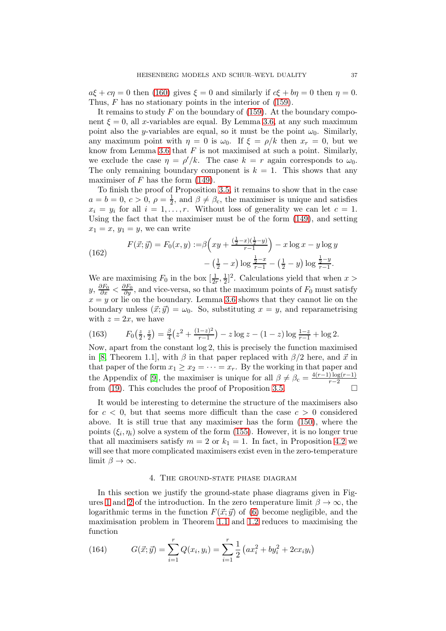$a\xi + c\eta = 0$  then [\(160\)](#page-35-0) gives  $\xi = 0$  and similarly if  $c\xi + b\eta = 0$  then  $\eta = 0$ . Thus, F has no stationary points in the interior of  $(159)$ .

It remains to study  $F$  on the boundary of [\(159\)](#page-35-1). At the boundary component  $\xi = 0$ , all x-variables are equal. By Lemma [3.6,](#page-33-2) at any such maximum point also the y-variables are equal, so it must be the point  $\omega_0$ . Similarly, any maximum point with  $\eta = 0$  is  $\omega_0$ . If  $\xi = \rho/k$  then  $x_r = 0$ , but we know from Lemma [3.6](#page-33-2) that  $F$  is not maximised at such a point. Similarly, we exclude the case  $\eta = \rho'/k$ . The case  $k = r$  again corresponds to  $\omega_0$ . The only remaining boundary component is  $k = 1$ . This shows that any maximiser of  $F$  has the form  $(149)$ .

To finish the proof of Proposition [3.5,](#page-33-0) it remains to show that in the case  $a = b = 0, c > 0, \rho = \frac{1}{2}$  $\frac{1}{2}$ , and  $\beta \neq \beta_c$ , the maximiser is unique and satisfies  $x_i = y_i$  for all  $i = 1, \ldots, r$ . Without loss of generality we can let  $c = 1$ . Using the fact that the maximiser must be of the form [\(149\)](#page-33-1), and setting  $x_1 = x, y_1 = y$ , we can write

(162) 
$$
F(\vec{x}; \vec{y}) = F_0(x, y) := \beta \left( xy + \frac{(\frac{1}{2} - x)(\frac{1}{2} - y)}{r - 1} \right) - x \log x - y \log y - (\frac{1}{2} - x) \log \frac{\frac{1}{2} - x}{r - 1} - (\frac{1}{2} - y) \log \frac{\frac{1}{2} - y}{r - 1}.
$$

We are maximising  $F_0$  in the box  $\left[\frac{1}{2r},\frac{1}{2}\right]$  $\frac{1}{2}$ <sup>2</sup>. Calculations yield that when x >  $y, \frac{\partial F_0}{\partial x} < \frac{\partial F_0}{\partial y}$ , and vice-versa, so that the maximum points of  $F_0$  must satisfy  $x = y$  or lie on the boundary. Lemma [3.6](#page-33-2) shows that they cannot lie on the boundary unless  $(\vec{x}; \vec{y}) = \omega_0$ . So, substituting  $x = y$ , and reparametrising with  $z = 2x$ , we have

(163) 
$$
F_0\left(\frac{z}{2},\frac{z}{2}\right) = \frac{\beta}{4}\left(z^2 + \frac{(1-z)^2}{r-1}\right) - z\log z - (1-z)\log\frac{1-z}{r-1} + \log 2.
$$

Now, apart from the constant log 2, this is precisely the function maximised in [\[8,](#page-53-7) Theorem 1.1], with  $\beta$  in that paper replaced with  $\beta/2$  here, and  $\vec{x}$  in that paper of the form  $x_1 \ge x_2 = \cdots = x_r$ . By the working in that paper and the Appendix of [\[9\]](#page-53-8), the maximiser is unique for all  $\beta \neq \beta_c = \frac{4(r-1)\log(r-1)}{r-2}$  $r-2$ from [\(19\)](#page-6-8). This concludes the proof of Proposition [3.5.](#page-33-0)  $\Box$ 

It would be interesting to determine the structure of the maximisers also for  $c < 0$ , but that seems more difficult than the case  $c > 0$  considered above. It is still true that any maximiser has the form [\(150\)](#page-33-3), where the points  $(\xi_i, \eta_i)$  solve a system of the form [\(155\)](#page-34-2). However, it is no longer true that all maximisers satisfy  $m = 2$  or  $k_1 = 1$ . In fact, in Proposition [4.2](#page-41-0) we will see that more complicated maximisers exist even in the zero-temperature limit  $\beta \to \infty$ .

#### 4. The ground-state phase diagram

<span id="page-36-0"></span>In this section we justify the ground-state phase diagrams given in Fig-ures [1](#page-9-0) and [2](#page-10-1) of the introduction. In the zero temperature limit  $\beta \to \infty$ , the logarithmic terms in the function  $F(\vec{x}; \vec{y})$  of [\(6\)](#page-3-3) become negligible, and the maximisation problem in Theorem [1.1](#page-3-1) and [1.2](#page-4-0) reduces to maximising the function

(164) 
$$
G(\vec{x}; \vec{y}) = \sum_{i=1}^{r} Q(x_i, y_i) = \sum_{i=1}^{r} \frac{1}{2} \left( a x_i^2 + b y_i^2 + 2 c x_i y_i \right)
$$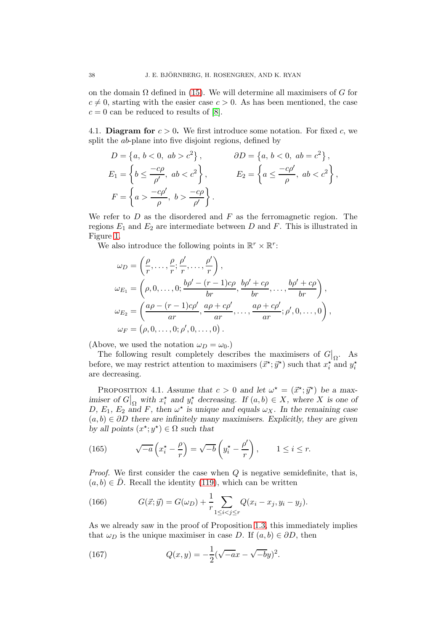on the domain  $\Omega$  defined in [\(15\)](#page-5-6). We will determine all maximisers of G for  $c \neq 0$ , starting with the easier case  $c > 0$ . As has been mentioned, the case  $c = 0$  can be reduced to results of [\[8\]](#page-53-7).

<span id="page-37-0"></span>4.1. **Diagram for**  $c > 0$ . We first introduce some notation. For fixed c, we split the *ab*-plane into five disjoint regions, defined by

$$
D = \left\{a, b < 0, ab > c^2\right\}, \qquad \partial D = \left\{a, b < 0, ab = c^2\right\},
$$
\n
$$
E_1 = \left\{b \le \frac{-c\rho}{\rho'}, ab < c^2\right\}, \qquad E_2 = \left\{a \le \frac{-c\rho'}{\rho}, ab < c^2\right\},
$$
\n
$$
F = \left\{a > \frac{-c\rho'}{\rho}, b > \frac{-c\rho}{\rho'}\right\}.
$$

We refer to  $D$  as the disordered and  $F$  as the ferromagnetic region. The regions  $E_1$  and  $E_2$  are intermediate between D and F. This is illustrated in Figure [1.](#page-9-0)

We also introduce the following points in  $\mathbb{R}^r \times \mathbb{R}^r$ :

$$
\omega_D = \left(\frac{\rho}{r}, \dots, \frac{\rho}{r}; \frac{\rho'}{r}, \dots, \frac{\rho'}{r}\right),
$$
  
\n
$$
\omega_{E_1} = \left(\rho, 0, \dots, 0; \frac{b\rho' - (r-1)c\rho}{br}, \frac{b\rho' + c\rho}{br}, \dots, \frac{b\rho' + c\rho}{br}\right),
$$
  
\n
$$
\omega_{E_2} = \left(\frac{a\rho - (r-1)c\rho'}{ar}, \frac{a\rho + c\rho'}{ar}, \dots, \frac{a\rho + c\rho'}{ar}; \rho', 0, \dots, 0\right),
$$
  
\n
$$
\omega_F = (\rho, 0, \dots, 0; \rho', 0, \dots, 0).
$$

(Above, we used the notation  $\omega_D = \omega_0$ .)

The following result completely describes the maximisers of  $G|_{\Omega}$ . As before, we may restrict attention to maximisers  $(\vec{x}^*, \vec{y}^*)$  such that  $x_i^*$  and  $y_i^*$ are decreasing.

<span id="page-37-3"></span>PROPOSITION 4.1. Assume that  $c > 0$  and let  $\omega^* = (\vec{x}^*, \vec{y}^*)$  be a maximiser of  $G|_{\Omega}$  with  $x_i^*$  and  $y_i^*$  decreasing. If  $(a, b) \in X$ , where X is one of D,  $E_1$ ,  $E_2$  and F, then  $\omega^*$  is unique and equals  $\omega_X$ . In the remaining case  $(a, b) \in \partial D$  there are infinitely many maximisers. Explicitly, they are given by all points  $(x^*; y^*) \in \Omega$  such that

<span id="page-37-2"></span>(165) 
$$
\sqrt{-a}\left(x_i^* - \frac{\rho}{r}\right) = \sqrt{-b}\left(y_i^* - \frac{\rho'}{r}\right), \qquad 1 \le i \le r.
$$

*Proof.* We first consider the case when  $Q$  is negative semidefinite, that is,  $(a, b) \in \overline{D}$ . Recall the identity [\(119\)](#page-27-4), which can be written

<span id="page-37-1"></span>(166) 
$$
G(\vec{x}; \vec{y}) = G(\omega_D) + \frac{1}{r} \sum_{1 \leq i < j \leq r} Q(x_i - x_j, y_i - y_j).
$$

As we already saw in the proof of Proposition [1.3,](#page-5-1) this immediately implies that  $\omega_D$  is the unique maximiser in case D. If  $(a, b) \in \partial D$ , then

<span id="page-37-4"></span>(167) 
$$
Q(x,y) = -\frac{1}{2}(\sqrt{-a}x - \sqrt{-b}y)^2.
$$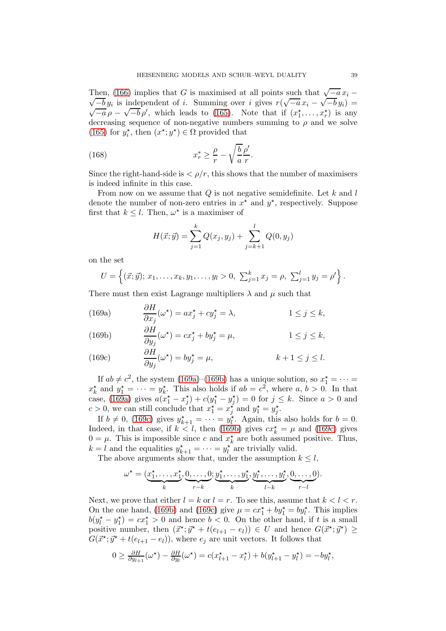Then, [\(166\)](#page-37-1) implies that G is maximised at all points such that  $\sqrt{-a}x_i \frac{-b}{-b}y_i$  is independent of i. Summing over i gives  $r(\sqrt{-a}x_i - \sqrt{-b}y_i)$  $\sqrt{-a} \rho - \sqrt{-b} \rho'$ , which leads to [\(165\)](#page-37-2). Note that if  $(x_1^*, \ldots, x_r^*)$  is any decreasing sequence of non-negative numbers summing to  $\rho$  and we solve [\(165\)](#page-37-2) for  $y_i^*$ , then  $(x^*; y^*) \in \Omega$  provided that

(168) 
$$
x_r^* \geq \frac{\rho}{r} - \sqrt{\frac{b}{a}} \frac{\rho'}{r}.
$$

∂H

Since the right-hand-side is  $\langle \rho/r \rangle$ , this shows that the number of maximisers is indeed infinite in this case.

From now on we assume that  $Q$  is not negative semidefinite. Let k and l denote the number of non-zero entries in  $x^*$  and  $y^*$ , respectively. Suppose first that  $k \leq l$ . Then,  $\omega^*$  is a maximiser of

<span id="page-38-3"></span>
$$
H(\vec{x}; \vec{y}) = \sum_{j=1}^{k} Q(x_j, y_j) + \sum_{j=k+1}^{l} Q(0, y_j)
$$

on the set

$$
U = \left\{ (\vec{x}; \vec{y}); \, x_1, \ldots, x_k, y_1, \ldots, y_l > 0, \, \sum_{j=1}^k x_j = \rho, \, \sum_{j=1}^l y_j = \rho' \right\}.
$$

There must then exist Lagrange multipliers  $\lambda$  and  $\mu$  such that

<span id="page-38-0"></span>(169a) 
$$
\frac{\partial H}{\partial x_j}(\omega^\star) = ax_j^\star + cy_j^\star = \lambda, \qquad 1 \le j \le k,
$$

<span id="page-38-1"></span>(169b) 
$$
\frac{\partial H}{\partial y_j}(\omega^\star) = cx_j^\star + by_j^\star = \mu, \qquad 1 \le j \le k,
$$

<span id="page-38-2"></span>(169c) 
$$
\frac{\partial H}{\partial y_j}(\omega^*) = by_j^* = \mu, \qquad k+1 \le j \le l.
$$

If  $ab \neq c^2$ , the system [\(169a\)](#page-38-0)–[\(169b\)](#page-38-1) has a unique solution, so  $x_1^* = \cdots =$  $x_k^*$  and  $y_1^* = \cdots = y_k^*$ . This also holds if  $ab = c^2$ , where  $a, b > 0$ . In that case, [\(169a\)](#page-38-0) gives  $a(x_1^* - x_j^*) + c(y_1^* - y_j^*) = 0$  for  $j \leq k$ . Since  $a > 0$  and  $c > 0$ , we can still conclude that  $x_1^* = x_j^*$  and  $y_1^* = y_j^*$ .

If  $b \neq 0$ , [\(169c\)](#page-38-2) gives  $y_{k+1}^* = \cdots = y_l^*$ . Again, this also holds for  $b = 0$ . Indeed, in that case, if  $k < l$ , then [\(169b\)](#page-38-1) gives  $c x_k^* = \mu$  and [\(169c\)](#page-38-2) gives  $0 = \mu$ . This is impossible since c and  $x_k^*$  are both assumed positive. Thus,  $k = l$  and the equalities  $y_{k+1}^* = \cdots = y_l^*$  are trivially valid.

The above arguments show that, under the assumption  $k \leq l$ ,

$$
\omega^* = (\underbrace{x_1^*, \dots, x_1^*}_{k}, \underbrace{0, \dots, 0}_{r-k}; \underbrace{y_1^*, \dots, y_1^*}_{k}, \underbrace{y_l^*, \dots, y_l^*}_{l-k}, \underbrace{0, \dots, 0}_{r-l}).
$$

Next, we prove that either  $l = k$  or  $l = r$ . To see this, assume that  $k < l < r$ . On the one hand, [\(169b\)](#page-38-1) and [\(169c\)](#page-38-2) give  $\mu = cx_1^* + by_1^* = by_t^*$ . This implies  $b(y_l^* - y_1^*) = cx_1^* > 0$  and hence  $b < 0$ . On the other hand, if t is a small positive number, then  $(\vec{x}^*, \vec{y}^* + t(e_{l+1} - e_l)) \in U$  and hence  $G(\vec{x}^*, \vec{y}^*) \ge$  $G(\vec{x}^{\star}; \vec{y}^{\star} + t(e_{l+1} - e_l))$ , where  $e_j$  are unit vectors. It follows that

$$
0 \geq \frac{\partial H}{\partial y_{l+1}}(\omega^\star) - \frac{\partial H}{\partial y_l}(\omega^\star) = c(x_{l+1}^\star - x_l^\star) + b(y_{l+1}^\star - y_l^\star) = -by_l^\star,
$$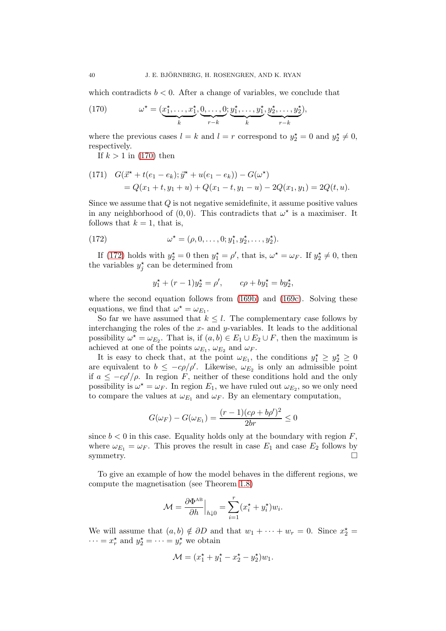which contradicts  $b < 0$ . After a change of variables, we conclude that

<span id="page-39-0"></span>(170) 
$$
\omega^* = (\underbrace{x_1^*, \dots, x_1^*}_{k}, \underbrace{0, \dots, 0}_{r-k}; \underbrace{y_1^*, \dots, y_1^*}_{k}, \underbrace{y_2^*, \dots, y_2^*}_{r-k}),
$$

where the previous cases  $l = k$  and  $l = r$  correspond to  $y_2^* = 0$  and  $y_2^* \neq 0$ , respectively.

If  $k > 1$  in [\(170\)](#page-39-0) then

<span id="page-39-2"></span>(171) 
$$
G(\vec{x}^* + t(e_1 - e_k); \vec{y}^* + u(e_1 - e_k)) - G(\omega^*)
$$
  
=  $Q(x_1 + t, y_1 + u) + Q(x_1 - t, y_1 - u) - 2Q(x_1, y_1) = 2Q(t, u).$ 

Since we assume that Q is not negative semidefinite, it assume positive values in any neighborhood of  $(0,0)$ . This contradicts that  $\omega^*$  is a maximiser. It follows that  $k = 1$ , that is,

(172) 
$$
\omega^* = (\rho, 0, \dots, 0; y_1^*, y_2^*, \dots, y_2^*).
$$

If [\(172\)](#page-39-1) holds with  $y_2^* = 0$  then  $y_1^* = \rho'$ , that is,  $\omega^* = \omega_F$ . If  $y_2^* \neq 0$ , then the variables  $y_j^*$  can be determined from

<span id="page-39-1"></span>
$$
y_1^* + (r - 1)y_2^* = \rho', \qquad c\rho + by_1^* = by_2^*,
$$

where the second equation follows from [\(169b\)](#page-38-1) and [\(169c\)](#page-38-2). Solving these equations, we find that  $\omega^* = \omega_{E_1}$ .

So far we have assumed that  $k \leq l$ . The complementary case follows by interchanging the roles of the  $x$ - and  $y$ -variables. It leads to the additional possibility  $\omega^* = \omega_{E_2}$ . That is, if  $(a, b) \in E_1 \cup E_2 \cup F$ , then the maximum is achieved at one of the points  $\omega_{E_1}, \omega_{E_2}$  and  $\omega_F$ .

It is easy to check that, at the point  $\omega_{E_1}$ , the conditions  $y_1^* \ge y_2^* \ge 0$ are equivalent to  $b \leq -c\rho/\rho'$ . Likewise,  $\omega_{E_2}$  is only an admissible point if  $a \leq -c\rho'/\rho$ . In region F, neither of these conditions hold and the only possibility is  $\omega^* = \omega_F$ . In region  $E_1$ , we have ruled out  $\omega_{E_2}$ , so we only need to compare the values at  $\omega_{E_1}$  and  $\omega_F$ . By an elementary computation,

$$
G(\omega_F) - G(\omega_{E_1}) = \frac{(r-1)(c\rho + b\rho')^2}{2br} \le 0
$$

since  $b < 0$  in this case. Equality holds only at the boundary with region  $F$ , where  $\omega_{E_1} = \omega_F$ . This proves the result in case  $E_1$  and case  $E_2$  follows by symmetry.  $\Box$ 

To give an example of how the model behaves in the different regions, we compute the magnetisation (see Theorem [1.8\)](#page-7-0)

$$
\mathcal{M} = \frac{\partial \Phi^{\text{AB}}}{\partial h}\Big|_{h \downarrow 0} = \sum_{i=1}^r (x_i^{\star} + y_i^{\star}) w_i.
$$

We will assume that  $(a, b) \notin \partial D$  and that  $w_1 + \cdots + w_r = 0$ . Since  $x_2^* =$  $\cdots = x_r^*$  and  $y_2^* = \cdots = y_r^*$  we obtain

$$
\mathcal{M} = (x_1^{\star} + y_1^{\star} - x_2^{\star} - y_2^{\star})w_1.
$$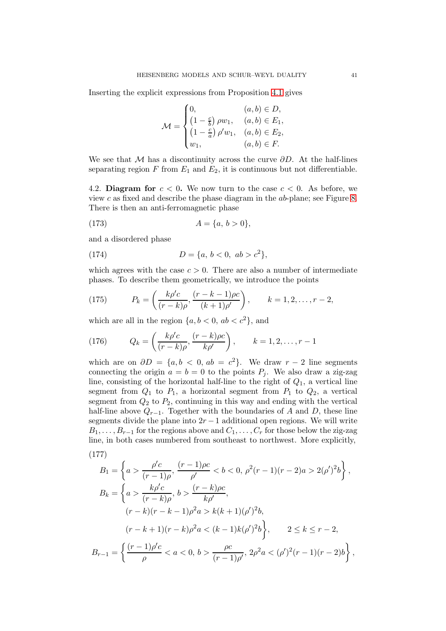Inserting the explicit expressions from Proposition [4.1](#page-37-3) gives

$$
\mathcal{M} = \begin{cases} 0, & (a, b) \in D, \\ \left(1 - \frac{c}{b}\right) \rho w_1, & (a, b) \in E_1, \\ \left(1 - \frac{c}{a}\right) \rho' w_1, & (a, b) \in E_2, \\ w_1, & (a, b) \in F. \end{cases}
$$

We see that M has a discontinuity across the curve  $\partial D$ . At the half-lines separating region  $F$  from  $E_1$  and  $E_2$ , it is continuous but not differentiable.

<span id="page-40-0"></span>4.2. Diagram for  $c < 0$ . We now turn to the case  $c < 0$ . As before, we view c as fixed and describe the phase diagram in the ab-plane; see Figure [8.](#page-42-0) There is then an anti-ferromagnetic phase

<span id="page-40-3"></span>(173) 
$$
A = \{a, b > 0\},\
$$

and a disordered phase

<span id="page-40-5"></span>(174) 
$$
D = \{a, b < 0, ab > c^2\},\
$$

which agrees with the case  $c > 0$ . There are also a number of intermediate phases. To describe them geometrically, we introduce the points

<span id="page-40-1"></span>(175) 
$$
P_k = \left(\frac{k\rho'c}{(r-k)\rho}, \frac{(r-k-1)\rho c}{(k+1)\rho'}\right), \qquad k = 1, 2, \dots, r-2,
$$

which are all in the region  $\{a, b < 0, ab < c^2\}$ , and

<span id="page-40-2"></span>(176) 
$$
Q_k = \left(\frac{k\rho'c}{(r-k)\rho}, \frac{(r-k)\rho c}{k\rho'}\right), \qquad k = 1, 2, ..., r-1
$$

which are on  $\partial D = \{a, b \leq 0, ab = c^2\}$ . We draw  $r - 2$  line segments connecting the origin  $a = b = 0$  to the points  $P_i$ . We also draw a zig-zag line, consisting of the horizontal half-line to the right of  $Q_1$ , a vertical line segment from  $Q_1$  to  $P_1$ , a horizontal segment from  $P_1$  to  $Q_2$ , a vertical segment from  $Q_2$  to  $P_2$ , continuing in this way and ending with the vertical half-line above  $Q_{r-1}$ . Together with the boundaries of A and D, these line segments divide the plane into  $2r - 1$  additional open regions. We will write  $B_1, \ldots, B_{r-1}$  for the regions above and  $C_1, \ldots, C_r$  for those below the zig-zag line, in both cases numbered from southeast to northwest. More explicitly,

<span id="page-40-4"></span>(177)  
\n
$$
B_1 = \left\{ a > \frac{\rho' c}{(r-1)\rho}, \frac{(r-1)\rho c}{\rho'} < b < 0, \ \rho^2 (r-1)(r-2)a > 2(\rho')^2 b \right\},
$$
\n
$$
B_k = \left\{ a > \frac{k\rho' c}{(r-k)\rho}, \ b > \frac{(r-k)\rho c}{k\rho'},
$$
\n
$$
(r-k)(r-k-1)\rho^2 a > k(k+1)(\rho')^2 b,
$$
\n
$$
(r-k+1)(r-k)\rho^2 a < (k-1)k(\rho')^2 b \right\}, \qquad 2 \le k \le r-2,
$$
\n
$$
B_{r-1} = \left\{ \frac{(r-1)\rho' c}{\rho} < a < 0, \ b > \frac{\rho c}{(r-1)\rho'}, \ 2\rho^2 a < (\rho')^2 (r-1)(r-2)b \right\},
$$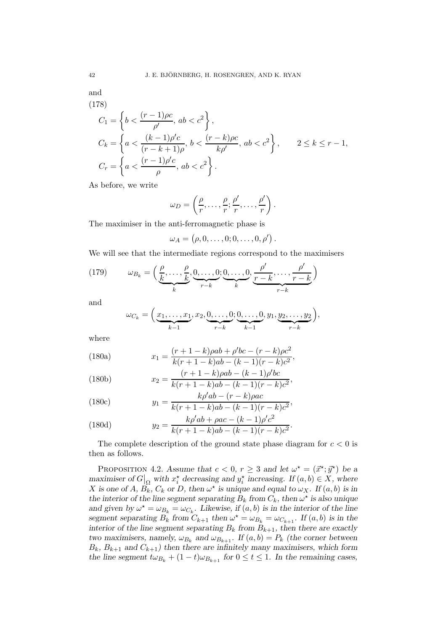and

<span id="page-41-1"></span>(178)  
\n
$$
C_{1} = \left\{ b < \frac{(r-1)\rho c}{\rho'}, ab < c^{2} \right\},
$$
\n
$$
C_{k} = \left\{ a < \frac{(k-1)\rho' c}{(r-k+1)\rho}, b < \frac{(r-k)\rho c}{k\rho'}, ab < c^{2} \right\}, \qquad 2 \le k \le r-1,
$$
\n
$$
C_{r} = \left\{ a < \frac{(r-1)\rho' c}{\rho}, ab < c^{2} \right\}.
$$

As before, we write

$$
\omega_D = \left(\frac{\rho}{r}, \ldots, \frac{\rho}{r}; \frac{\rho'}{r}, \ldots, \frac{\rho'}{r}\right).
$$

The maximiser in the anti-ferromagnetic phase is

$$
\omega_A = (\rho, 0, \ldots, 0; 0, \ldots, 0, \rho') .
$$

We will see that the intermediate regions correspond to the maximisers

<span id="page-41-2"></span>(179) 
$$
\omega_{B_k} = \left(\underbrace{\frac{\rho}{k}, \dots, \frac{\rho}{k}}_{k}, \underbrace{0, \dots, 0}_{r-k}; \underbrace{0, \dots, 0}_{k}, \underbrace{\frac{\rho'}{r-k}, \dots, \frac{\rho'}{r-k}}_{r-k}\right)
$$

and

$$
\omega_{C_k} = \left(\underbrace{x_1,\ldots,x_1}_{k-1},x_2,\underbrace{0,\ldots,0}_{r-k};\underbrace{0,\ldots,0}_{k-1},y_1,\underbrace{y_2,\ldots,y_2}_{r-k}\right),
$$

<span id="page-41-3"></span>where

(180a) 
$$
x_1 = \frac{(r+1-k)\rho ab + \rho'bc - (r-k)\rho c^2}{k(r+1-k)ab - (k-1)(r-k)c^2},
$$

(180b) 
$$
x_2 = \frac{(r+1-k)\rho ab - (k-1)\rho' bc}{k(r+1-k)ab - (k-1)(r-k)c^2},
$$

(180c) 
$$
y_1 = \frac{k\rho'ab - (r - k)\rho ac}{k(r + 1 - k)ab - (k - 1)(r - k)c^2},
$$

(180d) 
$$
y_2 = \frac{k\rho'ab + \rho ac - (k-1)\rho'c^2}{k(r+1-k)ab - (k-1)(r-k)c^2}.
$$

The complete description of the ground state phase diagram for  $c < 0$  is then as follows.

<span id="page-41-0"></span>PROPOSITION 4.2. Assume that  $c < 0$ ,  $r \geq 3$  and let  $\omega^* = (\vec{x}^*; \vec{y}^*)$  be a maximiser of  $G|_{\Omega}$  with  $x_i^*$  decreasing and  $y_i^*$  increasing. If  $(a, b) \in X$ , where X is one of A,  $B_k$ ,  $C_k$  or D, then  $\omega^*$  is unique and equal to  $\omega_X$ . If  $(a, b)$  is in the interior of the line segment separating  $B_k$  from  $C_k$ , then  $\omega^*$  is also unique and given by  $\omega^* = \omega_{B_k} = \omega_{C_k}$ . Likewise, if  $(a, b)$  is in the interior of the line segment separating  $B_k$  from  $C_{k+1}$  then  $\omega^* = \omega_{B_k} = \omega_{C_{k+1}}$ . If  $(a, b)$  is in the interior of the line segment separating  $B_k$  from  $B_{k+1}$ , then there are exactly two maximisers, namely,  $\omega_{B_k}$  and  $\omega_{B_{k+1}}$ . If  $(a, b) = P_k$  (the corner between  $B_k$ ,  $B_{k+1}$  and  $C_{k+1}$ ) then there are infinitely many maximisers, which form the line segment  $t\omega_{B_k} + (1-t)\omega_{B_{k+1}}$  for  $0 \le t \le 1$ . In the remaining cases,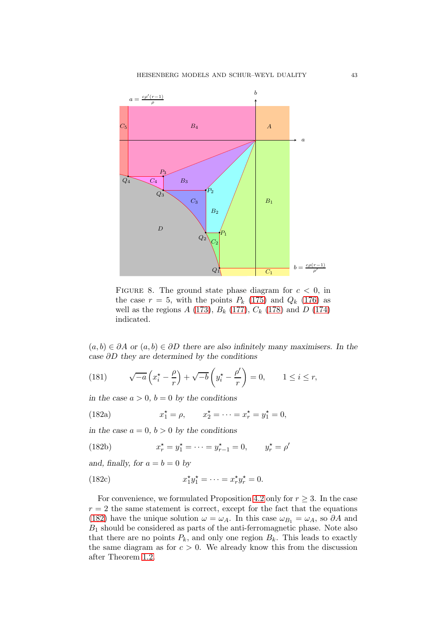<span id="page-42-0"></span>

FIGURE 8. The ground state phase diagram for  $c < 0$ , in the case  $r = 5$ , with the points  $P_k$  [\(175\)](#page-40-1) and  $Q_k$  [\(176\)](#page-40-2) as well as the regions  $A(173)$  $A(173)$ ,  $B_k(177)$  $B_k(177)$ ,  $C_k(178)$  $C_k(178)$  and  $D(174)$  $D(174)$ indicated.

 $(a, b) \in \partial A$  or  $(a, b) \in \partial D$  there are also infinitely many maximisers. In the case ∂D they are determined by the conditions

<span id="page-42-2"></span>(181) 
$$
\sqrt{-a}\left(x_i^* - \frac{\rho}{r}\right) + \sqrt{-b}\left(y_i^* - \frac{\rho'}{r}\right) = 0, \qquad 1 \le i \le r,
$$

in the case  $a > 0$ ,  $b = 0$  by the conditions

<span id="page-42-1"></span>(182a) 
$$
x_1^* = \rho
$$
,  $x_2^* = \cdots = x_r^* = y_1^* = 0$ ,

in the case  $a = 0, b > 0$  by the conditions

(182b) 
$$
x_r^* = y_1^* = \dots = y_{r-1}^* = 0, \qquad y_r^* = \rho'
$$

and, finally, for  $a = b = 0$  by

(182c) 
$$
x_1^{\star}y_1^{\star} = \cdots = x_r^{\star}y_r^{\star} = 0.
$$

For convenience, we formulated Proposition [4.2](#page-41-0) only for  $r \geq 3$ . In the case  $r = 2$  the same statement is correct, except for the fact that the equations [\(182\)](#page-42-1) have the unique solution  $\omega = \omega_A$ . In this case  $\omega_{B_1} = \omega_A$ , so  $\partial A$  and  $B_1$  should be considered as parts of the anti-ferromagnetic phase. Note also that there are no points  $P_k$ , and only one region  $B_k$ . This leads to exactly the same diagram as for  $c > 0$ . We already know this from the discussion after Theorem [1.2.](#page-4-0)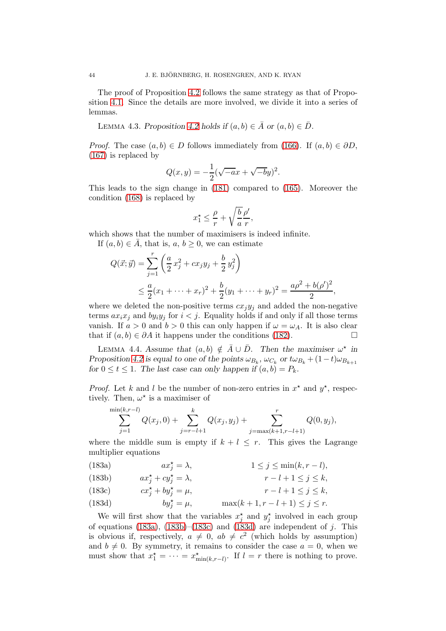The proof of Proposition [4.2](#page-41-0) follows the same strategy as that of Proposition [4.1.](#page-37-3) Since the details are more involved, we divide it into a series of lemmas.

<span id="page-43-6"></span>LEMMA 4.3. Proposition [4.2](#page-41-0) holds if  $(a, b) \in \overline{A}$  or  $(a, b) \in \overline{D}$ .

*Proof.* The case  $(a, b) \in D$  follows immediately from [\(166\)](#page-37-1). If  $(a, b) \in \partial D$ , [\(167\)](#page-37-4) is replaced by

$$
Q(x, y) = -\frac{1}{2}(\sqrt{-a}x + \sqrt{-b}y)^2.
$$

This leads to the sign change in [\(181\)](#page-42-2) compared to [\(165\)](#page-37-2). Moreover the condition [\(168\)](#page-38-3) is replaced by

$$
x_1^* \leq \frac{\rho}{r} + \sqrt{\frac{b}{a}} \frac{\rho'}{r},
$$

which shows that the number of maximisers is indeed infinite.

If  $(a, b) \in \overline{A}$ , that is,  $a, b \geq 0$ , we can estimate

$$
Q(\vec{x}; \vec{y}) = \sum_{j=1}^{r} \left( \frac{a}{2} x_j^2 + c x_j y_j + \frac{b}{2} y_j^2 \right)
$$
  
 
$$
\leq \frac{a}{2} (x_1 + \dots + x_r)^2 + \frac{b}{2} (y_1 + \dots + y_r)^2 = \frac{a \rho^2 + b(\rho')^2}{2},
$$

where we deleted the non-positive terms  $cx_jy_j$  and added the non-negative terms  $ax_ix_j$  and  $by_iy_j$  for  $i < j$ . Equality holds if and only if all those terms vanish. If  $a > 0$  and  $b > 0$  this can only happen if  $\omega = \omega_A$ . It is also clear that if  $(a, b) \in \partial A$  it happens under the conditions [\(182\)](#page-42-1).

<span id="page-43-5"></span>LEMMA 4.4. Assume that  $(a, b) \notin \overline{A} \cup \overline{D}$ . Then the maximiser  $\omega^*$  in Proposition [4.2](#page-41-0) is equal to one of the points  $\omega_{B_k}$ ,  $\omega_{C_k}$  or  $t\omega_{B_k} + (1-t)\omega_{B_{k+1}}$ for  $0 \le t \le 1$ . The last case can only happen if  $(a, b) = P_k$ .

*Proof.* Let k and l be the number of non-zero entries in  $x^*$  and  $y^*$ , respectively. Then,  $\omega^*$  is a maximiser of

<span id="page-43-4"></span>
$$
\sum_{j=1}^{\min(k,r-l)} Q(x_j,0) + \sum_{j=r-l+1}^{k} Q(x_j,y_j) + \sum_{j=\max(k+1,r-l+1)}^{r} Q(0,y_j),
$$

where the middle sum is empty if  $k + l \leq r$ . This gives the Lagrange multiplier equations

<span id="page-43-0"></span> $ax_i^* = \lambda$ , (183a)  $ax_i^* = \lambda$ ,  $1 \leq j \leq \min(k, r - l)$ ,

<span id="page-43-1"></span>(183b) 
$$
ax_j^* + cy_j^* = \lambda, \qquad r - l + 1 \le j \le k,
$$

<span id="page-43-2"></span>(183c) 
$$
cx_j^* + by_j^* = \mu
$$
,  $r - l + 1 \le j \le k$ ,

<span id="page-43-3"></span>(183d) 
$$
by_j^* = \mu
$$
,  $\max(k+1, r-l+1) \le j \le r$ .

We will first show that the variables  $x_j^*$  and  $y_j^*$  involved in each group of equations [\(183a\)](#page-43-0), [\(183b\)](#page-43-1)–[\(183c\)](#page-43-2) and [\(183d\)](#page-43-3) are independent of j. This is obvious if, respectively,  $a \neq 0$ ,  $ab \neq c^2$  (which holds by assumption) and  $b \neq 0$ . By symmetry, it remains to consider the case  $a = 0$ , when we must show that  $x_1^* = \cdots = x_{\min(k,r-l)}^*$ . If  $l = r$  there is nothing to prove.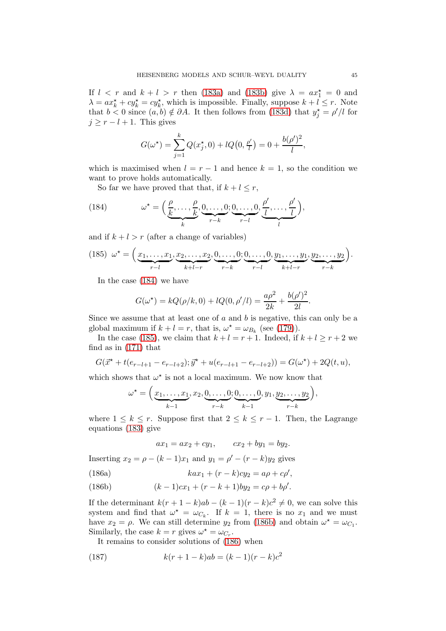If  $l \leq r$  and  $k + l > r$  then [\(183a\)](#page-43-0) and [\(183b\)](#page-43-1) give  $\lambda = ax_1^* = 0$  and  $\lambda = ax_k^* + cy_k^* = cy_k^*$ , which is impossible. Finally, suppose  $k + l \leq r$ . Note that  $b < 0$  since  $(a, b) \notin \partial A$ . It then follows from [\(183d\)](#page-43-3) that  $y_j^* = \rho'/l$  for  $j \geq r - l + 1$ . This gives

$$
G(\omega^*) = \sum_{j=1}^k Q(x_j^*, 0) + lQ(0, \frac{\rho'}{l}) = 0 + \frac{b(\rho')^2}{l},
$$

which is maximised when  $l = r - 1$  and hence  $k = 1$ , so the condition we want to prove holds automatically.

<span id="page-44-0"></span>So far we have proved that that, if  $k + l \leq r$ ,

(184) 
$$
\omega^* = \left(\underbrace{\frac{\rho}{k}, \dots, \frac{\rho}{k}}_{k}, \underbrace{0, \dots, 0}_{r-k}; \underbrace{0, \dots, 0}_{r-l}, \underbrace{\frac{\rho'}{l}, \dots, \frac{\rho'}{l}}_{l}\right),
$$

and if  $k + l > r$  (after a change of variables)

<span id="page-44-1"></span>
$$
(185) \t\t\omega^* = \Big(\underbrace{x_1, \ldots, x_1}_{r-l}, \underbrace{x_2, \ldots, x_2}_{k+l-r}, \underbrace{0, \ldots, 0}_{r-k}; \underbrace{0, \ldots, 0}_{r-l}, \underbrace{y_1, \ldots, y_1}_{k+l-r}, \underbrace{y_2, \ldots, y_2}_{r-k}\Big).
$$

In the case [\(184\)](#page-44-0) we have

$$
G(\omega^*) = kQ(\rho/k, 0) + lQ(0, \rho'/l) = \frac{a\rho^2}{2k} + \frac{b(\rho')^2}{2l}.
$$

Since we assume that at least one of  $a$  and  $b$  is negative, this can only be a global maximum if  $k + l = r$ , that is,  $\omega^* = \omega_{B_k}$  (see [\(179\)](#page-41-2)).

In the case [\(185\)](#page-44-1), we claim that  $k+l = r+1$ . Indeed, if  $k+l \geq r+2$  we find as in [\(171\)](#page-39-2) that

$$
G(\vec{x}^* + t(e_{r-l+1} - e_{r-l+2}); \vec{y}^* + u(e_{r-l+1} - e_{r-l+2})) = G(\omega^*) + 2Q(t, u),
$$

which shows that  $\omega^\star$  is not a local maximum. We now know that

$$
\omega^* = \left(\underbrace{x_1,\ldots,x_1}_{k-1}, x_2, \underbrace{0,\ldots,0}_{r-k}; \underbrace{0,\ldots,0}_{k-1}, y_1, \underbrace{y_2,\ldots,y_2}_{r-k}\right),
$$

where  $1 \leq k \leq r$ . Suppose first that  $2 \leq k \leq r-1$ . Then, the Lagrange equations [\(183\)](#page-43-4) give

<span id="page-44-3"></span>
$$
ax_1 = ax_2 + cy_1
$$
,  $cx_2 + by_1 = by_2$ .

Inserting  $x_2 = \rho - (k - 1)x_1$  and  $y_1 = \rho' - (r - k)y_2$  gives

(186a) 
$$
kax_1 + (r-k)cy_2 = a\rho + c\rho',
$$

<span id="page-44-2"></span>(186b) 
$$
(k-1)cx_1 + (r-k+1)by_2 = c\rho + b\rho'.
$$

If the determinant  $k(r + 1 - k)ab - (k - 1)(r - k)c^2 \neq 0$ , we can solve this system and find that  $\omega^* = \omega_{C_k}$ . If  $k = 1$ , there is no  $x_1$  and we must have  $x_2 = \rho$ . We can still determine  $y_2$  from [\(186b\)](#page-44-2) and obtain  $\omega^* = \omega_{C_1}$ . Similarly, the case  $k = r$  gives  $\omega^* = \omega_{C_r}$ .

<span id="page-44-4"></span>It remains to consider solutions of [\(186\)](#page-44-3) when

(187) 
$$
k(r+1-k)ab = (k-1)(r-k)c^2
$$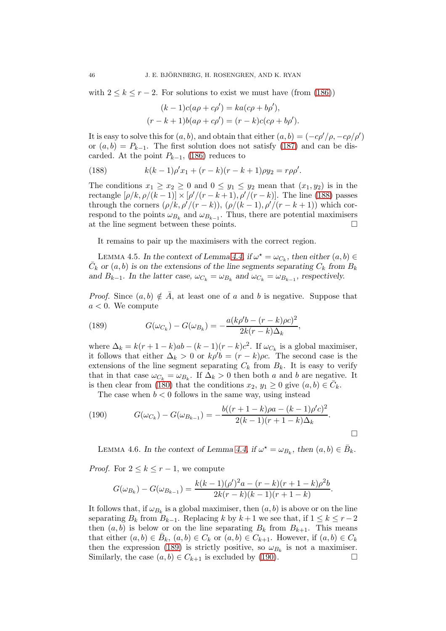with  $2 \leq k \leq r-2$ . For solutions to exist we must have (from [\(186\)](#page-44-3))

$$
(k-1)c(a\rho + c\rho') = ka(c\rho + b\rho'),
$$

$$
(r-k+1)b(a\rho + c\rho') = (r-k)c(c\rho + b\rho').
$$

It is easy to solve this for  $(a, b)$ , and obtain that either  $(a, b) = (-c\rho'/\rho, -c\rho/\rho')$ or  $(a, b) = P_{k-1}$ . The first solution does not satisfy [\(187\)](#page-44-4) and can be discarded. At the point  $P_{k-1}$ , [\(186\)](#page-44-3) reduces to

<span id="page-45-0"></span>(188) 
$$
k(k-1)\rho'x_1 + (r-k)(r-k+1)\rho y_2 = r\rho\rho'.
$$

The conditions  $x_1 \ge x_2 \ge 0$  and  $0 \le y_1 \le y_2$  mean that  $(x_1, y_2)$  is in the rectangle  $[\rho/k, \rho/(k-1)] \times [\rho'/(r-k+1), \rho'/(r-k)]$ . The line [\(188\)](#page-45-0) passes through the corners  $(\rho/k, \rho'/(r-k)), (\rho/(k-1), \rho'/(r-k+1))$  which correspond to the points  $\omega_{B_k}$  and  $\omega_{B_{k-1}}$ . Thus, there are potential maximisers at the line segment between these points.

It remains to pair up the maximisers with the correct region.

<span id="page-45-3"></span>LEMMA 4.5. In the context of Lemma [4.4,](#page-43-5) if  $\omega^* = \omega_{C_k}$ , then either  $(a, b) \in$  $\bar{C}_k$  or  $(a, b)$  is on the extensions of the line segments separating  $C_k$  from  $B_k$ and  $B_{k-1}$ . In the latter case,  $\omega_{C_k} = \omega_{B_k}$  and  $\omega_{C_k} = \omega_{B_{k-1}}$ , respectively.

*Proof.* Since  $(a, b) \notin A$ , at least one of a and b is negative. Suppose that  $a < 0$ . We compute

<span id="page-45-1"></span>(189) 
$$
G(\omega_{C_k}) - G(\omega_{B_k}) = -\frac{a(k\rho'b - (r - k)\rho c)^2}{2k(r - k)\Delta_k},
$$

where  $\Delta_k = k(r+1-k)ab - (k-1)(r-k)c^2$ . If  $\omega_{C_k}$  is a global maximiser, it follows that either  $\Delta_k > 0$  or  $k\rho' b = (r - k)\rho c$ . The second case is the extensions of the line segment separating  $C_k$  from  $B_k$ . It is easy to verify that in that case  $\omega_{C_k} = \omega_{B_k}$ . If  $\Delta_k > 0$  then both a and b are negative. It is then clear from [\(180\)](#page-41-3) that the conditions  $x_2, y_1 \geq 0$  give  $(a, b) \in \overline{C}_k$ .

<span id="page-45-2"></span>The case when  $b < 0$  follows in the same way, using instead

(190) 
$$
G(\omega_{C_k}) - G(\omega_{B_{k-1}}) = -\frac{b((r+1-k)\rho a - (k-1)\rho' c)^2}{2(k-1)(r+1-k)\Delta_k}.
$$

<span id="page-45-4"></span>LEMMA 4.6. In the context of Lemma [4.4,](#page-43-5) if  $\omega^* = \omega_{B_k}$ , then  $(a, b) \in \overline{B}_k$ .

*Proof.* For  $2 \leq k \leq r-1$ , we compute

$$
G(\omega_{B_k}) - G(\omega_{B_{k-1}}) = \frac{k(k-1)(\rho')^2 a - (r-k)(r+1-k)\rho^2 b}{2k(r-k)(k-1)(r+1-k)}.
$$

It follows that, if  $\omega_{B_k}$  is a global maximiser, then  $(a, b)$  is above or on the line separating  $B_k$  from  $B_{k-1}$ . Replacing k by  $k+1$  we see that, if  $1 \leq k \leq r-2$ then  $(a, b)$  is below or on the line separating  $B_k$  from  $B_{k+1}$ . This means that either  $(a, b) \in \overline{B}_k$ ,  $(a, b) \in C_k$  or  $(a, b) \in C_{k+1}$ . However, if  $(a, b) \in C_k$ then the expression [\(189\)](#page-45-1) is strictly positive, so  $\omega_{B_k}$  is not a maximiser. Similarly, the case  $(a, b) \in C_{k+1}$  is excluded by [\(190\)](#page-45-2).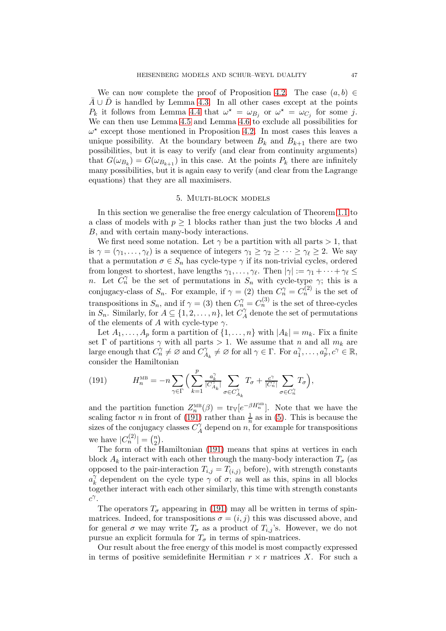We can now complete the proof of Proposition [4.2.](#page-41-0) The case  $(a, b) \in$  $\bar{A} \cup \bar{D}$  is handled by Lemma [4.3.](#page-43-6) In all other cases except at the points  $P_k$  it follows from Lemma [4.4](#page-43-5) that  $\omega^* = \omega_{B_j}$  or  $\omega^* = \omega_{C_j}$  for some j. We can then use Lemma [4.5](#page-45-3) and Lemma [4.6](#page-45-4) to exclude all possibilities for  $\omega^*$  except those mentioned in Proposition [4.2.](#page-41-0) In most cases this leaves a unique possibility. At the boundary between  $B_k$  and  $B_{k+1}$  there are two possibilities, but it is easy to verify (and clear from continuity arguments) that  $G(\omega_{B_k}) = G(\omega_{B_{k+1}})$  in this case. At the points  $P_k$  there are infinitely many possibilities, but it is again easy to verify (and clear from the Lagrange equations) that they are all maximisers.

### 5. Multi-block models

<span id="page-46-0"></span>In this section we generalise the free energy calculation of Theorem [1.1](#page-3-1) to a class of models with  $p \geq 1$  blocks rather than just the two blocks A and B, and with certain many-body interactions.

We first need some notation. Let  $\gamma$  be a partition with all parts  $> 1$ , that is  $\gamma = (\gamma_1, \ldots, \gamma_\ell)$  is a sequence of integers  $\gamma_1 \geq \gamma_2 \geq \cdots \geq \gamma_\ell \geq 2$ . We say that a permutation  $\sigma \in S_n$  has cycle-type  $\gamma$  if its non-trivial cycles, ordered from longest to shortest, have lengths  $\gamma_1, \ldots, \gamma_\ell$ . Then  $|\gamma| := \gamma_1 + \cdots + \gamma_\ell \leq$ n. Let  $C_n^{\gamma}$  be the set of permutations in  $S_n$  with cycle-type  $\gamma$ ; this is a conjugacy-class of  $S_n$ . For example, if  $\gamma = (2)$  then  $C_n^{\gamma} = C_n^{(2)}$  is the set of transpositions in  $S_n$ , and if  $\gamma = (3)$  then  $C_n^{\gamma} = C_n^{(3)}$  is the set of three-cycles in  $S_n$ . Similarly, for  $A \subseteq \{1, 2, ..., n\}$ , let  $C_A^{\gamma}$  $\mathcal{A}$  denote the set of permutations of the elements of A with cycle-type  $\gamma$ .

Let  $A_1, \ldots, A_p$  form a partition of  $\{1, \ldots, n\}$  with  $|A_k| = m_k$ . Fix a finite set  $\Gamma$  of partitions  $\gamma$  with all parts > 1. We assume that n and all  $m_k$  are large enough that  $C_n^{\gamma} \neq \emptyset$  and  $C_A^{\gamma}$  $A_k^{\gamma} \neq \emptyset$  for all  $\gamma \in \Gamma$ . For  $a_1^{\gamma}$  $a_1^{\gamma}, \ldots, a_p^{\gamma}, c^{\gamma} \in \mathbb{R},$ consider the Hamiltonian

<span id="page-46-1"></span>(191) 
$$
H_n^{\text{MB}} = -n \sum_{\gamma \in \Gamma} \Big( \sum_{k=1}^p \frac{a_k^{\gamma}}{|C_{A_k}^{\gamma}|} \sum_{\sigma \in C_{A_k}^{\gamma}} T_{\sigma} + \frac{c^{\gamma}}{|C_n^{\gamma}|} \sum_{\sigma \in C_n^{\gamma}} T_{\sigma} \Big),
$$

and the partition function  $Z_n^{\text{MB}}(\beta) = \text{tr}_{\mathbb{V}}[e^{-\beta H_n^{\text{MB}}}]$ . Note that we have the scaling factor *n* in front of [\(191\)](#page-46-1) rather than  $\frac{1}{n}$  as in [\(5\)](#page-3-2). This is because the sizes of the conjugacy classes  $C_A^{\gamma}$  $\gamma_A^{\gamma}$  depend on n, for example for transpositions we have  $|C_n^{(2)}| = {n \choose 2}$  $\binom{n}{2}$ .

The form of the Hamiltonian [\(191\)](#page-46-1) means that spins at vertices in each block  $A_k$  interact with each other through the many-body interaction  $T_{\sigma}$  (as opposed to the pair-interaction  $T_{i,j} = T_{(i,j)}$  before), with strength constants  $a_k^{\gamma}$  $\gamma_{k}$  dependent on the cycle type  $\gamma$  of  $\sigma$ ; as well as this, spins in all blocks together interact with each other similarly, this time with strength constants  $c^{\gamma}$ .

The operators  $T_{\sigma}$  appearing in [\(191\)](#page-46-1) may all be written in terms of spinmatrices. Indeed, for transpositions  $\sigma = (i, j)$  this was discussed above, and for general  $\sigma$  we may write  $T_{\sigma}$  as a product of  $T_{i,j}$ 's. However, we do not pursue an explicit formula for  $T_{\sigma}$  in terms of spin-matrices.

Our result about the free energy of this model is most compactly expressed in terms of positive semidefinite Hermitian  $r \times r$  matrices X. For such a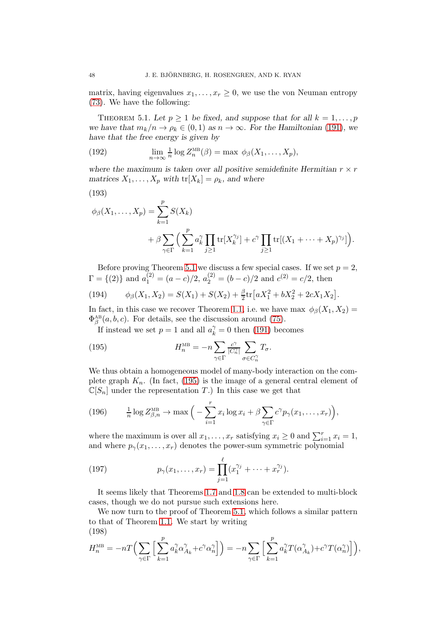matrix, having eigenvalues  $x_1, \ldots, x_r \geq 0$ , we use the von Neuman entropy [\(73\)](#page-16-4). We have the following:

<span id="page-47-0"></span>THEOREM 5.1. Let  $p \ge 1$  be fixed, and suppose that for all  $k = 1, \ldots, p$ we have that  $m_k/n \to \rho_k \in (0,1)$  as  $n \to \infty$ . For the Hamiltonian [\(191\)](#page-46-1), we have that the free energy is given by

(192) 
$$
\lim_{n \to \infty} \frac{1}{n} \log Z_n^{\text{MB}}(\beta) = \max \ \phi_{\beta}(X_1, \dots, X_p),
$$

where the maximum is taken over all positive semidefinite Hermitian  $r \times r$ matrices  $X_1, \ldots, X_p$  with  $\text{tr}[X_k] = \rho_k$ , and where

$$
(193)
$$

<span id="page-47-3"></span>
$$
\phi_{\beta}(X_1,\ldots,X_p) = \sum_{k=1}^p S(X_k)
$$
  
+  $\beta \sum_{\gamma \in \Gamma} \Big( \sum_{k=1}^p a_k^{\gamma} \prod_{j\geq 1} \text{tr}[X_k^{\gamma_j}] + c^{\gamma} \prod_{j\geq 1} \text{tr}[(X_1 + \cdots + X_p)^{\gamma_j}]\Big).$ 

Before proving Theorem [5.1](#page-47-0) we discuss a few special cases. If we set  $p = 2$ ,  $\Gamma = \{(2)\}\$ and  $a_1^{(2)} = (a - c)/2$ ,  $a_2^{(2)} = (b - c)/2$  and  $c^{(2)} = c/2$ , then

(194) 
$$
\phi_{\beta}(X_1, X_2) = S(X_1) + S(X_2) + \frac{\beta}{2} \text{tr} \left[ aX_1^2 + bX_2^2 + 2cX_1X_2 \right].
$$

In fact, in this case we recover Theorem [1.1,](#page-3-1) i.e. we have max  $\phi_{\beta}(X_1, X_2) =$  $\Phi_{\beta}^{\text{AB}}(a, b, c)$ . For details, see the discussion around [\(75\)](#page-16-1).

<span id="page-47-1"></span>If instead we set  $p = 1$  and all  $a_k^{\gamma} = 0$  then [\(191\)](#page-46-1) becomes

(195) 
$$
H_n^{\text{MB}} = -n \sum_{\gamma \in \Gamma} \frac{c^{\gamma}}{|C_n^{\gamma}|} \sum_{\sigma \in C_n^{\gamma}} T_{\sigma}.
$$

We thus obtain a homogeneous model of many-body interaction on the complete graph  $K_n$ . (In fact, [\(195\)](#page-47-1) is the image of a general central element of  $\mathbb{C}[S_n]$  under the representation T.) In this case we get that

(196) 
$$
\frac{1}{n}\log Z^{\text{MB}}_{\beta,n} \to \max\Big(-\sum_{i=1}^r x_i\log x_i + \beta \sum_{\gamma \in \Gamma} c^{\gamma} p_{\gamma}(x_1,\ldots,x_r)\Big),
$$

where the maximum is over all  $x_1, \ldots, x_r$  satisfying  $x_i \geq 0$  and  $\sum_{i=1}^r x_i = 1$ , and where  $p_{\gamma}(x_1, \ldots, x_r)$  denotes the power-sum symmetric polynomial

<span id="page-47-2"></span>(197) 
$$
p_{\gamma}(x_1,\ldots,x_r) = \prod_{j=1}^{\ell} (x_1^{\gamma_j} + \cdots + x_r^{\gamma_j}).
$$

It seems likely that Theorems [1.7](#page-6-1) and [1.8](#page-7-0) can be extended to multi-block cases, though we do not pursue such extensions here.

We now turn to the proof of Theorem [5.1,](#page-47-0) which follows a similar pattern to that of Theorem [1.1.](#page-3-1) We start by writing (198)

$$
H_n^{\text{MB}} = -nT\Big(\sum_{\gamma \in \Gamma}\Big[\sum_{k=1}^p a_k^\gamma \alpha_{A_k}^\gamma + c^\gamma \alpha_n^\gamma\Big]\Big) = -n\sum_{\gamma \in \Gamma}\Big[\sum_{k=1}^p a_k^\gamma T(\alpha_{A_k}^\gamma) + c^\gamma T(\alpha_n^\gamma)\Big]\Big),
$$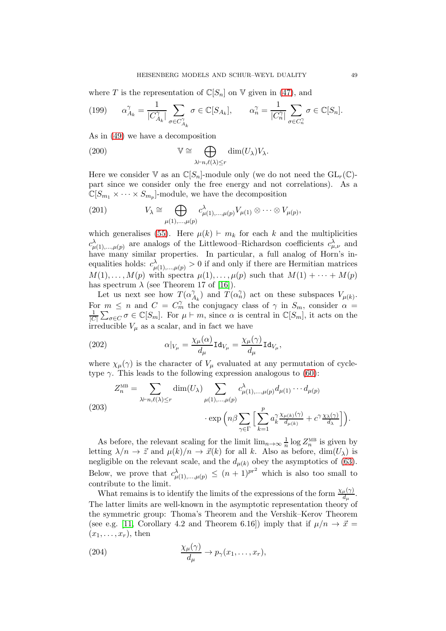where T is the representation of  $\mathbb{C}[S_n]$  on V given in [\(47\)](#page-13-2), and

(199) 
$$
\alpha_{A_k}^{\gamma} = \frac{1}{|C_{A_k}^{\gamma}|} \sum_{\sigma \in C_{A_k}^{\gamma}} \sigma \in \mathbb{C}[S_{A_k}], \qquad \alpha_n^{\gamma} = \frac{1}{|C_n^{\gamma}|} \sum_{\sigma \in C_n^{\gamma}} \sigma \in \mathbb{C}[S_n].
$$

As in [\(49\)](#page-13-0) we have a decomposition

(200) 
$$
\mathbb{V} \cong \bigoplus_{\lambda \vdash n, \ell(\lambda) \leq r} \dim(U_{\lambda}) V_{\lambda}.
$$

Here we consider V as an  $\mathbb{C}[S_n]$ -module only (we do not need the  $GL_r(\mathbb{C})$ part since we consider only the free energy and not correlations). As a  $\mathbb{C}[S_{m_1} \times \cdots \times S_{m_p}]$ -module, we have the decomposition

(201) 
$$
V_{\lambda} \cong \bigoplus_{\mu(1),\dots,\mu(p)} c^{\lambda}_{\mu(1),\dots,\mu(p)} V_{\mu(1)} \otimes \cdots \otimes V_{\mu(p)},
$$

which generalises [\(55\)](#page-14-0). Here  $\mu(k) \vdash m_k$  for each k and the multiplicities  $c_{\mu(1), \dots, \mu(p)}^{\lambda}$  are analogs of the Littlewood–Richardson coefficients  $c_{\mu, \nu}^{\lambda}$  and have many similar properties. In particular, a full analog of Horn's inequalities holds:  $c^{\lambda}_{\mu(1),...,\mu(p)} > 0$  if and only if there are Hermitian matrices  $M(1), \ldots, M(p)$  with spectra  $\mu(1), \ldots, \mu(p)$  such that  $M(1) + \cdots + M(p)$ has spectrum  $\lambda$  (see Theorem 17 of [\[16\]](#page-53-19)).

Let us next see how  $T(\alpha)$  $\hat{A}_k$ ) and  $\hat{T}(\alpha_n^{\gamma})$  act on these subspaces  $V_{\mu(k)}$ . For  $m \leq n$  and  $C = C_m^{\gamma}$  the conjugacy class of  $\gamma$  in  $S_m$ , consider  $\alpha =$ 1  $\frac{1}{|C|}\sum_{\sigma\in C}\sigma\in\mathbb{C}[S_m]$ . For  $\mu\vdash m$ , since  $\alpha$  is central in  $\mathbb{C}[S_m]$ , it acts on the irreducible  $V_{\mu}$  as a scalar, and in fact we have

(202) 
$$
\alpha|_{V_{\mu}} = \frac{\chi_{\mu}(\alpha)}{d_{\mu}} \text{Id}_{V_{\mu}} = \frac{\chi_{\mu}(\gamma)}{d_{\mu}} \text{Id}_{V_{\mu}},
$$

where  $\chi_{\mu}(\gamma)$  is the character of  $V_{\mu}$  evaluated at any permutation of cycletype  $\gamma$ . This leads to the following expression analogous to [\(60\)](#page-14-2):

(203)  

$$
Z_n^{\text{MB}} = \sum_{\lambda \vdash n, \ell(\lambda) \le r} \dim(U_{\lambda}) \sum_{\mu(1), \dots, \mu(p)} c_{\mu(1), \dots, \mu(p)}^{\lambda} d_{\mu(1)} \cdots d_{\mu(p)}
$$

$$
\cdot \exp\left(n\beta \sum_{\gamma \in \Gamma} \left[\sum_{k=1}^p a_k^{\gamma} \frac{\chi_{\mu(k)}(\gamma)}{d_{\mu(k)}} + c^{\gamma} \frac{\chi_{\lambda}(\gamma)}{d_{\lambda}}\right]\right).
$$

As before, the relevant scaling for the limit  $\lim_{n\to\infty} \frac{1}{n}$  $\frac{1}{n}$  log  $Z_n^{\text{MB}}$  is given by letting  $\lambda/n \to \vec{z}$  and  $\mu(k)/n \to \vec{x}(k)$  for all k. Also as before, dim $(U_\lambda)$  is negligible on the relevant scale, and the  $d_{\mu(k)}$  obey the asymptotics of [\(63\)](#page-15-4). Below, we prove that  $c^{\lambda}_{\mu(1),...,\mu(p)} \leq (n+1)^{pr^2}$  which is also too small to contribute to the limit.

What remains is to identify the limits of the expressions of the form  $\frac{\chi_{\mu}(\gamma)}{d_{\mu}}$ . The latter limits are well-known in the asymptotic representation theory of the symmetric group: Thoma's Theorem and the Vershik–Kerov Theorem (see e.g. [\[11,](#page-53-24) Corollary 4.2 and Theorem 6.16]) imply that if  $\mu/n \to \vec{x}$  $(x_1, \ldots, x_r)$ , then

(204) 
$$
\frac{\chi_{\mu}(\gamma)}{d_{\mu}} \to p_{\gamma}(x_1, \dots, x_r),
$$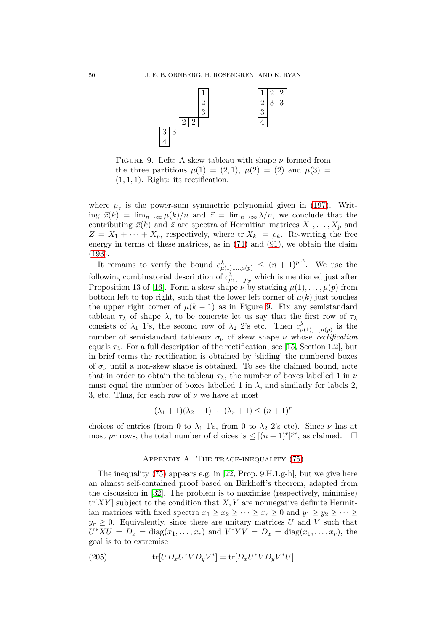<span id="page-49-1"></span>

FIGURE 9. Left: A skew tableau with shape  $\nu$  formed from the three partitions  $\mu(1) = (2, 1), \mu(2) = (2)$  and  $\mu(3) =$  $(1, 1, 1)$ . Right: its rectification.

where  $p_{\gamma}$  is the power-sum symmetric polynomial given in [\(197\)](#page-47-2). Writing  $\vec{x}(k) = \lim_{n\to\infty} \mu(k)/n$  and  $\vec{z} = \lim_{n\to\infty} \lambda/n$ , we conclude that the contributing  $\vec{x}(k)$  and  $\vec{z}$  are spectra of Hermitian matrices  $X_1, \ldots, X_p$  and  $Z = X_1 + \cdots + X_p$ , respectively, where  $\text{tr}[X_k] = \rho_k$ . Re-writing the free energy in terms of these matrices, as in [\(74\)](#page-16-3) and [\(91\)](#page-21-2), we obtain the claim [\(193\)](#page-47-3).

It remains to verify the bound  $c^{\lambda}_{\mu(1), \dots, \mu(p)} \leq (n+1)^{pr^2}$ . We use the following combinatorial description of  $c^{\lambda}_{\mu_1,\dots,\mu_p}$  which is mentioned just after Proposition 13 of [\[16\]](#page-53-19). Form a skew shape  $\nu$  by stacking  $\mu(1), \ldots, \mu(p)$  from bottom left to top right, such that the lower left corner of  $\mu(k)$  just touches the upper right corner of  $\mu(k-1)$  as in Figure [9.](#page-49-1) Fix any semistandard tableau  $\tau_{\lambda}$  of shape  $\lambda$ , to be concrete let us say that the first row of  $\tau_{\lambda}$ consists of  $\lambda_1$  1's, the second row of  $\lambda_2$  2's etc. Then  $c^{\lambda}_{\mu(1), \dots, \mu(p)}$  is the number of semistandard tableaux  $\sigma_{\nu}$  of skew shape  $\nu$  whose rectification equals  $\tau_{\lambda}$ . For a full description of the rectification, see [\[15,](#page-53-17) Section 1.2], but in brief terms the rectification is obtained by 'sliding' the numbered boxes of  $\sigma_{\nu}$  until a non-skew shape is obtained. To see the claimed bound, note that in order to obtain the tableau  $\tau_{\lambda}$ , the number of boxes labelled 1 in  $\nu$ must equal the number of boxes labelled 1 in  $\lambda$ , and similarly for labels 2, 3, etc. Thus, for each row of  $\nu$  we have at most

$$
(\lambda_1+1)(\lambda_2+1)\cdots(\lambda_r+1)\leq (n+1)^r
$$

choices of entries (from 0 to  $\lambda_1$  1's, from 0 to  $\lambda_2$  2's etc). Since  $\nu$  has at most pr rows, the total number of choices is  $\leq [(n+1)^{r}]^{pr}$ , as claimed.  $\square$ 

### APPENDIX A. THE TRACE-INEQUALITY [\(75\)](#page-16-1)

<span id="page-49-0"></span>The inequality [\(75\)](#page-16-1) appears e.g. in [\[22,](#page-53-20) Prop. 9.H.1.g-h], but we give here an almost self-contained proof based on Birkhoff's theorem, adapted from the discussion in [\[32\]](#page-54-6). The problem is to maximise (respectively, minimise)  $tr[XY]$  subject to the condition that  $X, Y$  are nonnegative definite Hermitian matrices with fixed spectra  $x_1 \ge x_2 \ge \cdots \ge x_r \ge 0$  and  $y_1 \ge y_2 \ge \cdots \ge$  $y_r \geq 0$ . Equivalently, since there are unitary matrices U and V such that  $U^*XU = D_x = \text{diag}(x_1,\ldots,x_r)$  and  $V^*YV = D_x = \text{diag}(x_1,\ldots,x_r)$ , the goal is to to extremise

(205) 
$$
\text{tr}[UD_xU^*VD_yV^*] = \text{tr}[D_xU^*VD_yV^*U]
$$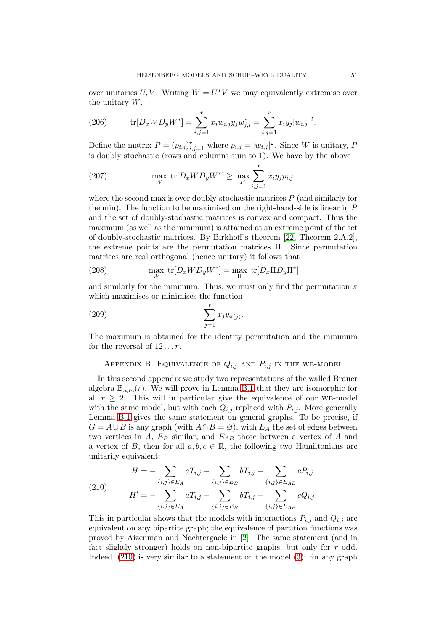over unitaries  $U, V$ . Writing  $W = U^*V$  we may equivalently extremise over the unitary  $W$ ,

(206) 
$$
\text{tr}[D_x W D_y W^*] = \sum_{i,j=1}^r x_i w_{i,j} y_j w_{j,i}^* = \sum_{i,j=1}^r x_i y_j |w_{i,j}|^2.
$$

Define the matrix  $P = (p_{i,j})_{i,j=1}^r$  where  $p_{i,j} = |w_{i,j}|^2$ . Since W is unitary, P is doubly stochastic (rows and columns sum to 1). We have by the above

(207) 
$$
\max_{W} \text{ tr}[D_x W D_y W^*] \ge \max_{P} \sum_{i,j=1}^r x_i y_j p_{i,j},
$$

where the second max is over doubly-stochastic matrices  $P$  (and similarly for the min). The function to be maximised on the right-hand-side is linear in P and the set of doubly-stochastic matrices is convex and compact. Thus the maximum (as well as the minimum) is attained at an extreme point of the set of doubly-stochastic matrices. By Birkhoff's theorem [\[22,](#page-53-20) Theorem 2.A.2], the extreme points are the permutation matrices Π. Since permutation matrices are real orthogonal (hence unitary) it follows that

(208) 
$$
\max_{W} \text{ tr}[D_x W D_y W^*] = \max_{\Pi} \text{ tr}[D_x \Pi D_y \Pi^*]
$$

and similarly for the minimum. Thus, we must only find the permutation  $\pi$ which maximises or minimises the function

$$
\sum_{j=1}^r x_j y_{\pi(j)}.
$$

<span id="page-50-0"></span>The maximum is obtained for the identity permutation and the minimum for the reversal of  $12...r$ .

# APPENDIX B. EQUIVALENCE OF  $Q_{i,j}$  and  $P_{i,j}$  in the WB-MODEL

In this second appendix we study two representations of the walled Brauer algebra  $\mathbb{B}_{n,m}(r)$ . We will prove in Lemma [B.1](#page-51-0) that they are isomorphic for all  $r \geq 2$ . This will in particular give the equivalence of our WB-model with the same model, but with each  $Q_{i,j}$  replaced with  $P_{i,j}$ . More generally Lemma [B.1](#page-51-0) gives the same statement on general graphs. To be precise, if  $G = A \cup B$  is any graph (with  $A \cap B = \emptyset$ ), with  $E_A$  the set of edges between two vertices in  $A$ ,  $E_B$  similar, and  $E_{AB}$  those between a vertex of  $A$  and a vertex of B, then for all  $a, b, c \in \mathbb{R}$ , the following two Hamiltonians are unitarily equivalent:

<span id="page-50-1"></span>(210) 
$$
H = -\sum_{\{i,j\} \in E_A} aT_{i,j} - \sum_{\{i,j\} \in E_B} bT_{i,j} - \sum_{\{i,j\} \in E_{AB}} cP_{i,j}
$$

$$
H' = -\sum_{\{i,j\} \in E_A} aT_{i,j} - \sum_{\{i,j\} \in E_B} bT_{i,j} - \sum_{\{i,j\} \in E_{AB}} cQ_{i,j}.
$$

This in particular shows that the models with interactions  $P_{i,j}$  and  $Q_{i,j}$  are equivalent on any bipartite graph; the equivalence of partition functions was proved by Aizenman and Nachtergaele in [\[2\]](#page-53-6). The same statement (and in fact slightly stronger) holds on non-bipartite graphs, but only for  $r$  odd. Indeed, [\(210\)](#page-50-1) is very similar to a statement on the model [\(3\)](#page-2-0): for any graph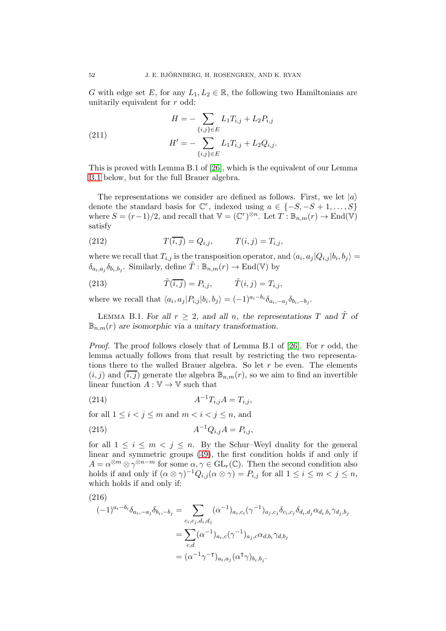G with edge set E, for any  $L_1, L_2 \in \mathbb{R}$ , the following two Hamiltonians are unitarily equivalent for  $r$  odd:

(211) 
$$
H = -\sum_{\{i,j\} \in E} L_1 T_{i,j} + L_2 P_{i,j}
$$

$$
H' = -\sum_{\{i,j\} \in E} L_1 T_{i,j} + L_2 Q_{i,j}.
$$

This is proved with Lemma B.1 of [\[26\]](#page-54-1), which is the equivalent of our Lemma [B.1](#page-51-0) below, but for the full Brauer algebra.

The representations we consider are defined as follows. First, we let  $|a\rangle$ denote the standard basis for  $\mathbb{C}^r$ , indexed using  $a \in \{-S, -S + 1, \ldots, S\}$ where  $S = (r-1)/2$ , and recall that  $\mathbb{V} = (\mathbb{C}^r)^{\otimes n}$ . Let  $T : \mathbb{B}_{n,m}(r) \to \text{End}(\mathbb{V})$ satisfy

(212) 
$$
T(i,j) = Q_{i,j}, \qquad T(i,j) = T_{i,j},
$$

where we recall that  $T_{i,j}$  is the transposition operator, and  $\langle a_i, a_j | Q_{i,j} | b_i, b_j \rangle =$  $\delta_{a_i, a_j} \delta_{b_i, b_j}$ . Similarly, define  $\tilde{T} : \mathbb{B}_{n,m}(r) \to \text{End}(\mathbb{V})$  by

(213) 
$$
\tilde{T}(\overline{i,j}) = P_{i,j}, \qquad \tilde{T}(i,j) = T_{i,j},
$$

where we recall that  $\langle a_i, a_j | P_{i,j} | b_i, b_j \rangle = (-1)^{a_i - b_i} \delta_{a_i, -a_j} \delta_{b_i, -b_j}$ .

<span id="page-51-0"></span>LEMMA B.1. For all  $r \geq 2$ , and all n, the representations T and  $\tilde{T}$  of  $\mathbb{B}_{n,m}(r)$  are isomorphic via a unitary transformation.

*Proof.* The proof follows closely that of Lemma B.1 of [\[26\]](#page-54-1). For r odd, the lemma actually follows from that result by restricting the two representations there to the walled Brauer algebra. So let  $r$  be even. The elements  $(i, j)$  and  $(\overline{i, j})$  generate the algebra  $\mathbb{B}_{n,m}(r)$ , so we aim to find an invertible linear function  $A: \mathbb{V} \to \mathbb{V}$  such that

(214) 
$$
A^{-1}T_{i,j}A = T_{i,j},
$$

for all  $1 \leq i < j \leq m$  and  $m < i < j \leq n$ , and

(215) 
$$
A^{-1}Q_{i,j}A = P_{i,j},
$$

for all  $1 \leq i \leq m \leq j \leq n$ . By the Schur–Weyl duality for the general linear and symmetric groups [\(49\)](#page-13-0), the first condition holds if and only if  $A = \alpha^{\otimes m} \otimes \gamma^{\otimes n-m}$  for some  $\alpha, \gamma \in GL_r(\mathbb{C})$ . Then the second condition also holds if and only if  $(\alpha \otimes \gamma)^{-1} Q_{i,j}(\alpha \otimes \gamma) = P_{i,j}$  for all  $1 \leq i \leq m < j \leq n$ , which holds if and only if:

<span id="page-51-1"></span>(216)  
\n
$$
(-1)^{a_i - b_i} \delta_{a_i, -a_j} \delta_{b_i, -b_j} = \sum_{c_i, c_j, d_i, d_j} (\alpha^{-1})_{a_i, c_i} (\gamma^{-1})_{a_j, c_j} \delta_{c_i, c_j} \delta_{d_i, d_j} \alpha_{d_i, b_i} \gamma_{d_j, b_j}
$$
\n
$$
= \sum_{c, d} (\alpha^{-1})_{a_i, c} (\gamma^{-1})_{a_j, c} \alpha_{d, b_i} \gamma_{d, b_j}
$$
\n
$$
= (\alpha^{-1} \gamma^{-1})_{a_i, a_j} (\alpha^{\mathsf{T}} \gamma)_{b_i, b_j}.
$$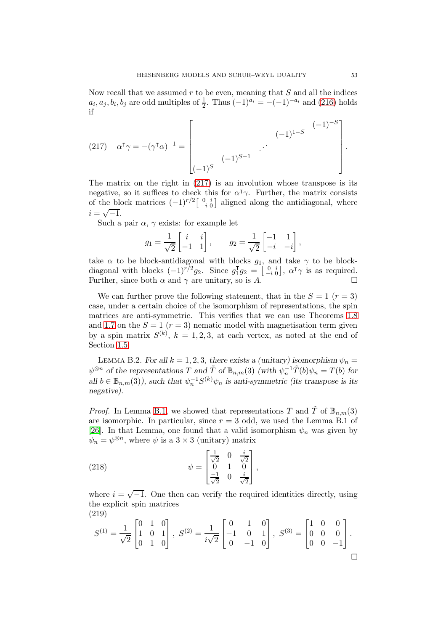Now recall that we assumed  $r$  to be even, meaning that  $S$  and all the indices  $a_i, a_j, b_i, b_j$  are odd multiples of  $\frac{1}{2}$ . Thus  $(-1)^{a_i} = -(-1)^{-a_i}$  and  $(216)$  holds if

<span id="page-52-1"></span>(217) 
$$
\alpha^{\mathsf{T}} \gamma = -(\gamma^{\mathsf{T}} \alpha)^{-1} = \begin{bmatrix} & & & (-1)^{1-S} \\ & & & \\ & & \cdot & \\ & & & \\ (-1)^{S} & & & \end{bmatrix}.
$$

The matrix on the right in [\(217\)](#page-52-1) is an involution whose transpose is its negative, so it suffices to check this for  $\alpha^{\dagger} \gamma$ . Further, the matrix consists of the block matrices  $(-1)^{r/2} \begin{bmatrix} 0 & i \\ -i & 0 \end{bmatrix}$  aligned along the antidiagonal, where  $i = \sqrt{-1}.$ 

Such a pair  $\alpha$ ,  $\gamma$  exists: for example let

$$
g_1 = \frac{1}{\sqrt{2}} \begin{bmatrix} i & i \\ -1 & 1 \end{bmatrix}, \qquad g_2 = \frac{1}{\sqrt{2}} \begin{bmatrix} -1 & 1 \\ -i & -i \end{bmatrix},
$$

take  $\alpha$  to be block-antidiagonal with blocks  $g_1$ , and take  $\gamma$  to be blockdiagonal with blocks  $(-1)^{r/2}g_2$ . Since  $g_1^{\mathsf{T}}$  $I_1^{\text{T}}g_2 = \begin{bmatrix} 0 & i \\ -i & 0 \end{bmatrix}$ ,  $\alpha^{\text{T}}\gamma$  is as required. Further, since both  $\alpha$  and  $\gamma$  are unitary, so is A.

We can further prove the following statement, that in the  $S = 1$  ( $r = 3$ ) case, under a certain choice of the isomorphism of representations, the spin matrices are anti-symmetric. This verifies that we can use Theorems [1.8](#page-7-0) and [1.7](#page-6-1) on the  $S = 1$  ( $r = 3$ ) nematic model with magnetisation term given by a spin matrix  $S^{(k)}$ ,  $k = 1, 2, 3$ , at each vertex, as noted at the end of Section [1.5.](#page-10-0)

<span id="page-52-0"></span>LEMMA B.2. For all  $k = 1, 2, 3$ , there exists a (unitary) isomorphism  $\psi_n =$  $\psi^{\otimes n}$  of the representations T and  $\tilde{T}$  of  $\mathbb{B}_{n,m}(3)$  (with  $\psi_n^{-1}\tilde{T}(b)\psi_n = T(b)$  for all  $b \in \mathbb{B}_{n,m}(3)$ , such that  $\psi_n^{-1}S^{(k)}\psi_n$  is anti-symmetric (its transpose is its negative).

*Proof.* In Lemma [B.1,](#page-51-0) we showed that representations T and  $\tilde{T}$  of  $\mathbb{B}_{n,m}(3)$ are isomorphic. In particular, since  $r = 3$  odd, we used the Lemma B.1 of [\[26\]](#page-54-1). In that Lemma, one found that a valid isomorphism  $\psi_n$  was given by  $\psi_n = \psi^{\otimes n}$ , where  $\psi$  is a 3 × 3 (unitary) matrix

(218) 
$$
\psi = \begin{bmatrix} \frac{1}{\sqrt{2}} & 0 & \frac{i}{\sqrt{2}} \\ 0 & 1 & 0 \\ \frac{-1}{\sqrt{2}} & 0 & \frac{i}{\sqrt{2}} \end{bmatrix},
$$

where  $i = \sqrt{-1}$ . One then can verify the required identities directly, using the explicit spin matrices (219)

$$
S^{(1)} = \frac{1}{\sqrt{2}} \begin{bmatrix} 0 & 1 & 0 \\ 1 & 0 & 1 \\ 0 & 1 & 0 \end{bmatrix}, \ S^{(2)} = \frac{1}{i\sqrt{2}} \begin{bmatrix} 0 & 1 & 0 \\ -1 & 0 & 1 \\ 0 & -1 & 0 \end{bmatrix}, \ S^{(3)} = \begin{bmatrix} 1 & 0 & 0 \\ 0 & 0 & 0 \\ 0 & 0 & -1 \end{bmatrix}.
$$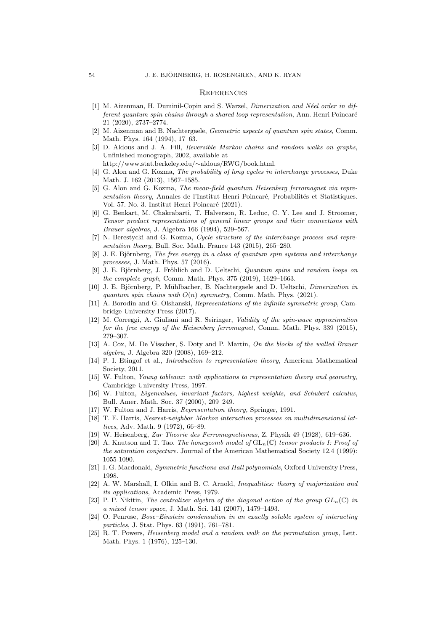#### <span id="page-53-0"></span>**REFERENCES**

- <span id="page-53-14"></span>[1] M. Aizenman, H. Duminil-Copin and S. Warzel, *Dimerization and N´eel order in different quantum spin chains through a shared loop representation*, Ann. Henri Poincaré 21 (2020), 2737–2774.
- <span id="page-53-6"></span>[2] M. Aizenman and B. Nachtergaele, *Geometric aspects of quantum spin states*, Comm. Math. Phys. 164 (1994), 17–63.
- <span id="page-53-5"></span>[3] D. Aldous and J. A. Fill, *Reversible Markov chains and random walks on graphs*, Unfinished monograph, 2002, available at
	- http://www.stat.berkeley.edu/∼aldous/RWG/book.html.
- <span id="page-53-10"></span>[4] G. Alon and G. Kozma, *The probability of long cycles in interchange processes*, Duke Math. J. 162 (2013), 1567–1585.
- <span id="page-53-12"></span>[5] G. Alon and G. Kozma, *The mean-field quantum Heisenberg ferromagnet via representation theory*, Annales de l'Institut Henri Poincaré, Probabilités et Statistiques. Vol. 57. No. 3. Institut Henri Poincaré (2021).
- <span id="page-53-22"></span>[6] G. Benkart, M. Chakrabarti, T. Halverson, R. Leduc, C. Y. Lee and J. Stroomer, *Tensor product representations of general linear groups and their connections with Brauer algebras*, J. Algebra 166 (1994), 529–567.
- <span id="page-53-11"></span>[7] N. Berestycki and G. Kozma, *Cycle structure of the interchange process and representation theory*, Bull. Soc. Math. France 143 (2015), 265–280.
- <span id="page-53-7"></span>[8] J. E. Björnberg, *The free energy in a class of quantum spin systems and interchange processes*, J. Math. Phys. 57 (2016).
- <span id="page-53-8"></span>[9] J. E. Björnberg, J. Fröhlich and D. Ueltschi, *Quantum spins and random loops on the complete graph*, Comm. Math. Phys. 375 (2019), 1629–1663.
- <span id="page-53-15"></span>[10] J. E. Björnberg, P. Mühlbacher, B. Nachtergaele and D. Ueltschi, *Dimerization in quantum spin chains with* O(n) *symmetry*, Comm. Math. Phys. (2021).
- <span id="page-53-24"></span>[11] A. Borodin and G. Olshanski, *Representations of the infinite symmetric group*, Cambridge University Press (2017).
- <span id="page-53-4"></span>[12] M. Correggi, A. Giuliani and R. Seiringer, *Validity of the spin-wave approximation for the free energy of the Heisenberg ferromagnet*, Comm. Math. Phys. 339 (2015), 279–307.
- <span id="page-53-23"></span>[13] A. Cox, M. De Visscher, S. Doty and P. Martin, *On the blocks of the walled Brauer algebra*, J. Algebra 320 (2008), 169–212.
- <span id="page-53-9"></span>[14] P. I. Etingof et al., *Introduction to representation theory*, American Mathematical Society, 2011.
- <span id="page-53-17"></span>[15] W. Fulton, *Young tableaux: with applications to representation theory and geometry*, Cambridge University Press, 1997.
- <span id="page-53-19"></span>[16] W. Fulton, *Eigenvalues, invariant factors, highest weights, and Schubert calculus*, Bull. Amer. Math. Soc. 37 (2000), 209–249.
- <span id="page-53-16"></span><span id="page-53-2"></span>[17] W. Fulton and J. Harris, *Representation theory,* Springer, 1991.
- [18] T. E. Harris, *Nearest-neighbor Markov interaction processes on multidimensional lattices*, Adv. Math. 9 (1972), 66–89.
- <span id="page-53-18"></span><span id="page-53-1"></span>[19] W. Heisenberg, *Zur Theorie des Ferromagnetismus*, Z. Physik 49 (1928), 619–636.
- [20] A. Knutson and T. Tao. *The honeycomb model of*  $GL_n(\mathbb{C})$  *tensor products I: Proof of the saturation conjecture.* Journal of the American Mathematical Society 12.4 (1999): 1055-1090.
- <span id="page-53-20"></span>[21] I. G. Macdonald, *Symmetric functions and Hall polynomials*, Oxford University Press, 1998.
- [22] A. W. Marshall, I. Olkin and B. C. Arnold, *Inequalities: theory of majorization and its applications*, Academic Press, 1979.
- <span id="page-53-21"></span>[23] P. P. Nikitin, *The centralizer algebra of the diagonal action of the group*  $GL_n(\mathbb{C})$  *in a mixed tensor space*, J. Math. Sci. 141 (2007), 1479–1493.
- <span id="page-53-13"></span>[24] O. Penrose, *Bose–Einstein condensation in an exactly soluble system of interacting particles*, J. Stat. Phys. 63 (1991), 761–781.
- <span id="page-53-3"></span>[25] R. T. Powers, *Heisenberg model and a random walk on the permutation group*, Lett. Math. Phys. 1 (1976), 125–130.